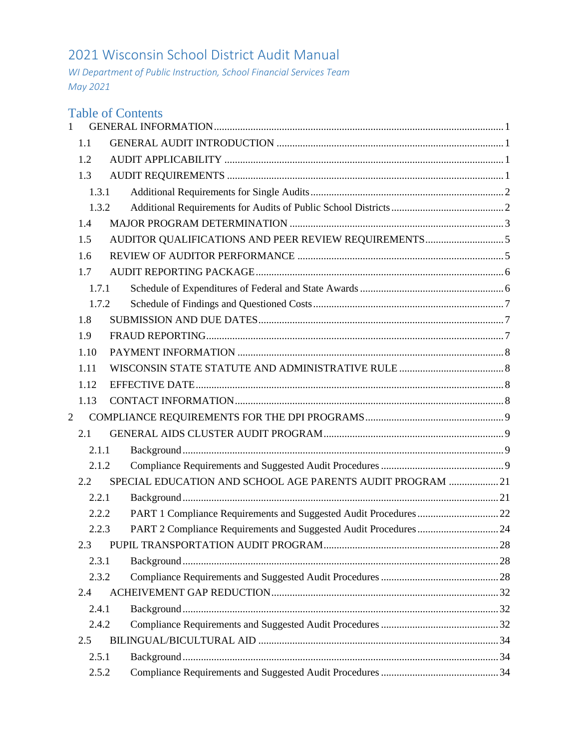# 2021 Wisconsin School District Audit Manual

*WI Department of Public Instruction, School Financial Services Team May 2021*

|                |       | <b>Table of Contents</b>                                          |  |
|----------------|-------|-------------------------------------------------------------------|--|
|                | 1.1   |                                                                   |  |
|                | 1.2   |                                                                   |  |
|                | 1.3   |                                                                   |  |
|                | 1.3.1 |                                                                   |  |
|                | 1.3.2 |                                                                   |  |
|                | 1.4   |                                                                   |  |
|                | 1.5   |                                                                   |  |
|                | 1.6   |                                                                   |  |
|                | 1.7   |                                                                   |  |
|                | 1.7.1 |                                                                   |  |
|                | 1.7.2 |                                                                   |  |
|                | 1.8   |                                                                   |  |
|                | 1.9   |                                                                   |  |
|                | 1.10  |                                                                   |  |
|                | 1.11  |                                                                   |  |
|                | 1.12  |                                                                   |  |
|                | 1.13  |                                                                   |  |
| $\overline{2}$ |       |                                                                   |  |
|                | 2.1   |                                                                   |  |
|                | 2.1.1 |                                                                   |  |
|                | 2.1.2 |                                                                   |  |
|                | 2.2   | SPECIAL EDUCATION AND SCHOOL AGE PARENTS AUDIT PROGRAM  21        |  |
|                | 2.2.1 |                                                                   |  |
|                | 2.2.2 |                                                                   |  |
|                | 2.2.3 | PART 2 Compliance Requirements and Suggested Audit Procedures  24 |  |
|                | 2.3   |                                                                   |  |
|                | 2.3.1 |                                                                   |  |
|                | 2.3.2 |                                                                   |  |
|                | 2.4   |                                                                   |  |
|                | 2.4.1 |                                                                   |  |
|                | 2.4.2 |                                                                   |  |
|                | 2.5   |                                                                   |  |
|                | 2.5.1 |                                                                   |  |
|                | 2.5.2 |                                                                   |  |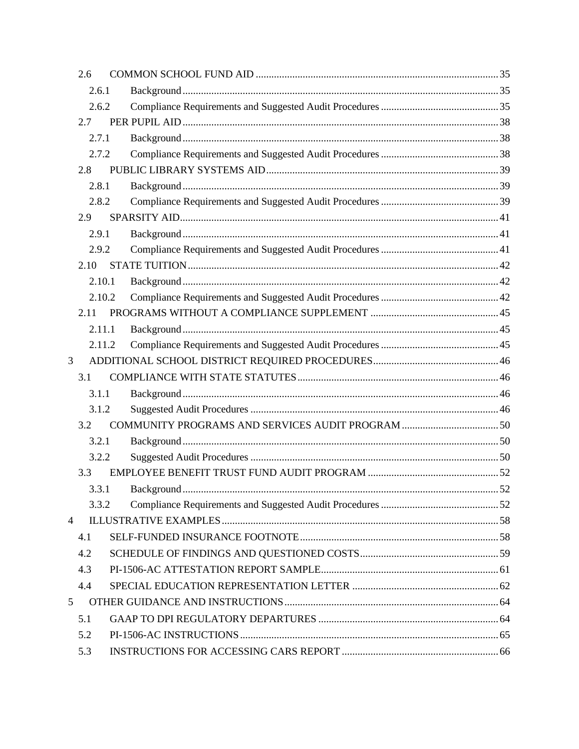|                | 2.6  |        |                  |     |
|----------------|------|--------|------------------|-----|
|                |      | 2.6.1  |                  |     |
| 2.6.2          |      |        |                  |     |
|                | 2.7  |        |                  |     |
|                |      | 2.7.1  |                  |     |
|                |      | 2.7.2  |                  |     |
|                | 2.8  |        |                  |     |
|                |      | 2.8.1  |                  |     |
|                |      | 2.8.2  |                  |     |
|                | 2.9  |        |                  |     |
|                |      | 2.9.1  |                  |     |
|                |      | 2.9.2  |                  |     |
|                | 2.10 |        |                  |     |
|                |      | 2.10.1 |                  |     |
|                |      | 2.10.2 |                  |     |
|                | 2.11 |        |                  |     |
|                |      | 2.11.1 |                  |     |
|                |      | 2.11.2 |                  |     |
| 3              |      |        |                  |     |
|                | 3.1  |        |                  |     |
|                |      | 3.1.1  |                  |     |
|                |      | 3.1.2  |                  |     |
|                | 3.2  |        |                  |     |
|                |      | 3.2.1  |                  |     |
|                |      | 3.2.2  |                  |     |
|                | 3.3  |        |                  |     |
|                |      |        | 3.3.1 Background | .52 |
|                |      | 3.3.2  |                  |     |
| $\overline{4}$ |      |        |                  |     |
|                | 4.1  |        |                  |     |
|                | 4.2  |        |                  |     |
|                | 4.3  |        |                  |     |
|                | 4.4  |        |                  |     |
| 5              |      |        |                  |     |
|                | 5.1  |        |                  |     |
|                | 5.2  |        |                  |     |
|                | 5.3  |        |                  |     |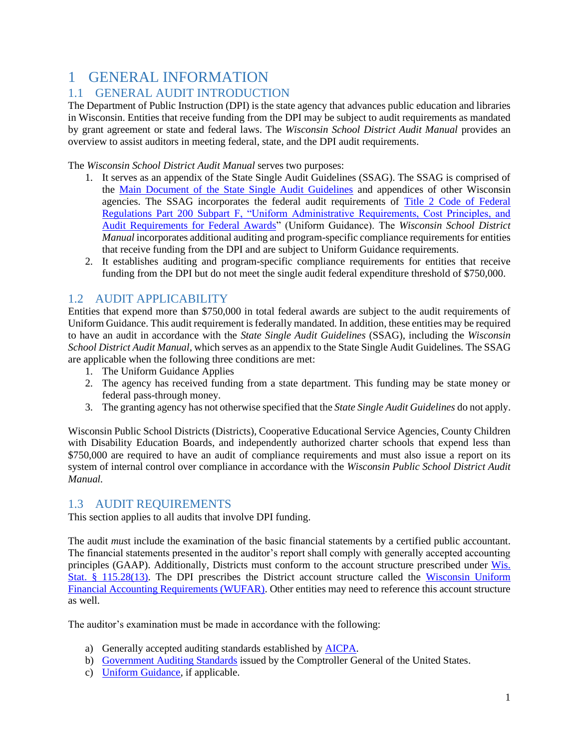# <span id="page-2-0"></span>1 GENERAL INFORMATION

### <span id="page-2-1"></span>1.1 GENERAL AUDIT INTRODUCTION

The Department of Public Instruction (DPI) is the state agency that advances public education and libraries in Wisconsin. Entities that receive funding from the DPI may be subject to audit requirements as mandated by grant agreement or state and federal laws. The *Wisconsin School District Audit Manual* provides an overview to assist auditors in meeting federal, state, and the DPI audit requirements.

The *Wisconsin School District Audit Manual* serves two purposes:

- 1. It serves as an appendix of the State Single Audit Guidelines (SSAG). The SSAG is comprised of the [Main Document of the State Single Audit Guidelines](https://doa.wi.gov/budget/SCO/2015%20SSAG%20Main%20Document%20Revised%206-2016.pdf) and appendices of other Wisconsin agencies. The SSAG incorporates the federal audit requirements of [Title 2 Code of Federal](https://www.ecfr.gov/cgi-bin/text-idx?SID=fdcd771cb52f3343c2840e02c3ce7933&mc=true&node=pt2.1.200&rgn=div5)  Regulations Part 200 Subpart [F, "Uniform Administrative Requirements, Cost Principles, and](https://www.ecfr.gov/cgi-bin/text-idx?SID=fdcd771cb52f3343c2840e02c3ce7933&mc=true&node=pt2.1.200&rgn=div5)  [Audit Requirements for Federal Awards"](https://www.ecfr.gov/cgi-bin/text-idx?SID=fdcd771cb52f3343c2840e02c3ce7933&mc=true&node=pt2.1.200&rgn=div5) (Uniform Guidance). The *Wisconsin School District Manual* incorporates additional auditing and program-specific compliance requirements for entities that receive funding from the DPI and are subject to Uniform Guidance requirements.
- 2. It establishes auditing and program-specific compliance requirements for entities that receive funding from the DPI but do not meet the single audit federal expenditure threshold of \$750,000.

### <span id="page-2-2"></span>1.2 AUDIT APPLICABILITY

Entities that expend more than \$750,000 in total federal awards are subject to the audit requirements of Uniform Guidance. This audit requirement is federally mandated. In addition, these entities may be required to have an audit in accordance with the *State Single Audit Guidelines* (SSAG), including the *Wisconsin School District Audit Manual,* which serves as an appendix to the State Single Audit Guidelines*.* The SSAG are applicable when the following three conditions are met:

- 1. The Uniform Guidance Applies
- 2. The agency has received funding from a state department. This funding may be state money or federal pass-through money.
- 3. The granting agency has not otherwise specified that the *State Single Audit Guidelines* do not apply.

Wisconsin Public School Districts (Districts), Cooperative Educational Service Agencies, County Children with Disability Education Boards, and independently authorized charter schools that expend less than \$750,000 are required to have an audit of compliance requirements and must also issue a report on its system of internal control over compliance in accordance with the *Wisconsin Public School District Audit Manual.* 

### <span id="page-2-3"></span>1.3 AUDIT REQUIREMENTS

This section applies to all audits that involve DPI funding.

The audit *mus*t include the examination of the basic financial statements by a certified public accountant. The financial statements presented in the auditor's report shall comply with generally accepted accounting principles (GAAP). Additionally, Districts must conform to the account structure prescribed under [Wis.](http://docs.legis.wisconsin.gov/statutes/statutes/115/II/28/13)  [Stat. § 115.28\(13\).](http://docs.legis.wisconsin.gov/statutes/statutes/115/II/28/13) The DPI prescribes the District account structure called the [Wisconsin Uniform](https://dpi.wi.gov/sfs/finances/wufar/overview)  [Financial Accounting Requirements \(WUFAR\).](https://dpi.wi.gov/sfs/finances/wufar/overview) Other entities may need to reference this account structure as well.

The auditor's examination must be made in accordance with the following:

- a) Generally accepted auditing standards established by [AICPA.](https://www.aicpa.org/research/standards/auditattest/clarifiedsas.html)
- b) [Government Auditing Standards](https://www.gao.gov/products/gao-18-568g) issued by the Comptroller General of the United States.
- c) [Uniform Guidance,](https://www.ecfr.gov/cgi-bin/text-idx?SID=6214841a79953f26c5c230d72d6b70a1&tpl=/ecfrbrowse/Title02/2cfr200_main_02.tpl) if applicable.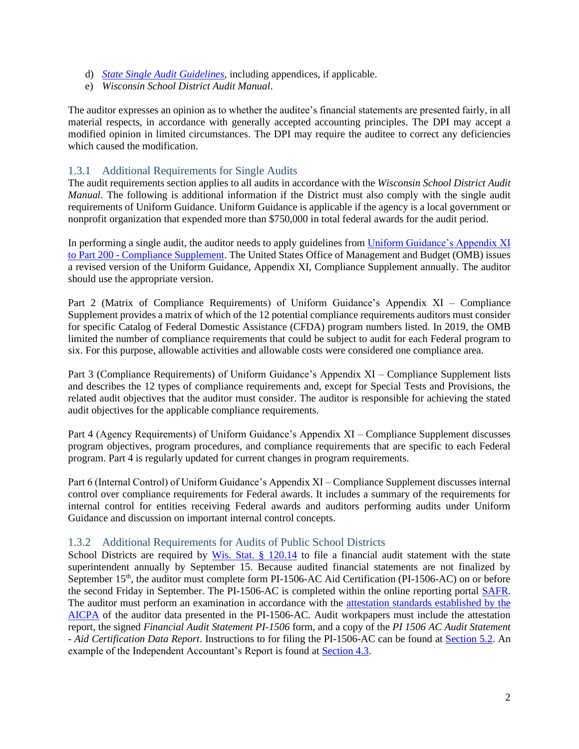- d) *[State Single Audit Guidelines](https://doa.wi.gov/Pages/State-Single-Audit-Guidelines-(SSAG).aspx)*, including appendices, if applicable.
- e) *Wisconsin School District Audit Manual*.

The auditor expresses an opinion as to whether the auditee's financial statements are presented fairly, in all material respects, in accordance with generally accepted accounting principles. The DPI may accept a modified opinion in limited circumstances. The DPI may require the auditee to correct any deficiencies which caused the modification.

### <span id="page-3-0"></span>1.3.1 Additional Requirements for Single Audits

The audit requirements section applies to all audits in accordance with the *Wisconsin School District Audit Manual*. The following is additional information if the District must also comply with the single audit requirements of Uniform Guidance. Uniform Guidance is applicable if the agency is a local government or nonprofit organization that expended more than \$750,000 in total federal awards for the audit period.

In performing a single audit, the auditor needs to apply guidelines from Uniform Guidance's Appendix XI to Part 200 - [Compliance Supplement.](https://www.whitehouse.gov/omb/office-federal-financial-management/) The United States Office of Management and Budget (OMB) issues a revised version of the Uniform Guidance, Appendix XI, Compliance Supplement annually. The auditor should use the appropriate version.

Part 2 (Matrix of Compliance Requirements) of Uniform Guidance's Appendix XI – Compliance Supplement provides a matrix of which of the 12 potential compliance requirements auditors must consider for specific Catalog of Federal Domestic Assistance (CFDA) program numbers listed. In 2019, the OMB limited the number of compliance requirements that could be subject to audit for each Federal program to six. For this purpose, allowable activities and allowable costs were considered one compliance area.

Part 3 (Compliance Requirements) of Uniform Guidance's Appendix XI – Compliance Supplement lists and describes the 12 types of compliance requirements and, except for Special Tests and Provisions, the related audit objectives that the auditor must consider. The auditor is responsible for achieving the stated audit objectives for the applicable compliance requirements.

Part 4 (Agency Requirements) of Uniform Guidance's Appendix XI – Compliance Supplement discusses program objectives, program procedures, and compliance requirements that are specific to each Federal program. Part 4 is regularly updated for current changes in program requirements.

Part 6 (Internal Control) of Uniform Guidance's Appendix XI – Compliance Supplement discusses internal control over compliance requirements for Federal awards. It includes a summary of the requirements for internal control for entities receiving Federal awards and auditors performing audits under Uniform Guidance and discussion on important internal control concepts.

#### <span id="page-3-1"></span>1.3.2 Additional Requirements for Audits of Public School Districts

School Districts are required by [Wis. Stat. § 120.14](https://docs.legis.wisconsin.gov/statutes/statutes/120/I/14) to file a financial audit statement with the state superintendent annually by September 15. Because audited financial statements are not finalized by September 15<sup>th</sup>, the auditor must complete form PI-1506-AC Aid Certification (PI-1506-AC) on or before the second Friday in September. The PI-1506-AC is completed within the online reporting portal [SAFR.](https://dpi.wi.gov/sfs/reporting/safr/overview) The auditor must perform an examination in accordance with the [attestation standards established by the](https://www.aicpa.org/research/standards/auditattest/ssae.html)  [AICPA](https://www.aicpa.org/research/standards/auditattest/ssae.html) of the auditor data presented in the PI-1506-AC. Audit workpapers must include the attestation report, the signed *Financial Audit Statement PI-1506* form, and a copy of the *PI 1506 AC Audit Statement - Aid Certification Data Report*. Instructions to for filing the PI-1506-AC can be found at [Section 5.2.](#page-66-0) An example of the Independent Accountant's Report is found at [Section 4.3.](#page-62-0)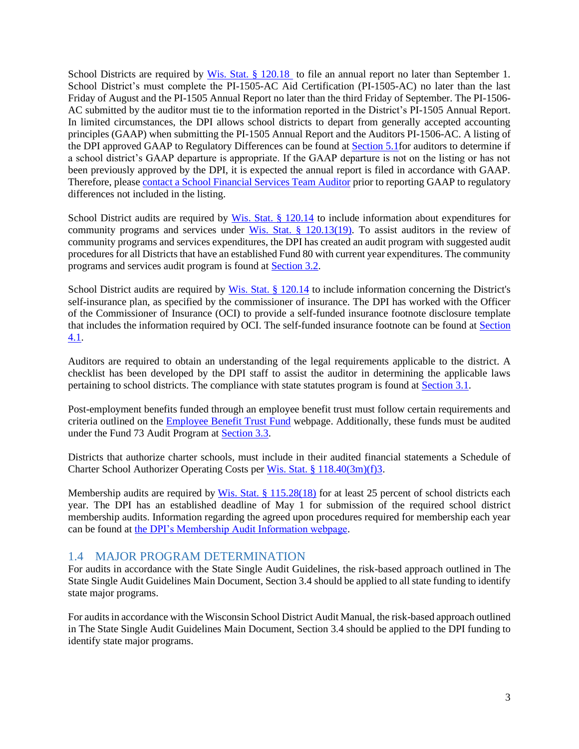School Districts are required by [Wis. Stat. § 120.18](https://docs.legis.wisconsin.gov/statutes/statutes/120/i/18) to file an annual report no later than September 1. School District's must complete the PI-1505-AC Aid Certification (PI-1505-AC) no later than the last Friday of August and the PI-1505 Annual Report no later than the third Friday of September. The PI-1506- AC submitted by the auditor must tie to the information reported in the District's PI-1505 Annual Report. In limited circumstances, the DPI allows school districts to depart from generally accepted accounting principles (GAAP) when submitting the PI-1505 Annual Report and the Auditors PI-1506-AC. A listing of the DPI approved GAAP to Regulatory Differences can be found at [Section 5.1f](#page-65-1)or auditors to determine if a school district's GAAP departure is appropriate. If the GAAP departure is not on the listing or has not been previously approved by the DPI, it is expected the annual report is filed in accordance with GAAP. Therefore, pleas[e contact a School Financial Services Team Auditor](https://dpi.wi.gov/sfs/communications/staff-directory) prior to reporting GAAP to regulatory differences not included in the listing.

School District audits are required by [Wis. Stat. § 120.14](https://docs.legis.wisconsin.gov/statutes/statutes/120/I/14) to include information about expenditures for community programs and services under [Wis. Stat. § 120.13\(19\).](https://docs.legis.wisconsin.gov/statutes/statutes/120/I/13/19) To assist auditors in the review of community programs and services expenditures, the DPI has created an audit program with suggested audit procedures for all Districts that have an established Fund 80 with current year expenditures. The community programs and services audit program is found at [Section 3.2.](#page-51-0)

School District audits are required by [Wis. Stat. § 120.14](https://docs.legis.wisconsin.gov/statutes/statutes/120/I/14) to include information concerning the District's self-insurance plan, as specified by the commissioner of insurance. The DPI has worked with the Officer of the Commissioner of Insurance (OCI) to provide a self-funded insurance footnote disclosure template that includes the information required by OCI. The self-funded insurance footnote can be found at [Section](#page-59-1)  [4.1.](#page-59-1)

Auditors are required to obtain an understanding of the legal requirements applicable to the district. A checklist has been developed by the DPI staff to assist the auditor in determining the applicable laws pertaining to school districts. The compliance with state statutes program is found at [Section 3.1.](#page-47-1)

Post-employment benefits funded through an employee benefit trust must follow certain requirements and criteria outlined on the [Employee Benefit Trust Fund](https://dpi.wi.gov/sfs/finances/fund-info/employee-benefit-trust-fund) webpage. Additionally, these funds must be audited under the Fund 73 Audit Program at [Section 3.3.](#page-53-0)

Districts that authorize charter schools, must include in their audited financial statements a Schedule of Charter School Authorizer Operating Costs per [Wis. Stat. § 118.40\(3m\)\(f\)3.](https://docs.legis.wisconsin.gov/statutes/statutes/118/40/3m/f/3)

Membership audits are required by [Wis. Stat. § 115.28\(18\)](https://docs.legis.wisconsin.gov/statutes/statutes/115/II/28) for at least 25 percent of school districts each year. The DPI has an established deadline of May 1 for submission of the required school district membership audits. Information regarding the agreed upon procedures required for membership each year can be found at [the DPI's Membership Audit Information webpage.](https://dpi.wi.gov/sfs/finances/auditors/membership/overview)

### <span id="page-4-0"></span>1.4 MAJOR PROGRAM DETERMINATION

For audits in accordance with the State Single Audit Guidelines, the risk-based approach outlined in The State Single Audit Guidelines Main Document, Section 3.4 should be applied to all state funding to identify state major programs.

For audits in accordance with the Wisconsin School District Audit Manual, the risk-based approach outlined in The State Single Audit Guidelines Main Document, Section 3.4 should be applied to the DPI funding to identify state major programs.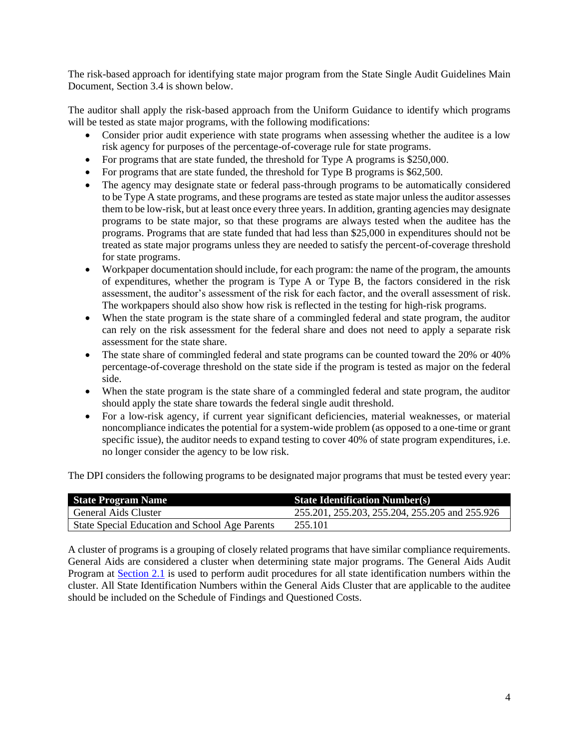The risk-based approach for identifying state major program from the State Single Audit Guidelines Main Document, Section 3.4 is shown below.

The auditor shall apply the risk-based approach from the Uniform Guidance to identify which programs will be tested as state major programs, with the following modifications:

- Consider prior audit experience with state programs when assessing whether the auditee is a low risk agency for purposes of the percentage-of-coverage rule for state programs.
- For programs that are state funded, the threshold for Type A programs is \$250,000.
- For programs that are state funded, the threshold for Type B programs is \$62,500.
- The agency may designate state or federal pass-through programs to be automatically considered to be Type A state programs, and these programs are tested as state major unless the auditor assesses them to be low-risk, but at least once every three years. In addition, granting agencies may designate programs to be state major, so that these programs are always tested when the auditee has the programs. Programs that are state funded that had less than \$25,000 in expenditures should not be treated as state major programs unless they are needed to satisfy the percent-of-coverage threshold for state programs.
- Workpaper documentation should include, for each program: the name of the program, the amounts of expenditures, whether the program is Type A or Type B, the factors considered in the risk assessment, the auditor's assessment of the risk for each factor, and the overall assessment of risk. The workpapers should also show how risk is reflected in the testing for high-risk programs.
- When the state program is the state share of a commingled federal and state program, the auditor can rely on the risk assessment for the federal share and does not need to apply a separate risk assessment for the state share.
- The state share of commingled federal and state programs can be counted toward the 20% or 40% percentage-of-coverage threshold on the state side if the program is tested as major on the federal side.
- When the state program is the state share of a commingled federal and state program, the auditor should apply the state share towards the federal single audit threshold.
- For a low-risk agency, if current year significant deficiencies, material weaknesses, or material noncompliance indicates the potential for a system-wide problem (as opposed to a one-time or grant specific issue), the auditor needs to expand testing to cover 40% of state program expenditures, i.e. no longer consider the agency to be low risk.

The DPI considers the following programs to be designated major programs that must be tested every year:

| <b>State Program Name</b>                      | <b>State Identification Number(s)</b>          |  |  |
|------------------------------------------------|------------------------------------------------|--|--|
| General Aids Cluster                           | 255.201, 255.203, 255.204, 255.205 and 255.926 |  |  |
| State Special Education and School Age Parents | 255.101                                        |  |  |

A cluster of programs is a grouping of closely related programs that have similar compliance requirements. General Aids are considered a cluster when determining state major programs. The General Aids Audit Program at [Section 2.1](#page-10-1) is used to perform audit procedures for all state identification numbers within the cluster. All State Identification Numbers within the General Aids Cluster that are applicable to the auditee should be included on the Schedule of Findings and Questioned Costs.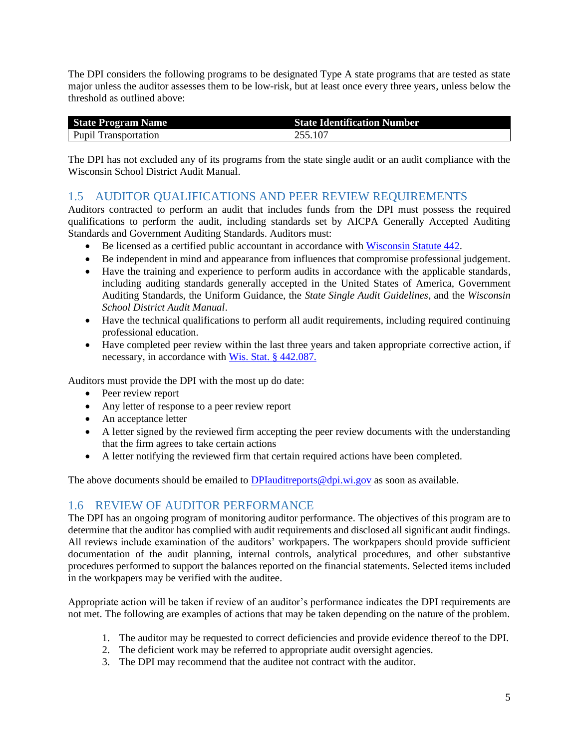The DPI considers the following programs to be designated Type A state programs that are tested as state major unless the auditor assesses them to be low-risk, but at least once every three years, unless below the threshold as outlined above:

| <b>State Program Name</b>   | <b>State Identification Number</b> |
|-----------------------------|------------------------------------|
| <b>Pupil Transportation</b> | 255.107                            |

The DPI has not excluded any of its programs from the state single audit or an audit compliance with the Wisconsin School District Audit Manual.

### <span id="page-6-0"></span>1.5 AUDITOR QUALIFICATIONS AND PEER REVIEW REQUIREMENTS

Auditors contracted to perform an audit that includes funds from the DPI must possess the required qualifications to perform the audit, including standards set by AICPA Generally Accepted Auditing Standards and Government Auditing Standards. Auditors must:

- Be licensed as a certified public accountant in accordance with [Wisconsin Statute 442.](https://docs.legis.wisconsin.gov/statutes/statutes/442)
- Be independent in mind and appearance from influences that compromise professional judgement.
- Have the training and experience to perform audits in accordance with the applicable standards, including auditing standards generally accepted in the United States of America, Government Auditing Standards, the Uniform Guidance, the *State Single Audit Guidelines*, and the *Wisconsin School District Audit Manual*.
- Have the technical qualifications to perform all audit requirements, including required continuing professional education.
- Have completed peer review within the last three years and taken appropriate corrective action, if necessary, in accordance with [Wis. Stat. § 442.087.](https://docs.legis.wisconsin.gov/statutes/statutes/442/087)

Auditors must provide the DPI with the most up do date:

- Peer review report
- Any letter of response to a peer review report
- An acceptance letter
- A letter signed by the reviewed firm accepting the peer review documents with the understanding that the firm agrees to take certain actions
- A letter notifying the reviewed firm that certain required actions have been completed.

The above documents should be emailed to  $DPIaudit$ reports $@dj.wi.gov$  as soon as available.

### <span id="page-6-1"></span>1.6 REVIEW OF AUDITOR PERFORMANCE

The DPI has an ongoing program of monitoring auditor performance. The objectives of this program are to determine that the auditor has complied with audit requirements and disclosed all significant audit findings. All reviews include examination of the auditors' workpapers. The workpapers should provide sufficient documentation of the audit planning, internal controls, analytical procedures, and other substantive procedures performed to support the balances reported on the financial statements. Selected items included in the workpapers may be verified with the auditee.

Appropriate action will be taken if review of an auditor's performance indicates the DPI requirements are not met. The following are examples of actions that may be taken depending on the nature of the problem.

- 1. The auditor may be requested to correct deficiencies and provide evidence thereof to the DPI.
- 2. The deficient work may be referred to appropriate audit oversight agencies.
- 3. The DPI may recommend that the auditee not contract with the auditor.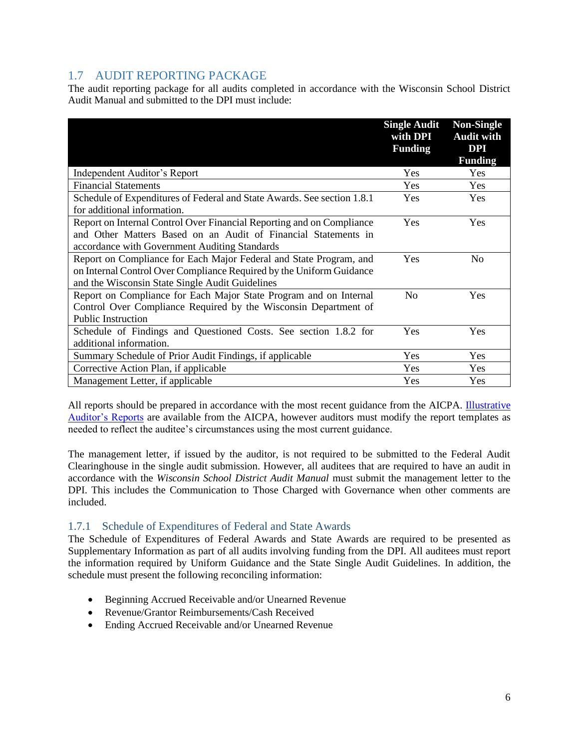### <span id="page-7-0"></span>1.7 AUDIT REPORTING PACKAGE

The audit reporting package for all audits completed in accordance with the Wisconsin School District Audit Manual and submitted to the DPI must include:

|                                                                         | <b>Single Audit</b><br>with DPI<br><b>Funding</b> | <b>Non-Single</b><br><b>Audit with</b><br><b>DPI</b> |
|-------------------------------------------------------------------------|---------------------------------------------------|------------------------------------------------------|
|                                                                         |                                                   | <b>Funding</b>                                       |
| Independent Auditor's Report                                            | Yes                                               | Yes                                                  |
| <b>Financial Statements</b>                                             | Yes                                               | Yes                                                  |
| Schedule of Expenditures of Federal and State Awards. See section 1.8.1 | Yes                                               | <b>Yes</b>                                           |
| for additional information.                                             |                                                   |                                                      |
| Report on Internal Control Over Financial Reporting and on Compliance   | Yes                                               | Yes                                                  |
| and Other Matters Based on an Audit of Financial Statements in          |                                                   |                                                      |
| accordance with Government Auditing Standards                           |                                                   |                                                      |
| Report on Compliance for Each Major Federal and State Program, and      | Yes                                               | No                                                   |
| on Internal Control Over Compliance Required by the Uniform Guidance    |                                                   |                                                      |
| and the Wisconsin State Single Audit Guidelines                         |                                                   |                                                      |
| Report on Compliance for Each Major State Program and on Internal       | N <sub>0</sub>                                    | <b>Yes</b>                                           |
| Control Over Compliance Required by the Wisconsin Department of         |                                                   |                                                      |
| <b>Public Instruction</b>                                               |                                                   |                                                      |
| Schedule of Findings and Questioned Costs. See section 1.8.2 for        | Yes                                               | Yes                                                  |
| additional information.                                                 |                                                   |                                                      |
| Summary Schedule of Prior Audit Findings, if applicable                 | Yes                                               | <b>Yes</b>                                           |
| Corrective Action Plan, if applicable                                   | Yes                                               | Yes                                                  |
| Management Letter, if applicable                                        | Yes                                               | Yes                                                  |

All reports should be prepared in accordance with the most recent guidance from the AICPA. Illustrative [Auditor's Reports](https://www.aicpa.org/interestareas/governmentalauditquality/resources/illustrativeauditorsreports.html) are available from the AICPA, however auditors must modify the report templates as needed to reflect the auditee's circumstances using the most current guidance.

The management letter, if issued by the auditor, is not required to be submitted to the Federal Audit Clearinghouse in the single audit submission. However, all auditees that are required to have an audit in accordance with the *Wisconsin School District Audit Manual* must submit the management letter to the DPI. This includes the Communication to Those Charged with Governance when other comments are included.

#### <span id="page-7-1"></span>1.7.1 Schedule of Expenditures of Federal and State Awards

The Schedule of Expenditures of Federal Awards and State Awards are required to be presented as Supplementary Information as part of all audits involving funding from the DPI. All auditees must report the information required by Uniform Guidance and the State Single Audit Guidelines. In addition, the schedule must present the following reconciling information:

- Beginning Accrued Receivable and/or Unearned Revenue
- Revenue/Grantor Reimbursements/Cash Received
- Ending Accrued Receivable and/or Unearned Revenue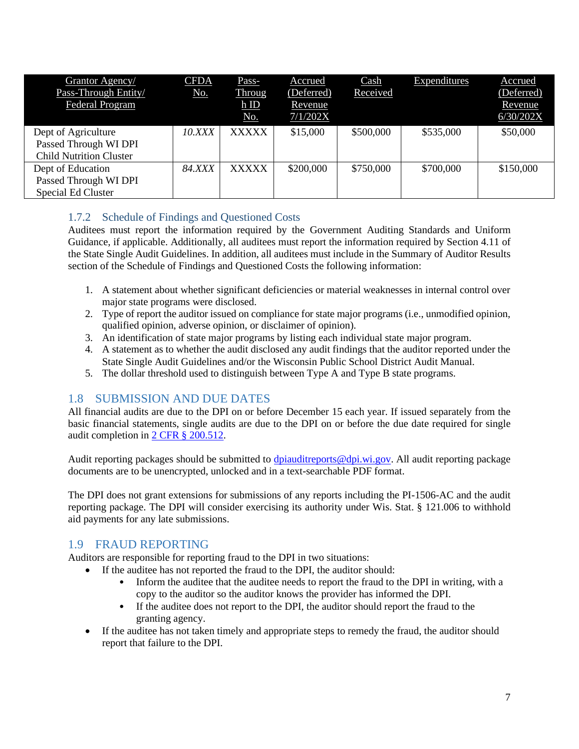| Grantor Agency/<br>Pass-Through Entity/<br>Federal Program                     | <b>CFDA</b><br>No. | Pass-<br>Throug<br>hID<br>No. | Accrued<br>(Deferred)<br>Revenue<br>7/1/202X | Cash<br>Received | Expenditures | Accrued<br>(Deferred)<br>Revenue<br>6/30/202X |
|--------------------------------------------------------------------------------|--------------------|-------------------------------|----------------------------------------------|------------------|--------------|-----------------------------------------------|
| Dept of Agriculture<br>Passed Through WI DPI<br><b>Child Nutrition Cluster</b> | 10.XXX             | <b>XXXXX</b>                  | \$15,000                                     | \$500,000        | \$535,000    | \$50,000                                      |
| Dept of Education<br>Passed Through WI DPI<br><b>Special Ed Cluster</b>        | <b>84.XXX</b>      | <b>XXXXX</b>                  | \$200,000                                    | \$750,000        | \$700,000    | \$150,000                                     |

### <span id="page-8-0"></span>1.7.2 Schedule of Findings and Questioned Costs

Auditees must report the information required by the Government Auditing Standards and Uniform Guidance, if applicable. Additionally, all auditees must report the information required by Section 4.11 of the State Single Audit Guidelines. In addition, all auditees must include in the Summary of Auditor Results section of the Schedule of Findings and Questioned Costs the following information:

- 1. A statement about whether significant deficiencies or material weaknesses in internal control over major state programs were disclosed.
- 2. Type of report the auditor issued on compliance for state major programs (i.e., unmodified opinion, qualified opinion, adverse opinion, or disclaimer of opinion).
- 3. An identification of state major programs by listing each individual state major program.
- 4. A statement as to whether the audit disclosed any audit findings that the auditor reported under the State Single Audit Guidelines and/or the Wisconsin Public School District Audit Manual.
- 5. The dollar threshold used to distinguish between Type A and Type B state programs.

### <span id="page-8-1"></span>1.8 SUBMISSION AND DUE DATES

All financial audits are due to the DPI on or before December 15 each year. If issued separately from the basic financial statements, single audits are due to the DPI on or before the due date required for single audit completion in [2 CFR § 200.512.](https://www.ecfr.gov/cgi-bin/text-idx?SID=0f279f053a421682e2e5ec463b381978&mc=true&node=se2.1.200_1512&rgn=div8)

Audit reporting packages should be submitted to [dpiauditreports@dpi.wi.gov.](mailto:dpiauditreports@dpi.wi.gov) All audit reporting package documents are to be unencrypted, unlocked and in a text-searchable PDF format.

The DPI does not grant extensions for submissions of any reports including the PI-1506-AC and the audit reporting package. The DPI will consider exercising its authority under Wis. Stat. § 121.006 to withhold aid payments for any late submissions.

### <span id="page-8-2"></span>1.9 FRAUD REPORTING

Auditors are responsible for reporting fraud to the DPI in two situations:

- If the auditee has not reported the fraud to the DPI, the auditor should:
	- Inform the auditee that the auditee needs to report the fraud to the DPI in writing, with a copy to the auditor so the auditor knows the provider has informed the DPI.
	- If the auditee does not report to the DPI, the auditor should report the fraud to the granting agency.
- If the auditee has not taken timely and appropriate steps to remedy the fraud, the auditor should report that failure to the DPI.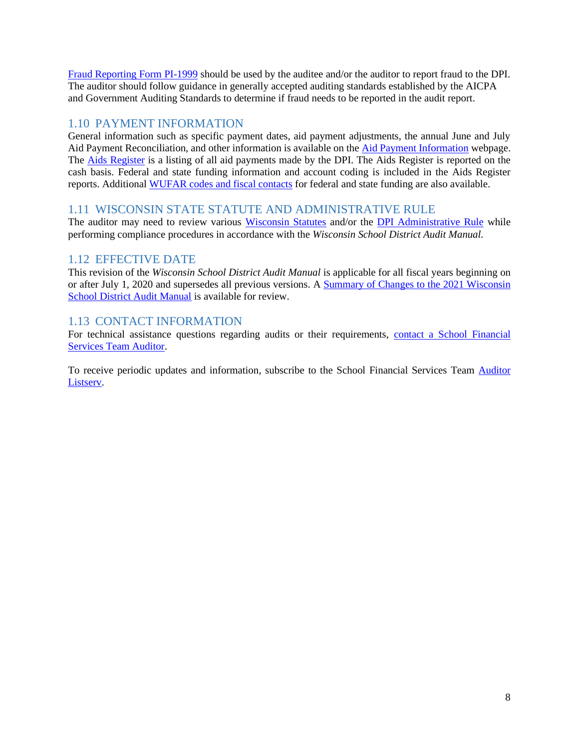[Fraud Reporting Form PI-1999](https://docs.google.com/a/dpi.wi.gov/forms/d/e/1FAIpQLSeVcWhjejI81iKBIjMNhEBq1IYiowUd9Ovh2-rmFbBUF7nBFA/viewform?formkey=dF9xcFZaQU1ZNGRSalNJblVrZjNWN1E6MQ#gid=0) should be used by the auditee and/or the auditor to report fraud to the DPI. The auditor should follow guidance in generally accepted auditing standards established by the AICPA and Government Auditing Standards to determine if fraud needs to be reported in the audit report.

### <span id="page-9-0"></span>1.10 PAYMENT INFORMATION

General information such as specific payment dates, aid payment adjustments, the annual June and July Aid Payment Reconciliation, and other information is available on the [Aid Payment Information](https://dpi.wi.gov/sfs/finances/aids-register/aid-payments) webpage. The **[Aids Register](https://apps6.dpi.wi.gov/AID/)** is a listing of all aid payments made by the DPI. The Aids Register is reported on the cash basis. Federal and state funding information and account coding is included in the Aids Register reports. Additional [WUFAR codes and fiscal contacts](https://apps6.dpi.wi.gov/AID/WufarReport) for federal and state funding are also available.

### <span id="page-9-1"></span>1.11 WISCONSIN STATE STATUTE AND ADMINISTRATIVE RULE

The auditor may need to review various [Wisconsin Statutes](https://docs.legis.wisconsin.gov/statutes/statutes/118/40/3m/f/3) and/or the DPI [Administrative Rule](https://docs.legis.wisconsin.gov/code/admin_code/pi) while performing compliance procedures in accordance with the *Wisconsin School District Audit Manual.*

### <span id="page-9-2"></span>1.12 EFFECTIVE DATE

This revision of the *Wisconsin School District Audit Manual* is applicable for all fiscal years beginning on or after July 1, 2020 and supersedes all previous versions. A [Summary of Changes to the 2021 Wisconsin](https://dpi.wi.gov/sites/default/files/imce/sfs/pdf/Summary_of_Changes_to_2021_Wisconsin_School_District_Audit_Manual.pdf)  [School District](https://dpi.wi.gov/sites/default/files/imce/sfs/pdf/Summary_of_Changes_to_2021_Wisconsin_School_District_Audit_Manual.pdf) Audit Manual is available for review.

### <span id="page-9-3"></span>1.13 CONTACT INFORMATION

For technical assistance questions regarding audits or their requirements, [contact a School Financial](https://dpi.wi.gov/sfs/communications/staff-directory)  [Services Team Auditor.](https://dpi.wi.gov/sfs/communications/staff-directory)

To receive periodic updates and information, subscribe to the School Financial Services Team [Auditor](https://dpi.wi.gov/sfs/finances/auditors/listserve/overview)  [Listserv.](https://dpi.wi.gov/sfs/finances/auditors/listserve/overview)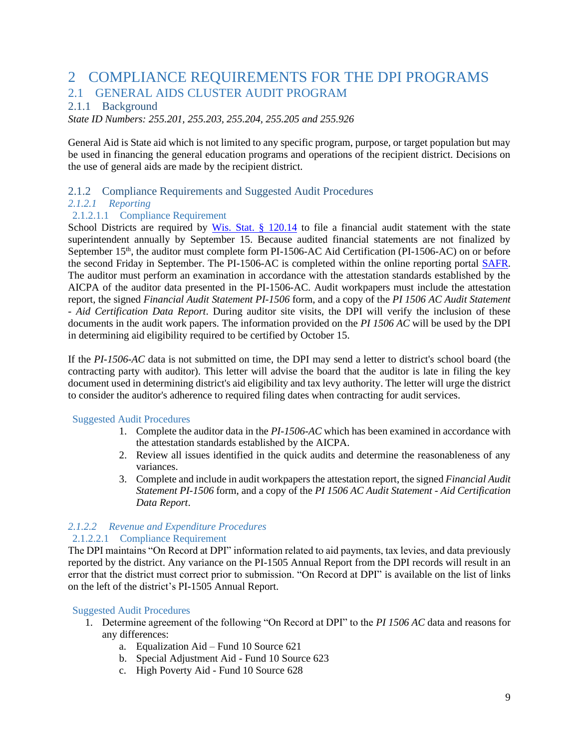# <span id="page-10-0"></span>2 COMPLIANCE REQUIREMENTS FOR THE DPI PROGRAMS 2.1 GENERAL AIDS CLUSTER AUDIT PROGRAM

#### <span id="page-10-2"></span><span id="page-10-1"></span>2.1.1 Background

*State ID Numbers: 255.201, 255.203, 255.204, 255.205 and 255.926*

General Aid is State aid which is not limited to any specific program, purpose, or target population but may be used in financing the general education programs and operations of the recipient district. Decisions on the use of general aids are made by the recipient district.

#### <span id="page-10-3"></span>2.1.2 Compliance Requirements and Suggested Audit Procedures

#### *2.1.2.1 Reporting*

#### 2.1.2.1.1 Compliance Requirement

School Districts are required by Wis. Stat.  $\S$  120.14 to file a financial audit statement with the state superintendent annually by September 15. Because audited financial statements are not finalized by September 15<sup>th</sup>, the auditor must complete form PI-1506-AC Aid Certification (PI-1506-AC) on or before the second Friday in September. The PI-1506-AC is completed within the online reporting portal [SAFR.](https://dpi.wi.gov/sfs/reporting/safr/overview) The auditor must perform an examination in accordance with the attestation standards established by the AICPA of the auditor data presented in the PI-1506-AC. Audit workpapers must include the attestation report, the signed *Financial Audit Statement PI-1506* form, and a copy of the *PI 1506 AC Audit Statement - Aid Certification Data Report*. During auditor site visits, the DPI will verify the inclusion of these documents in the audit work papers. The information provided on the *PI 1506 AC* will be used by the DPI in determining aid eligibility required to be certified by October 15.

If the *PI-1506-AC* data is not submitted on time, the DPI may send a letter to district's school board (the contracting party with auditor). This letter will advise the board that the auditor is late in filing the key document used in determining district's aid eligibility and tax levy authority. The letter will urge the district to consider the auditor's adherence to required filing dates when contracting for audit services.

#### Suggested Audit Procedures

- 1. Complete the auditor data in the *PI-1506-AC* which has been examined in accordance with the attestation standards established by the AICPA.
- 2. Review all issues identified in the quick audits and determine the reasonableness of any variances.
- 3. Complete and include in audit workpapers the attestation report, the signed *Financial Audit Statement PI-1506* form, and a copy of the *PI 1506 AC Audit Statement - Aid Certification Data Report*.

#### *2.1.2.2 Revenue and Expenditure Procedures* 2.1.2.2.1 Compliance Requirement

The DPI maintains "On Record at DPI" information related to aid payments, tax levies, and data previously reported by the district. Any variance on the PI-1505 Annual Report from the DPI records will result in an error that the district must correct prior to submission. "On Record at DPI" is available on the list of links on the left of the district's PI-1505 Annual Report.

- 1. Determine agreement of the following "On Record at DPI" to the *PI 1506 AC* data and reasons for any differences:
	- a. Equalization Aid Fund 10 Source 621
	- b. Special Adjustment Aid Fund 10 Source 623
	- c. High Poverty Aid Fund 10 Source 628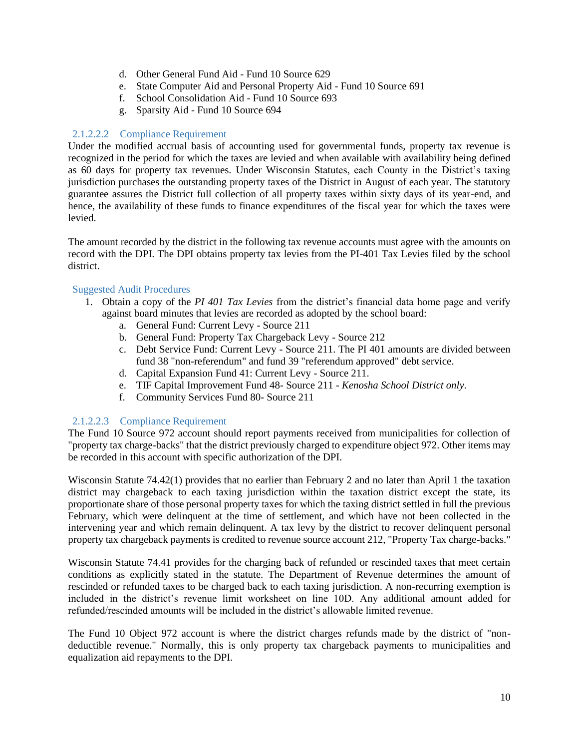- d. Other General Fund Aid Fund 10 Source 629
- e. State Computer Aid and Personal Property Aid Fund 10 Source 691
- f. School Consolidation Aid Fund 10 Source 693
- g. Sparsity Aid Fund 10 Source 694

#### 2.1.2.2.2 Compliance Requirement

Under the modified accrual basis of accounting used for governmental funds, property tax revenue is recognized in the period for which the taxes are levied and when available with availability being defined as 60 days for property tax revenues. Under Wisconsin Statutes, each County in the District's taxing jurisdiction purchases the outstanding property taxes of the District in August of each year. The statutory guarantee assures the District full collection of all property taxes within sixty days of its year-end, and hence, the availability of these funds to finance expenditures of the fiscal year for which the taxes were levied.

The amount recorded by the district in the following tax revenue accounts must agree with the amounts on record with the DPI. The DPI obtains property tax levies from the PI-401 Tax Levies filed by the school district.

#### Suggested Audit Procedures

- 1. Obtain a copy of the *PI 401 Tax Levies* from the district's financial data home page and verify against board minutes that levies are recorded as adopted by the school board:
	- a. General Fund: Current Levy Source 211
	- b. General Fund: Property Tax Chargeback Levy Source 212
	- c. Debt Service Fund: Current Levy Source 211. The PI 401 amounts are divided between fund 38 "non-referendum" and fund 39 "referendum approved" debt service.
	- d. Capital Expansion Fund 41: Current Levy Source 211.
	- e. TIF Capital Improvement Fund 48- Source 211 *Kenosha School District only*.
	- f. Community Services Fund 80- Source 211

#### 2.1.2.2.3 Compliance Requirement

The Fund 10 Source 972 account should report payments received from municipalities for collection of "property tax charge-backs" that the district previously charged to expenditure object 972. Other items may be recorded in this account with specific authorization of the DPI.

Wisconsin Statute 74.42(1) provides that no earlier than February 2 and no later than April 1 the taxation district may chargeback to each taxing jurisdiction within the taxation district except the state, its proportionate share of those personal property taxes for which the taxing district settled in full the previous February, which were delinquent at the time of settlement, and which have not been collected in the intervening year and which remain delinquent. A tax levy by the district to recover delinquent personal property tax chargeback payments is credited to revenue source account 212, "Property Tax charge-backs."

Wisconsin Statute 74.41 provides for the charging back of refunded or rescinded taxes that meet certain conditions as explicitly stated in the statute. The Department of Revenue determines the amount of rescinded or refunded taxes to be charged back to each taxing jurisdiction. A non-recurring exemption is included in the district's revenue limit worksheet on line 10D. Any additional amount added for refunded/rescinded amounts will be included in the district's allowable limited revenue.

The Fund 10 Object 972 account is where the district charges refunds made by the district of "nondeductible revenue." Normally, this is only property tax chargeback payments to municipalities and equalization aid repayments to the DPI.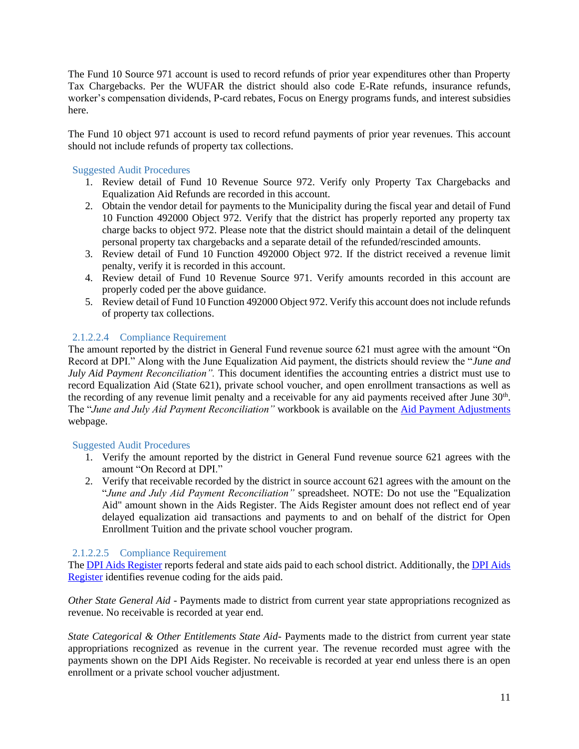The Fund 10 Source 971 account is used to record refunds of prior year expenditures other than Property Tax Chargebacks. Per the WUFAR the district should also code E-Rate refunds, insurance refunds, worker's compensation dividends, P-card rebates, Focus on Energy programs funds, and interest subsidies here.

The Fund 10 object 971 account is used to record refund payments of prior year revenues. This account should not include refunds of property tax collections.

#### Suggested Audit Procedures

- 1. Review detail of Fund 10 Revenue Source 972. Verify only Property Tax Chargebacks and Equalization Aid Refunds are recorded in this account.
- 2. Obtain the vendor detail for payments to the Municipality during the fiscal year and detail of Fund 10 Function 492000 Object 972. Verify that the district has properly reported any property tax charge backs to object 972. Please note that the district should maintain a detail of the delinquent personal property tax chargebacks and a separate detail of the refunded/rescinded amounts.
- 3. Review detail of Fund 10 Function 492000 Object 972. If the district received a revenue limit penalty, verify it is recorded in this account.
- 4. Review detail of Fund 10 Revenue Source 971. Verify amounts recorded in this account are properly coded per the above guidance.
- 5. Review detail of Fund 10 Function 492000 Object 972. Verify this account does not include refunds of property tax collections.

#### 2.1.2.2.4 Compliance Requirement

The amount reported by the district in General Fund revenue source 621 must agree with the amount "On Record at DPI." Along with the June Equalization Aid payment, the districts should review the "*June and July Aid Payment Reconciliation".* This document identifies the accounting entries a district must use to record Equalization Aid (State 621), private school voucher, and open enrollment transactions as well as the recording of any revenue limit penalty and a receivable for any aid payments received after June 30<sup>th</sup>. The "*June and July Aid Payment Reconciliation"* workbook is available on the [Aid Payment Adjustments](https://dpi.wi.gov/sfs/finances/aids-register/aid-payment-adj-exp) webpage.

#### Suggested Audit Procedures

- 1. Verify the amount reported by the district in General Fund revenue source 621 agrees with the amount "On Record at DPI."
- 2. Verify that receivable recorded by the district in source account 621 agrees with the amount on the "*June and July Aid Payment Reconciliation"* spreadsheet. NOTE: Do not use the "Equalization Aid" amount shown in the Aids Register. The Aids Register amount does not reflect end of year delayed equalization aid transactions and payments to and on behalf of the district for Open Enrollment Tuition and the private school voucher program.

#### 2.1.2.2.5 Compliance Requirement

The **DPI** Aids Register reports federal and state aids paid to each school district. Additionally, the **DPI** Aids [Register](http://dpi.wi.gov/sfs/finances/aids-register/aids-register-coding) identifies revenue coding for the aids paid.

*Other State General Aid -* Payments made to district from current year state appropriations recognized as revenue. No receivable is recorded at year end.

*State Categorical & Other Entitlements State Aid-* Payments made to the district from current year state appropriations recognized as revenue in the current year. The revenue recorded must agree with the payments shown on the DPI Aids Register. No receivable is recorded at year end unless there is an open enrollment or a private school voucher adjustment.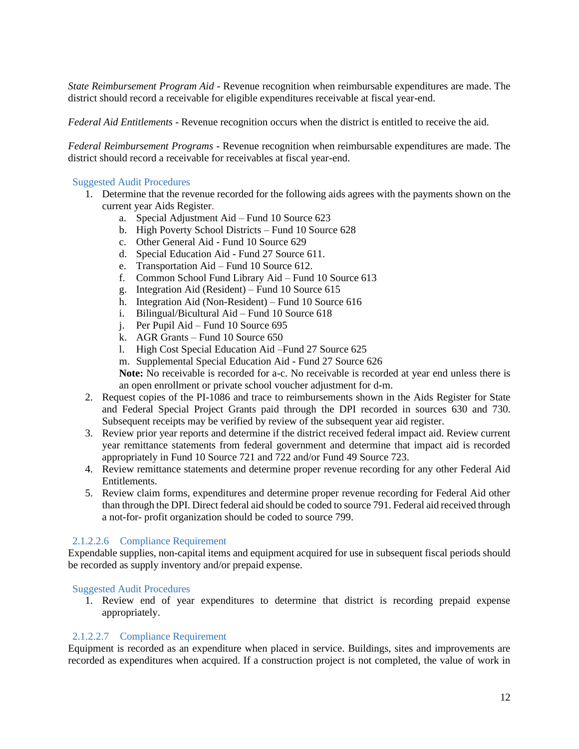*State Reimbursement Program Aid* - Revenue recognition when reimbursable expenditures are made. The district should record a receivable for eligible expenditures receivable at fiscal year-end.

*Federal Aid Entitlements* - Revenue recognition occurs when the district is entitled to receive the aid.

*Federal Reimbursement Programs* - Revenue recognition when reimbursable expenditures are made. The district should record a receivable for receivables at fiscal year-end.

#### Suggested Audit Procedures

- 1. Determine that the revenue recorded for the following aids agrees with the payments shown on the current year Aids Register.
	- a. Special Adjustment Aid Fund 10 Source 623
	- b. High Poverty School Districts Fund 10 Source 628
	- c. Other General Aid Fund 10 Source 629
	- d. Special Education Aid Fund 27 Source 611.
	- e. Transportation Aid Fund 10 Source 612.
	- f. Common School Fund Library Aid Fund 10 Source 613
	- g. Integration Aid (Resident) Fund 10 Source 615
	- h. Integration Aid (Non-Resident) Fund 10 Source 616
	- i. Bilingual/Bicultural Aid Fund 10 Source 618
	- j. Per Pupil Aid Fund 10 Source 695
	- k. AGR Grants Fund 10 Source 650
	- l. High Cost Special Education Aid –Fund 27 Source 625

m. Supplemental Special Education Aid - Fund 27 Source 626

**Note:** No receivable is recorded for a-c. No receivable is recorded at year end unless there is an open enrollment or private school voucher adjustment for d-m.

- 2. Request copies of the PI-1086 and trace to reimbursements shown in the Aids Register for State and Federal Special Project Grants paid through the DPI recorded in sources 630 and 730. Subsequent receipts may be verified by review of the subsequent year aid register.
- 3. Review prior year reports and determine if the district received federal impact aid. Review current year remittance statements from federal government and determine that impact aid is recorded appropriately in Fund 10 Source 721 and 722 and/or Fund 49 Source 723.
- 4. Review remittance statements and determine proper revenue recording for any other Federal Aid Entitlements.
- 5. Review claim forms, expenditures and determine proper revenue recording for Federal Aid other than through the DPI. Direct federal aid should be coded to source 791. Federal aid received through a not-for- profit organization should be coded to source 799.

#### 2.1.2.2.6 Compliance Requirement

Expendable supplies, non-capital items and equipment acquired for use in subsequent fiscal periods should be recorded as supply inventory and/or prepaid expense.

#### Suggested Audit Procedures

1. Review end of year expenditures to determine that district is recording prepaid expense appropriately.

#### 2.1.2.2.7 Compliance Requirement

Equipment is recorded as an expenditure when placed in service. Buildings, sites and improvements are recorded as expenditures when acquired. If a construction project is not completed, the value of work in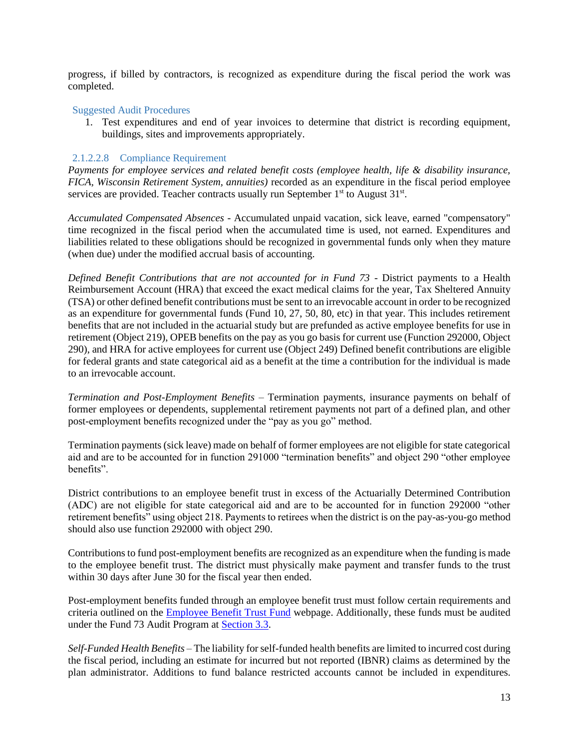progress, if billed by contractors, is recognized as expenditure during the fiscal period the work was completed.

#### Suggested Audit Procedures

1. Test expenditures and end of year invoices to determine that district is recording equipment, buildings, sites and improvements appropriately.

#### 2.1.2.2.8 Compliance Requirement

*Payments for employee services and related benefit costs (employee health, life & disability insurance, FICA, Wisconsin Retirement System, annuities)* recorded as an expenditure in the fiscal period employee services are provided. Teacher contracts usually run September  $1<sup>st</sup>$  to August  $31<sup>st</sup>$ .

*Accumulated Compensated Absences -* Accumulated unpaid vacation, sick leave, earned "compensatory" time recognized in the fiscal period when the accumulated time is used, not earned. Expenditures and liabilities related to these obligations should be recognized in governmental funds only when they mature (when due) under the modified accrual basis of accounting.

*Defined Benefit Contributions that are not accounted for in Fund 73* - District payments to a Health Reimbursement Account (HRA) that exceed the exact medical claims for the year, Tax Sheltered Annuity (TSA) or other defined benefit contributions must be sent to an irrevocable account in order to be recognized as an expenditure for governmental funds (Fund 10, 27, 50, 80, etc) in that year. This includes retirement benefits that are not included in the actuarial study but are prefunded as active employee benefits for use in retirement (Object 219), OPEB benefits on the pay as you go basis for current use (Function 292000, Object 290), and HRA for active employees for current use (Object 249) Defined benefit contributions are eligible for federal grants and state categorical aid as a benefit at the time a contribution for the individual is made to an irrevocable account.

*Termination and Post-Employment Benefits –* Termination payments, insurance payments on behalf of former employees or dependents, supplemental retirement payments not part of a defined plan, and other post-employment benefits recognized under the "pay as you go" method.

Termination payments (sick leave) made on behalf of former employees are not eligible for state categorical aid and are to be accounted for in function 291000 "termination benefits" and object 290 "other employee benefits".

District contributions to an employee benefit trust in excess of the Actuarially Determined Contribution (ADC) are not eligible for state categorical aid and are to be accounted for in function 292000 "other retirement benefits" using object 218. Payments to retirees when the district is on the pay-as-you-go method should also use function 292000 with object 290.

Contributions to fund post-employment benefits are recognized as an expenditure when the funding is made to the employee benefit trust. The district must physically make payment and transfer funds to the trust within 30 days after June 30 for the fiscal year then ended.

Post-employment benefits funded through an employee benefit trust must follow certain requirements and criteria outlined on the **Employee Benefit Trust Fund** webpage. Additionally, these funds must be audited under the Fund 73 Audit Program at [Section 3.3.](#page-53-0)

*Self-Funded Health Benefits* – The liability for self-funded health benefits are limited to incurred cost during the fiscal period, including an estimate for incurred but not reported (IBNR) claims as determined by the plan administrator. Additions to fund balance restricted accounts cannot be included in expenditures.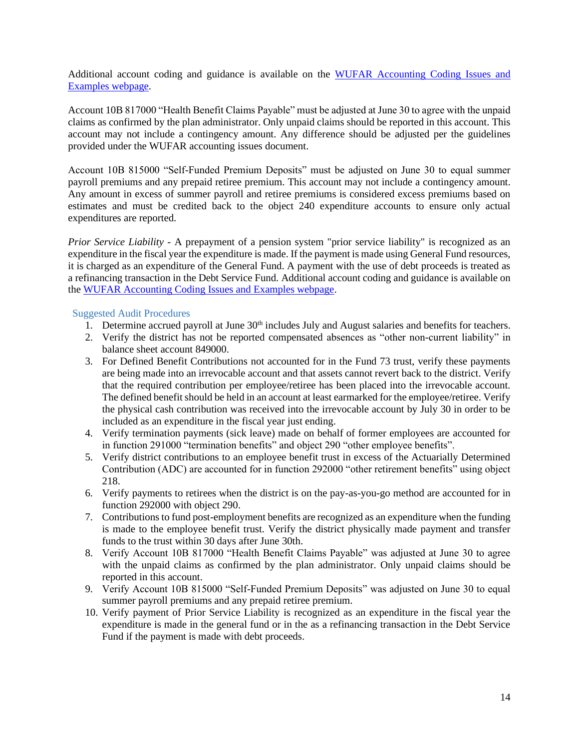Additional account coding and guidance is available on the [WUFAR Accounting Coding Issues and](https://dpi.wi.gov/sfs/finances/wufar/accounting-issues-examples)  [Examples webpage.](https://dpi.wi.gov/sfs/finances/wufar/accounting-issues-examples)

Account 10B 817000 "Health Benefit Claims Payable" must be adjusted at June 30 to agree with the unpaid claims as confirmed by the plan administrator. Only unpaid claims should be reported in this account. This account may not include a contingency amount. Any difference should be adjusted per the guidelines provided under the WUFAR accounting issues document.

Account 10B 815000 "Self-Funded Premium Deposits" must be adjusted on June 30 to equal summer payroll premiums and any prepaid retiree premium. This account may not include a contingency amount. Any amount in excess of summer payroll and retiree premiums is considered excess premiums based on estimates and must be credited back to the object 240 expenditure accounts to ensure only actual expenditures are reported.

*Prior Service Liability* - A prepayment of a pension system "prior service liability" is recognized as an expenditure in the fiscal year the expenditure is made. If the payment is made using General Fund resources, it is charged as an expenditure of the General Fund. A payment with the use of debt proceeds is treated as a refinancing transaction in the Debt Service Fund. Additional account coding and guidance is available on the [WUFAR Accounting Coding Issues and Examples webpage.](https://dpi.wi.gov/sfs/finances/wufar/accounting-issues-examples)

- 1. Determine accrued payroll at June  $30<sup>th</sup>$  includes July and August salaries and benefits for teachers.
- 2. Verify the district has not be reported compensated absences as "other non-current liability" in balance sheet account 849000.
- 3. For Defined Benefit Contributions not accounted for in the Fund 73 trust, verify these payments are being made into an irrevocable account and that assets cannot revert back to the district. Verify that the required contribution per employee/retiree has been placed into the irrevocable account. The defined benefit should be held in an account at least earmarked for the employee/retiree. Verify the physical cash contribution was received into the irrevocable account by July 30 in order to be included as an expenditure in the fiscal year just ending.
- 4. Verify termination payments (sick leave) made on behalf of former employees are accounted for in function 291000 "termination benefits" and object 290 "other employee benefits".
- 5. Verify district contributions to an employee benefit trust in excess of the Actuarially Determined Contribution (ADC) are accounted for in function 292000 "other retirement benefits" using object 218.
- 6. Verify payments to retirees when the district is on the pay-as-you-go method are accounted for in function 292000 with object 290.
- 7. Contributions to fund post-employment benefits are recognized as an expenditure when the funding is made to the employee benefit trust. Verify the district physically made payment and transfer funds to the trust within 30 days after June 30th.
- 8. Verify Account 10B 817000 "Health Benefit Claims Payable" was adjusted at June 30 to agree with the unpaid claims as confirmed by the plan administrator. Only unpaid claims should be reported in this account.
- 9. Verify Account 10B 815000 "Self-Funded Premium Deposits" was adjusted on June 30 to equal summer payroll premiums and any prepaid retiree premium.
- 10. Verify payment of Prior Service Liability is recognized as an expenditure in the fiscal year the expenditure is made in the general fund or in the as a refinancing transaction in the Debt Service Fund if the payment is made with debt proceeds.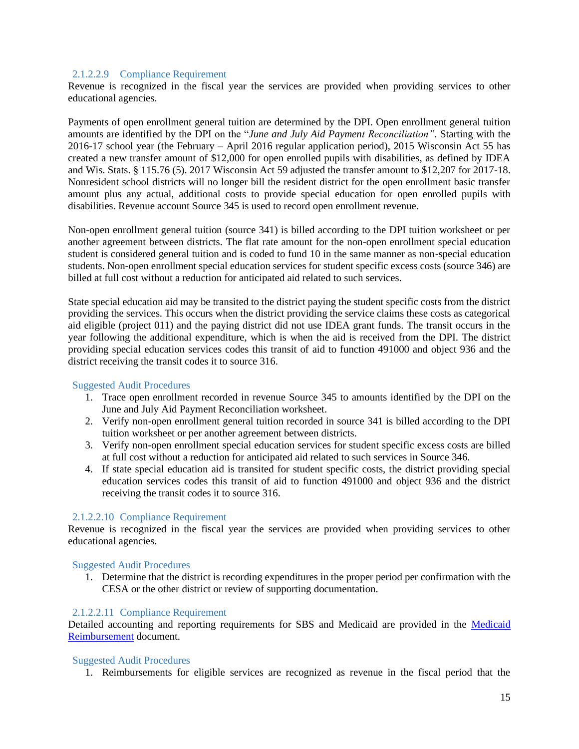#### 2.1.2.2.9 Compliance Requirement

Revenue is recognized in the fiscal year the services are provided when providing services to other educational agencies.

Payments of open enrollment general tuition are determined by the DPI. Open enrollment general tuition amounts are identified by the DPI on the "*June and July Aid Payment Reconciliation"*. Starting with the 2016-17 school year (the February – April 2016 regular application period), 2015 Wisconsin Act 55 has created a new transfer amount of \$12,000 for open enrolled pupils with disabilities, as defined by IDEA and Wis. Stats. § 115.76 (5). 2017 Wisconsin Act 59 adjusted the transfer amount to \$12,207 for 2017-18. Nonresident school districts will no longer bill the resident district for the open enrollment basic transfer amount plus any actual, additional costs to provide special education for open enrolled pupils with disabilities. Revenue account Source 345 is used to record open enrollment revenue.

Non-open enrollment general tuition (source 341) is billed according to the DPI tuition worksheet or per another agreement between districts. The flat rate amount for the non-open enrollment special education student is considered general tuition and is coded to fund 10 in the same manner as non-special education students. Non-open enrollment special education services for student specific excess costs (source 346) are billed at full cost without a reduction for anticipated aid related to such services.

State special education aid may be transited to the district paying the student specific costs from the district providing the services. This occurs when the district providing the service claims these costs as categorical aid eligible (project 011) and the paying district did not use IDEA grant funds. The transit occurs in the year following the additional expenditure, which is when the aid is received from the DPI. The district providing special education services codes this transit of aid to function 491000 and object 936 and the district receiving the transit codes it to source 316.

#### Suggested Audit Procedures

- 1. Trace open enrollment recorded in revenue Source 345 to amounts identified by the DPI on the June and July Aid Payment Reconciliation worksheet.
- 2. Verify non-open enrollment general tuition recorded in source 341 is billed according to the DPI tuition worksheet or per another agreement between districts.
- 3. Verify non-open enrollment special education services for student specific excess costs are billed at full cost without a reduction for anticipated aid related to such services in Source 346.
- 4. If state special education aid is transited for student specific costs, the district providing special education services codes this transit of aid to function 491000 and object 936 and the district receiving the transit codes it to source 316.

#### 2.1.2.2.10 Compliance Requirement

Revenue is recognized in the fiscal year the services are provided when providing services to other educational agencies.

#### Suggested Audit Procedures

1. Determine that the district is recording expenditures in the proper period per confirmation with the CESA or the other district or review of supporting documentation.

#### 2.1.2.2.11 Compliance Requirement

Detailed accounting and reporting requirements for SBS and Medicaid are provided in the [Medicaid](https://dpi.wi.gov/sites/default/files/imce/sfs/pdf/medicaid-reimbursement.pdf)  [Reimbursement](https://dpi.wi.gov/sites/default/files/imce/sfs/pdf/medicaid-reimbursement.pdf) document.

#### Suggested Audit Procedures

1. Reimbursements for eligible services are recognized as revenue in the fiscal period that the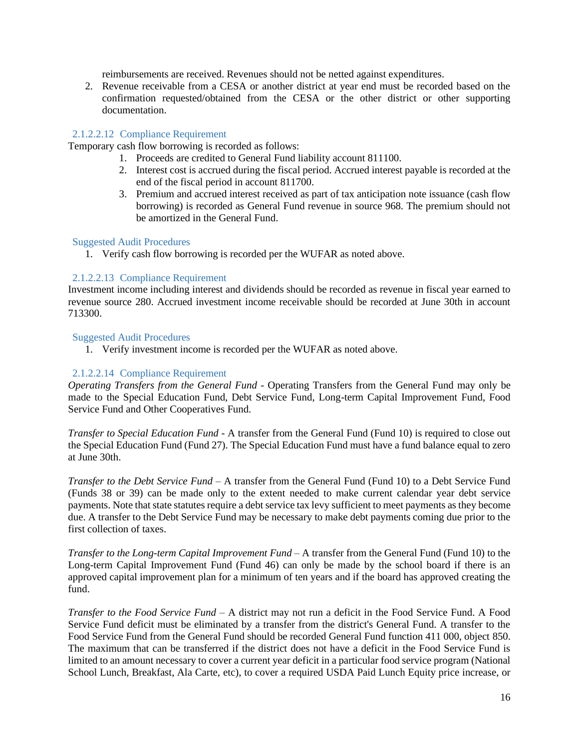reimbursements are received. Revenues should not be netted against expenditures.

2. Revenue receivable from a CESA or another district at year end must be recorded based on the confirmation requested/obtained from the CESA or the other district or other supporting documentation.

#### 2.1.2.2.12 Compliance Requirement

Temporary cash flow borrowing is recorded as follows:

- 1. Proceeds are credited to General Fund liability account 811100.
- 2. Interest cost is accrued during the fiscal period. Accrued interest payable is recorded at the end of the fiscal period in account 811700.
- 3. Premium and accrued interest received as part of tax anticipation note issuance (cash flow borrowing) is recorded as General Fund revenue in source 968. The premium should not be amortized in the General Fund.

#### Suggested Audit Procedures

1. Verify cash flow borrowing is recorded per the WUFAR as noted above.

#### 2.1.2.2.13 Compliance Requirement

Investment income including interest and dividends should be recorded as revenue in fiscal year earned to revenue source 280. Accrued investment income receivable should be recorded at June 30th in account 713300.

#### Suggested Audit Procedures

1. Verify investment income is recorded per the WUFAR as noted above.

#### 2.1.2.2.14 Compliance Requirement

*Operating Transfers from the General Fund -* Operating Transfers from the General Fund may only be made to the Special Education Fund, Debt Service Fund, Long-term Capital Improvement Fund, Food Service Fund and Other Cooperatives Fund.

*Transfer to Special Education Fund -* A transfer from the General Fund (Fund 10) is required to close out the Special Education Fund (Fund 27). The Special Education Fund must have a fund balance equal to zero at June 30th.

*Transfer to the Debt Service Fund –* A transfer from the General Fund (Fund 10) to a Debt Service Fund (Funds 38 or 39) can be made only to the extent needed to make current calendar year debt service payments. Note that state statutes require a debt service tax levy sufficient to meet payments as they become due. A transfer to the Debt Service Fund may be necessary to make debt payments coming due prior to the first collection of taxes.

*Transfer to the Long-term Capital Improvement Fund –* A transfer from the General Fund (Fund 10) to the Long-term Capital Improvement Fund (Fund 46) can only be made by the school board if there is an approved capital improvement plan for a minimum of ten years and if the board has approved creating the fund.

*Transfer to the Food Service Fund –* A district may not run a deficit in the Food Service Fund. A Food Service Fund deficit must be eliminated by a transfer from the district's General Fund. A transfer to the Food Service Fund from the General Fund should be recorded General Fund function 411 000, object 850. The maximum that can be transferred if the district does not have a deficit in the Food Service Fund is limited to an amount necessary to cover a current year deficit in a particular food service program (National School Lunch, Breakfast, Ala Carte, etc), to cover a required USDA Paid Lunch Equity price increase, or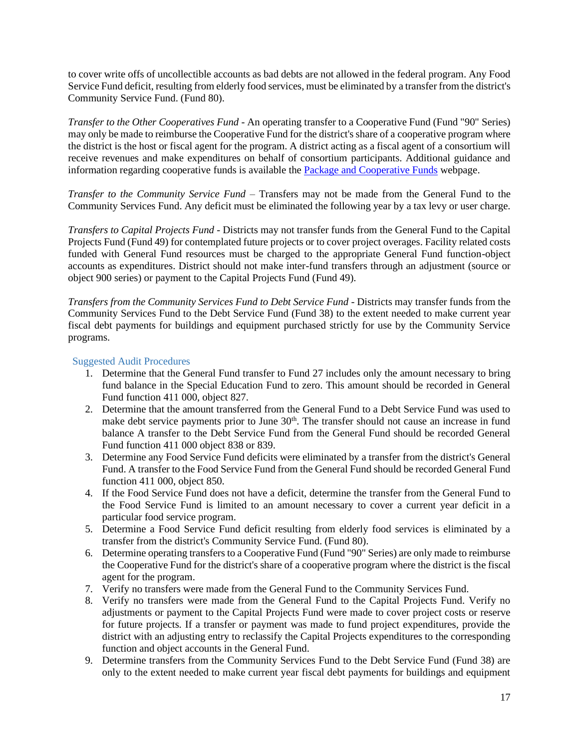to cover write offs of uncollectible accounts as bad debts are not allowed in the federal program. Any Food Service Fund deficit, resulting from elderly food services, must be eliminated by a transfer from the district's Community Service Fund. (Fund 80).

*Transfer to the Other Cooperatives Fund -* An operating transfer to a Cooperative Fund (Fund "90" Series) may only be made to reimburse the Cooperative Fund for the district's share of a cooperative program where the district is the host or fiscal agent for the program. A district acting as a fiscal agent of a consortium will receive revenues and make expenditures on behalf of consortium participants. Additional guidance and information regarding cooperative funds is available the [Package and Cooperative Funds](https://dpi.wi.gov/sfs/finances/fund-info/package-cooperative-funds) webpage.

*Transfer to the Community Service Fund* – Transfers may not be made from the General Fund to the Community Services Fund. Any deficit must be eliminated the following year by a tax levy or user charge.

*Transfers to Capital Projects Fund* - Districts may not transfer funds from the General Fund to the Capital Projects Fund (Fund 49) for contemplated future projects or to cover project overages. Facility related costs funded with General Fund resources must be charged to the appropriate General Fund function-object accounts as expenditures. District should not make inter-fund transfers through an adjustment (source or object 900 series) or payment to the Capital Projects Fund (Fund 49).

*Transfers from the Community Services Fund to Debt Service Fund* - Districts may transfer funds from the Community Services Fund to the Debt Service Fund (Fund 38) to the extent needed to make current year fiscal debt payments for buildings and equipment purchased strictly for use by the Community Service programs.

- 1. Determine that the General Fund transfer to Fund 27 includes only the amount necessary to bring fund balance in the Special Education Fund to zero. This amount should be recorded in General Fund function 411 000, object 827.
- 2. Determine that the amount transferred from the General Fund to a Debt Service Fund was used to make debt service payments prior to June  $30<sup>th</sup>$ . The transfer should not cause an increase in fund balance A transfer to the Debt Service Fund from the General Fund should be recorded General Fund function 411 000 object 838 or 839.
- 3. Determine any Food Service Fund deficits were eliminated by a transfer from the district's General Fund. A transfer to the Food Service Fund from the General Fund should be recorded General Fund function 411 000, object 850.
- 4. If the Food Service Fund does not have a deficit, determine the transfer from the General Fund to the Food Service Fund is limited to an amount necessary to cover a current year deficit in a particular food service program.
- 5. Determine a Food Service Fund deficit resulting from elderly food services is eliminated by a transfer from the district's Community Service Fund. (Fund 80).
- 6. Determine operating transfers to a Cooperative Fund (Fund "90" Series) are only made to reimburse the Cooperative Fund for the district's share of a cooperative program where the district is the fiscal agent for the program.
- 7. Verify no transfers were made from the General Fund to the Community Services Fund.
- 8. Verify no transfers were made from the General Fund to the Capital Projects Fund. Verify no adjustments or payment to the Capital Projects Fund were made to cover project costs or reserve for future projects. If a transfer or payment was made to fund project expenditures, provide the district with an adjusting entry to reclassify the Capital Projects expenditures to the corresponding function and object accounts in the General Fund.
- 9. Determine transfers from the Community Services Fund to the Debt Service Fund (Fund 38) are only to the extent needed to make current year fiscal debt payments for buildings and equipment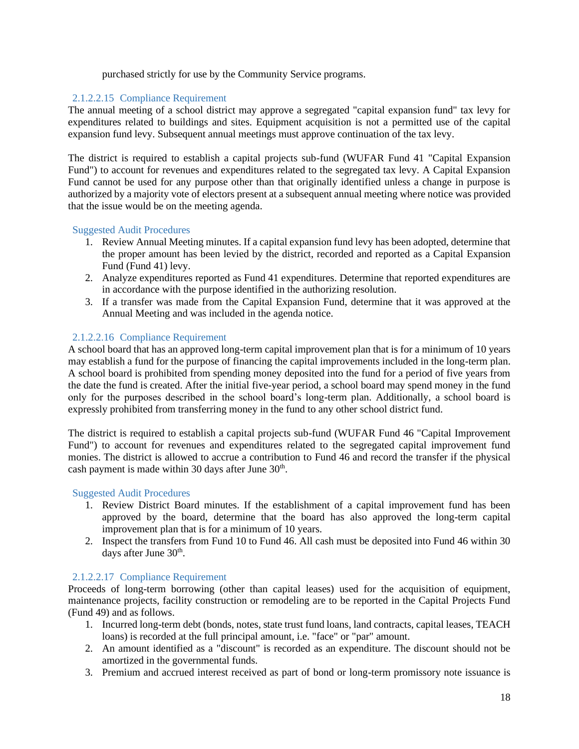purchased strictly for use by the Community Service programs.

#### 2.1.2.2.15 Compliance Requirement

The annual meeting of a school district may approve a segregated "capital expansion fund" tax levy for expenditures related to buildings and sites. Equipment acquisition is not a permitted use of the capital expansion fund levy. Subsequent annual meetings must approve continuation of the tax levy.

The district is required to establish a capital projects sub-fund (WUFAR Fund 41 "Capital Expansion Fund") to account for revenues and expenditures related to the segregated tax levy. A Capital Expansion Fund cannot be used for any purpose other than that originally identified unless a change in purpose is authorized by a majority vote of electors present at a subsequent annual meeting where notice was provided that the issue would be on the meeting agenda.

#### Suggested Audit Procedures

- 1. Review Annual Meeting minutes. If a capital expansion fund levy has been adopted, determine that the proper amount has been levied by the district, recorded and reported as a Capital Expansion Fund (Fund 41) levy.
- 2. Analyze expenditures reported as Fund 41 expenditures. Determine that reported expenditures are in accordance with the purpose identified in the authorizing resolution.
- 3. If a transfer was made from the Capital Expansion Fund, determine that it was approved at the Annual Meeting and was included in the agenda notice.

#### 2.1.2.2.16 Compliance Requirement

A school board that has an approved long-term capital improvement plan that is for a minimum of 10 years may establish a fund for the purpose of financing the capital improvements included in the long-term plan. A school board is prohibited from spending money deposited into the fund for a period of five years from the date the fund is created. After the initial five-year period, a school board may spend money in the fund only for the purposes described in the school board's long-term plan. Additionally, a school board is expressly prohibited from transferring money in the fund to any other school district fund.

The district is required to establish a capital projects sub-fund (WUFAR Fund 46 "Capital Improvement Fund") to account for revenues and expenditures related to the segregated capital improvement fund monies. The district is allowed to accrue a contribution to Fund 46 and record the transfer if the physical cash payment is made within 30 days after June 30<sup>th</sup>.

#### Suggested Audit Procedures

- 1. Review District Board minutes. If the establishment of a capital improvement fund has been approved by the board, determine that the board has also approved the long-term capital improvement plan that is for a minimum of 10 years.
- 2. Inspect the transfers from Fund 10 to Fund 46. All cash must be deposited into Fund 46 within 30 days after June 30<sup>th</sup>.

#### 2.1.2.2.17 Compliance Requirement

Proceeds of long-term borrowing (other than capital leases) used for the acquisition of equipment, maintenance projects, facility construction or remodeling are to be reported in the Capital Projects Fund (Fund 49) and as follows.

- 1. Incurred long-term debt (bonds, notes, state trust fund loans, land contracts, capital leases, TEACH loans) is recorded at the full principal amount, i.e. "face" or "par" amount.
- 2. An amount identified as a "discount" is recorded as an expenditure. The discount should not be amortized in the governmental funds.
- 3. Premium and accrued interest received as part of bond or long-term promissory note issuance is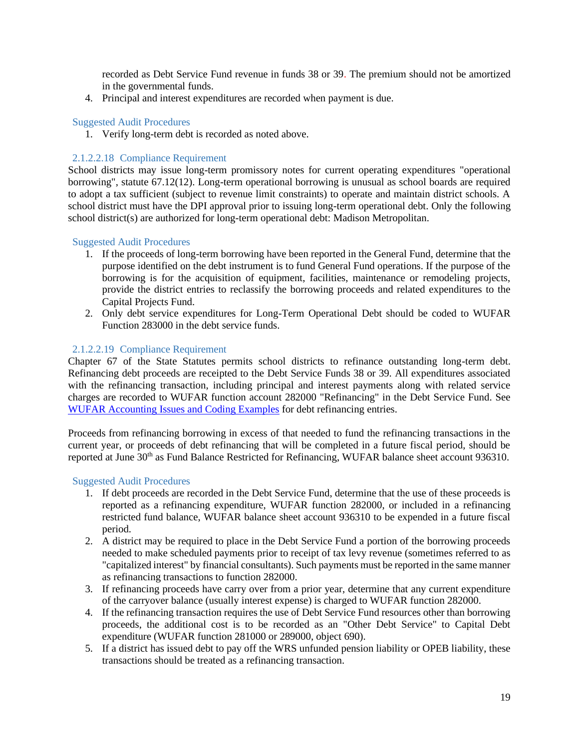recorded as Debt Service Fund revenue in funds 38 or 39. The premium should not be amortized in the governmental funds.

4. Principal and interest expenditures are recorded when payment is due.

#### Suggested Audit Procedures

1. Verify long-term debt is recorded as noted above.

#### 2.1.2.2.18 Compliance Requirement

School districts may issue long-term promissory notes for current operating expenditures "operational borrowing", statute 67.12(12). Long-term operational borrowing is unusual as school boards are required to adopt a tax sufficient (subject to revenue limit constraints) to operate and maintain district schools. A school district must have the DPI approval prior to issuing long-term operational debt. Only the following school district(s) are authorized for long-term operational debt: Madison Metropolitan.

#### Suggested Audit Procedures

- 1. If the proceeds of long-term borrowing have been reported in the General Fund, determine that the purpose identified on the debt instrument is to fund General Fund operations. If the purpose of the borrowing is for the acquisition of equipment, facilities, maintenance or remodeling projects, provide the district entries to reclassify the borrowing proceeds and related expenditures to the Capital Projects Fund.
- 2. Only debt service expenditures for Long-Term Operational Debt should be coded to WUFAR Function 283000 in the debt service funds.

#### 2.1.2.2.19 Compliance Requirement

Chapter 67 of the State Statutes permits school districts to refinance outstanding long-term debt. Refinancing debt proceeds are receipted to the Debt Service Funds 38 or 39. All expenditures associated with the refinancing transaction, including principal and interest payments along with related service charges are recorded to WUFAR function account 282000 "Refinancing" in the Debt Service Fund. See [WUFAR Accounting Issues and Coding Examples](https://dpi.wi.gov/sfs/finances/wufar/accounting-issues-examples) for debt refinancing entries.

Proceeds from refinancing borrowing in excess of that needed to fund the refinancing transactions in the current year, or proceeds of debt refinancing that will be completed in a future fiscal period, should be reported at June 30<sup>th</sup> as Fund Balance Restricted for Refinancing, WUFAR balance sheet account 936310.

- 1. If debt proceeds are recorded in the Debt Service Fund, determine that the use of these proceeds is reported as a refinancing expenditure, WUFAR function 282000, or included in a refinancing restricted fund balance, WUFAR balance sheet account 936310 to be expended in a future fiscal period.
- 2. A district may be required to place in the Debt Service Fund a portion of the borrowing proceeds needed to make scheduled payments prior to receipt of tax levy revenue (sometimes referred to as "capitalized interest" by financial consultants). Such payments must be reported in the same manner as refinancing transactions to function 282000.
- 3. If refinancing proceeds have carry over from a prior year, determine that any current expenditure of the carryover balance (usually interest expense) is charged to WUFAR function 282000.
- 4. If the refinancing transaction requires the use of Debt Service Fund resources other than borrowing proceeds, the additional cost is to be recorded as an "Other Debt Service" to Capital Debt expenditure (WUFAR function 281000 or 289000, object 690).
- 5. If a district has issued debt to pay off the WRS unfunded pension liability or OPEB liability, these transactions should be treated as a refinancing transaction.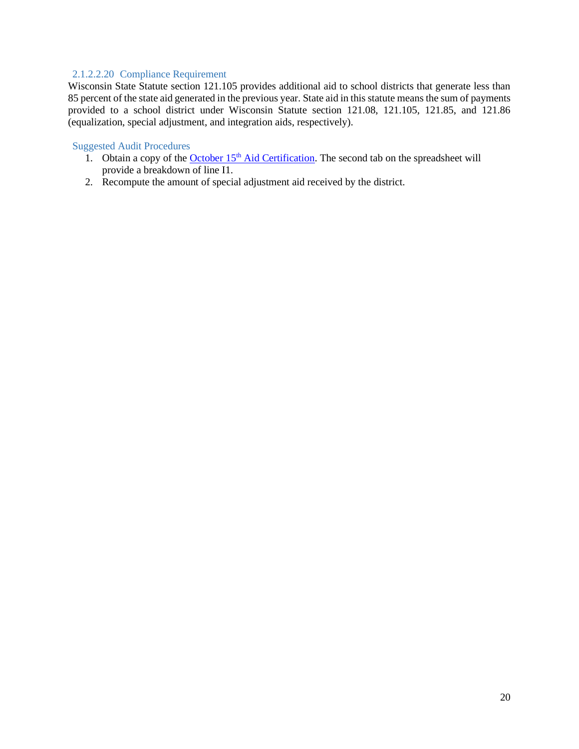#### 2.1.2.2.20 Compliance Requirement

Wisconsin State Statute section 121.105 provides additional aid to school districts that generate less than 85 percent of the state aid generated in the previous year. State aid in this statute means the sum of payments provided to a school district under Wisconsin Statute section 121.08, 121.105, 121.85, and 121.86 (equalization, special adjustment, and integration aids, respectively).

- 1. Obtain a copy of the **October 15<sup>th</sup>** [Aid Certification.](https://dpi.wi.gov/sfs/aid/general/equalization/worksheets-general-aid) The second tab on the spreadsheet will provide a breakdown of line I1.
- 2. Recompute the amount of special adjustment aid received by the district.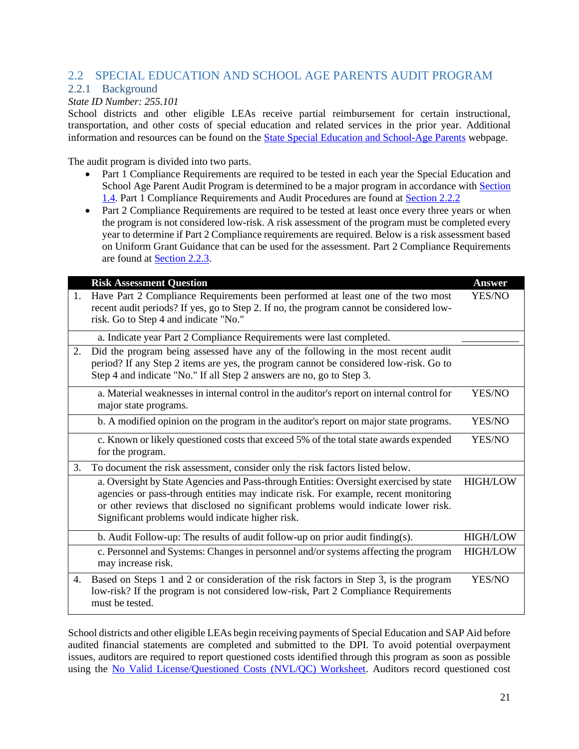### <span id="page-22-0"></span>2.2 SPECIAL EDUCATION AND SCHOOL AGE PARENTS AUDIT PROGRAM

### <span id="page-22-1"></span>2.2.1 Background

#### *State ID Number: 255.101*

School districts and other eligible LEAs receive partial reimbursement for certain instructional, transportation, and other costs of special education and related services in the prior year. Additional information and resources can be found on the [State Special Education and School-Age Parents](https://dpi.wi.gov/sfs/aid/special-ed/sped-sap/overview) webpage.

The audit program is divided into two parts.

- Part 1 Compliance Requirements are required to be tested in each year the Special Education and School Age Parent Audit Program is determined to be a major program in accordance with Section [1.4.](#page-4-0) Part 1 Compliance Requirements and Audit Procedures are found at [Section 2.2.2](#page-23-0)
- Part 2 Compliance Requirements are required to be tested at least once every three years or when the program is not considered low-risk. A risk assessment of the program must be completed every year to determine if Part 2 Compliance requirements are required. Below is a risk assessment based on Uniform Grant Guidance that can be used for the assessment. Part 2 Compliance Requirements are found at [Section 2.2.3.](#page-25-0)

|    | <b>Risk Assessment Question</b>                                                                                                                                                                                                                                                                                         | <b>Answer</b>   |
|----|-------------------------------------------------------------------------------------------------------------------------------------------------------------------------------------------------------------------------------------------------------------------------------------------------------------------------|-----------------|
| 1. | Have Part 2 Compliance Requirements been performed at least one of the two most<br>recent audit periods? If yes, go to Step 2. If no, the program cannot be considered low-<br>risk. Go to Step 4 and indicate "No."                                                                                                    | YES/NO          |
|    | a. Indicate year Part 2 Compliance Requirements were last completed.                                                                                                                                                                                                                                                    |                 |
| 2. | Did the program being assessed have any of the following in the most recent audit<br>period? If any Step 2 items are yes, the program cannot be considered low-risk. Go to<br>Step 4 and indicate "No." If all Step 2 answers are no, go to Step 3.                                                                     |                 |
|    | a. Material weaknesses in internal control in the auditor's report on internal control for<br>major state programs.                                                                                                                                                                                                     | YES/NO          |
|    | b. A modified opinion on the program in the auditor's report on major state programs.                                                                                                                                                                                                                                   | YES/NO          |
|    | c. Known or likely questioned costs that exceed 5% of the total state awards expended<br>for the program.                                                                                                                                                                                                               | YES/NO          |
| 3. | To document the risk assessment, consider only the risk factors listed below.                                                                                                                                                                                                                                           |                 |
|    | a. Oversight by State Agencies and Pass-through Entities: Oversight exercised by state<br>agencies or pass-through entities may indicate risk. For example, recent monitoring<br>or other reviews that disclosed no significant problems would indicate lower risk.<br>Significant problems would indicate higher risk. | <b>HIGH/LOW</b> |
|    | b. Audit Follow-up: The results of audit follow-up on prior audit finding(s).                                                                                                                                                                                                                                           | <b>HIGH/LOW</b> |
|    | c. Personnel and Systems: Changes in personnel and/or systems affecting the program<br>may increase risk.                                                                                                                                                                                                               | <b>HIGH/LOW</b> |
| 4. | Based on Steps 1 and 2 or consideration of the risk factors in Step 3, is the program<br>low-risk? If the program is not considered low-risk, Part 2 Compliance Requirements<br>must be tested.                                                                                                                         | YES/NO          |

School districts and other eligible LEAs begin receiving payments of Special Education and SAP Aid before audited financial statements are completed and submitted to the DPI. To avoid potential overpayment issues, auditors are required to report questioned costs identified through this program as soon as possible using the [No Valid License/Questioned Costs \(NVL/QC\) Worksheet.](https://dpi.wi.gov/sites/default/files/imce/sfs/xls/Special_Education_NVL-QC_Worksheet_-_BLANK.xlsx) Auditors record questioned cost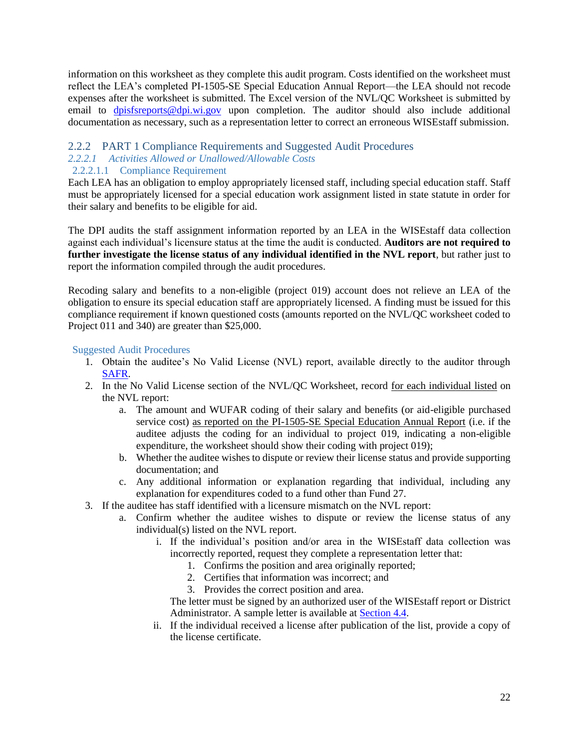information on this worksheet as they complete this audit program. Costs identified on the worksheet must reflect the LEA's completed PI-1505-SE Special Education Annual Report—the LEA should not recode expenses after the worksheet is submitted. The Excel version of the NVL/QC Worksheet is submitted by email to [dpisfsreports@dpi.wi.gov](mailto:dpisfsreports@dpi.wi.gov) upon completion. The auditor should also include additional documentation as necessary, such as a representation letter to correct an erroneous WISEstaff submission.

#### <span id="page-23-0"></span>2.2.2 PART 1 Compliance Requirements and Suggested Audit Procedures *2.2.2.1 Activities Allowed or Unallowed/Allowable Costs*

#### 2.2.2.1.1 Compliance Requirement

Each LEA has an obligation to employ appropriately licensed staff, including special education staff. Staff must be appropriately licensed for a special education work assignment listed in state statute in order for their salary and benefits to be eligible for aid.

The DPI audits the staff assignment information reported by an LEA in the WISEstaff data collection against each individual's licensure status at the time the audit is conducted. **Auditors are not required to further investigate the license status of any individual identified in the NVL report**, but rather just to report the information compiled through the audit procedures.

Recoding salary and benefits to a non-eligible (project 019) account does not relieve an LEA of the obligation to ensure its special education staff are appropriately licensed. A finding must be issued for this compliance requirement if known questioned costs (amounts reported on the NVL/QC worksheet coded to Project 011 and 340) are greater than \$25,000.

#### Suggested Audit Procedures

- 1. Obtain the auditee's No Valid License (NVL) report, available directly to the auditor through [SAFR.](http://dpi.wi.gov/sfs/reporting/safr/overview)
- 2. In the No Valid License section of the NVL/QC Worksheet, record for each individual listed on the NVL report:
	- a. The amount and WUFAR coding of their salary and benefits (or aid-eligible purchased service cost) as reported on the PI-1505-SE Special Education Annual Report (i.e. if the auditee adjusts the coding for an individual to project 019, indicating a non-eligible expenditure, the worksheet should show their coding with project 019);
	- b. Whether the auditee wishes to dispute or review their license status and provide supporting documentation; and
	- c. Any additional information or explanation regarding that individual, including any explanation for expenditures coded to a fund other than Fund 27.
- 3. If the auditee has staff identified with a licensure mismatch on the NVL report:
	- a. Confirm whether the auditee wishes to dispute or review the license status of any individual(s) listed on the NVL report.
		- i. If the individual's position and/or area in the WISEstaff data collection was incorrectly reported, request they complete a representation letter that:
			- 1. Confirms the position and area originally reported;
			- 2. Certifies that information was incorrect; and
			- 3. Provides the correct position and area.

The letter must be signed by an authorized user of the WISEstaff report or District Administrator. A sample letter is available at [Section 4.4.](#page-63-0)

ii. If the individual received a license after publication of the list, provide a copy of the license certificate.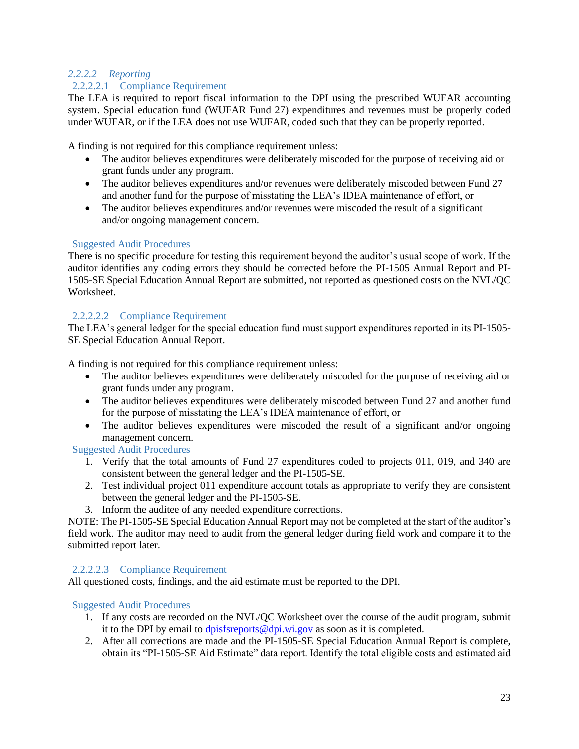### *2.2.2.2 Reporting*

### 2.2.2.2.1 Compliance Requirement

The LEA is required to report fiscal information to the DPI using the prescribed WUFAR accounting system. Special education fund (WUFAR Fund 27) expenditures and revenues must be properly coded under WUFAR, or if the LEA does not use WUFAR, coded such that they can be properly reported.

A finding is not required for this compliance requirement unless:

- The auditor believes expenditures were deliberately miscoded for the purpose of receiving aid or grant funds under any program.
- The auditor believes expenditures and/or revenues were deliberately miscoded between Fund 27 and another fund for the purpose of misstating the LEA's IDEA maintenance of effort, or
- The auditor believes expenditures and/or revenues were miscoded the result of a significant and/or ongoing management concern.

#### Suggested Audit Procedures

There is no specific procedure for testing this requirement beyond the auditor's usual scope of work. If the auditor identifies any coding errors they should be corrected before the PI-1505 Annual Report and PI-1505-SE Special Education Annual Report are submitted, not reported as questioned costs on the NVL/QC Worksheet.

#### 2.2.2.2.2 Compliance Requirement

The LEA's general ledger for the special education fund must support expenditures reported in its PI-1505- SE Special Education Annual Report.

A finding is not required for this compliance requirement unless:

- The auditor believes expenditures were deliberately miscoded for the purpose of receiving aid or grant funds under any program.
- The auditor believes expenditures were deliberately miscoded between Fund 27 and another fund for the purpose of misstating the LEA's IDEA maintenance of effort, or
- The auditor believes expenditures were miscoded the result of a significant and/or ongoing management concern.

#### Suggested Audit Procedures

- 1. Verify that the total amounts of Fund 27 expenditures coded to projects 011, 019, and 340 are consistent between the general ledger and the PI-1505-SE.
- 2. Test individual project 011 expenditure account totals as appropriate to verify they are consistent between the general ledger and the PI-1505-SE.
- 3. Inform the auditee of any needed expenditure corrections.

NOTE: The PI-1505-SE Special Education Annual Report may not be completed at the start of the auditor's field work. The auditor may need to audit from the general ledger during field work and compare it to the submitted report later.

#### 2.2.2.2.3 Compliance Requirement

All questioned costs, findings, and the aid estimate must be reported to the DPI.

- 1. If any costs are recorded on the NVL/QC Worksheet over the course of the audit program, submit it to the DPI by email to  $\frac{d\text{p}$  is stepports @dpi.wi.gov as soon as it is completed.
- 2. After all corrections are made and the PI-1505-SE Special Education Annual Report is complete, obtain its "PI-1505-SE Aid Estimate" data report. Identify the total eligible costs and estimated aid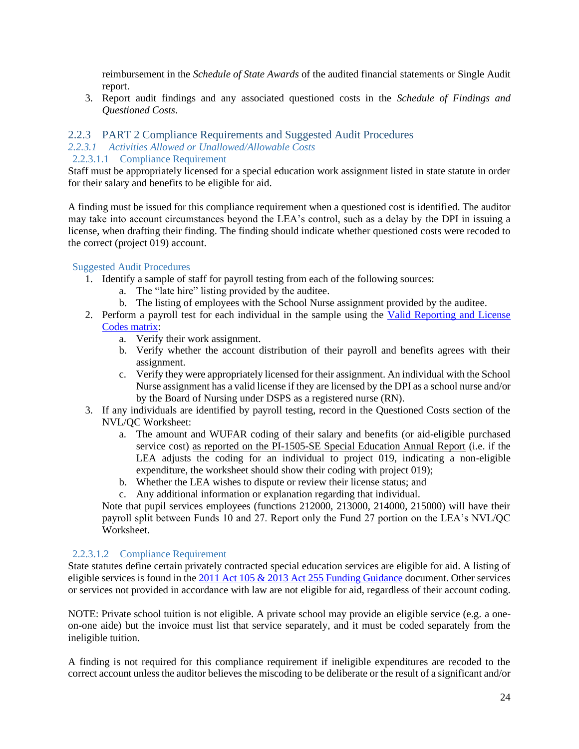reimbursement in the *Schedule of State Awards* of the audited financial statements or Single Audit report.

3. Report audit findings and any associated questioned costs in the *Schedule of Findings and Questioned Costs*.

### <span id="page-25-0"></span>2.2.3 PART 2 Compliance Requirements and Suggested Audit Procedures

### *2.2.3.1 Activities Allowed or Unallowed/Allowable Costs*

2.2.3.1.1 Compliance Requirement

Staff must be appropriately licensed for a special education work assignment listed in state statute in order for their salary and benefits to be eligible for aid.

A finding must be issued for this compliance requirement when a questioned cost is identified. The auditor may take into account circumstances beyond the LEA's control, such as a delay by the DPI in issuing a license, when drafting their finding. The finding should indicate whether questioned costs were recoded to the correct (project 019) account.

#### Suggested Audit Procedures

- 1. Identify a sample of staff for payroll testing from each of the following sources:
	- a. The "late hire" listing provided by the auditee.
	- b. The listing of employees with the School Nurse assignment provided by the auditee.
- 2. Perform a payroll test for each individual in the sample using the [Valid Reporting and License](https://dpi.wi.gov/sites/default/files/imce/sfs/pdf/Valid%20SPED-PS%20License%20Codes2017.pdf)  [Codes matrix:](https://dpi.wi.gov/sites/default/files/imce/sfs/pdf/Valid%20SPED-PS%20License%20Codes2017.pdf)
	- a. Verify their work assignment.
	- b. Verify whether the account distribution of their payroll and benefits agrees with their assignment.
	- c. Verify they were appropriately licensed for their assignment. An individual with the School Nurse assignment has a valid license if they are licensed by the DPI as a school nurse and/or by the Board of Nursing under DSPS as a registered nurse (RN).
- 3. If any individuals are identified by payroll testing, record in the Questioned Costs section of the NVL/QC Worksheet:
	- a. The amount and WUFAR coding of their salary and benefits (or aid-eligible purchased service cost) as reported on the PI-1505-SE Special Education Annual Report (i.e. if the LEA adjusts the coding for an individual to project 019, indicating a non-eligible expenditure, the worksheet should show their coding with project 019);
	- b. Whether the LEA wishes to dispute or review their license status; and
	- c. Any additional information or explanation regarding that individual.

Note that pupil services employees (functions 212000, 213000, 214000, 215000) will have their payroll split between Funds 10 and 27. Report only the Fund 27 portion on the LEA's NVL/QC Worksheet.

#### 2.2.3.1.2 Compliance Requirement

State statutes define certain privately contracted special education services are eligible for aid. A listing of eligible services is found in the [2011 Act 105 & 2013 Act 255 Funding Guidance](https://dpi.wi.gov/sites/default/files/imce/sped/pdf/act-105-funding.pdf) document. Other services or services not provided in accordance with law are not eligible for aid, regardless of their account coding.

NOTE: Private school tuition is not eligible. A private school may provide an eligible service (e.g. a oneon-one aide) but the invoice must list that service separately, and it must be coded separately from the ineligible tuition.

A finding is not required for this compliance requirement if ineligible expenditures are recoded to the correct account unless the auditor believes the miscoding to be deliberate or the result of a significant and/or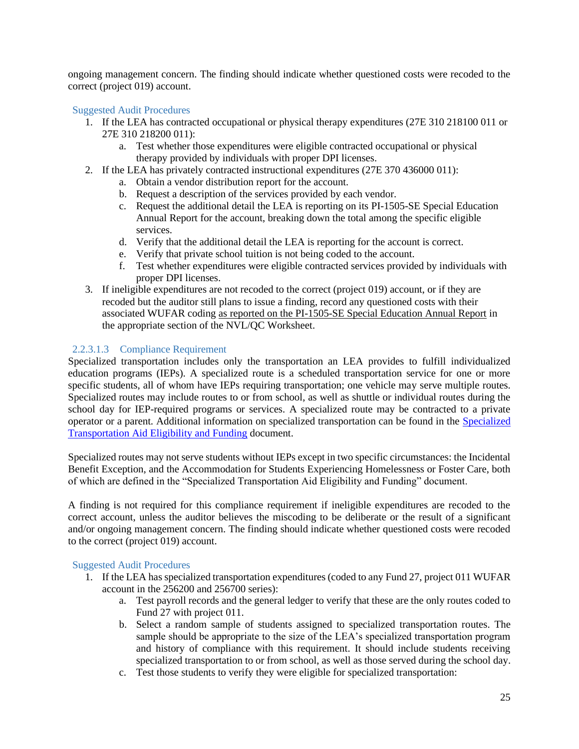ongoing management concern. The finding should indicate whether questioned costs were recoded to the correct (project 019) account.

#### Suggested Audit Procedures

- 1. If the LEA has contracted occupational or physical therapy expenditures (27E 310 218100 011 or 27E 310 218200 011):
	- a. Test whether those expenditures were eligible contracted occupational or physical therapy provided by individuals with proper DPI licenses.
- 2. If the LEA has privately contracted instructional expenditures (27E 370 436000 011):
	- a. Obtain a vendor distribution report for the account.
	- b. Request a description of the services provided by each vendor.
	- c. Request the additional detail the LEA is reporting on its PI-1505-SE Special Education Annual Report for the account, breaking down the total among the specific eligible services.
	- d. Verify that the additional detail the LEA is reporting for the account is correct.
	- e. Verify that private school tuition is not being coded to the account.
	- f. Test whether expenditures were eligible contracted services provided by individuals with proper DPI licenses.
- 3. If ineligible expenditures are not recoded to the correct (project 019) account, or if they are recoded but the auditor still plans to issue a finding, record any questioned costs with their associated WUFAR coding as reported on the PI-1505-SE Special Education Annual Report in the appropriate section of the NVL/QC Worksheet.

#### <span id="page-26-0"></span>2.2.3.1.3 Compliance Requirement

Specialized transportation includes only the transportation an LEA provides to fulfill individualized education programs (IEPs). A specialized route is a scheduled transportation service for one or more specific students, all of whom have IEPs requiring transportation; one vehicle may serve multiple routes. Specialized routes may include routes to or from school, as well as shuttle or individual routes during the school day for IEP-required programs or services. A specialized route may be contracted to a private operator or a parent. Additional information on specialized transportation can be found in the [Specialized](https://dpi.wi.gov/sites/default/files/imce/sfs/pdf/SPED_Tran_Aid_Elig.pdf)  [Transportation Aid Eligibility and Funding](https://dpi.wi.gov/sites/default/files/imce/sfs/pdf/SPED_Tran_Aid_Elig.pdf) document.

Specialized routes may not serve students without IEPs except in two specific circumstances: the Incidental Benefit Exception, and the Accommodation for Students Experiencing Homelessness or Foster Care, both of which are defined in the "Specialized Transportation Aid Eligibility and Funding" document.

A finding is not required for this compliance requirement if ineligible expenditures are recoded to the correct account, unless the auditor believes the miscoding to be deliberate or the result of a significant and/or ongoing management concern. The finding should indicate whether questioned costs were recoded to the correct (project 019) account.

- 1. If the LEA has specialized transportation expenditures (coded to any Fund 27, project 011 WUFAR account in the 256200 and 256700 series):
	- a. Test payroll records and the general ledger to verify that these are the only routes coded to Fund 27 with project 011.
	- b. Select a random sample of students assigned to specialized transportation routes. The sample should be appropriate to the size of the LEA's specialized transportation program and history of compliance with this requirement. It should include students receiving specialized transportation to or from school, as well as those served during the school day.
	- c. Test those students to verify they were eligible for specialized transportation: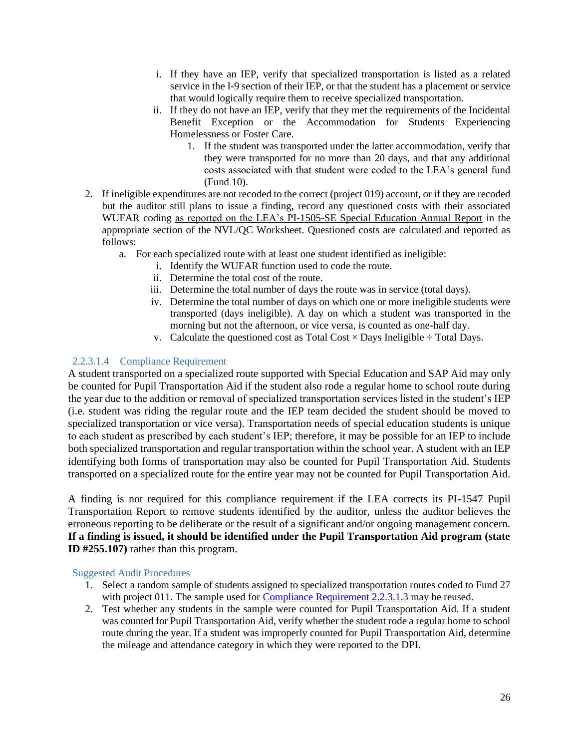- i. If they have an IEP, verify that specialized transportation is listed as a related service in the I-9 section of their IEP, or that the student has a placement or service that would logically require them to receive specialized transportation.
- ii. If they do not have an IEP, verify that they met the requirements of the Incidental Benefit Exception or the Accommodation for Students Experiencing Homelessness or Foster Care.
	- 1. If the student was transported under the latter accommodation, verify that they were transported for no more than 20 days, and that any additional costs associated with that student were coded to the LEA's general fund (Fund 10).
- 2. If ineligible expenditures are not recoded to the correct (project 019) account, or if they are recoded but the auditor still plans to issue a finding, record any questioned costs with their associated WUFAR coding as reported on the LEA's PI-1505-SE Special Education Annual Report in the appropriate section of the NVL/QC Worksheet. Questioned costs are calculated and reported as follows:
	- a. For each specialized route with at least one student identified as ineligible:
		- i. Identify the WUFAR function used to code the route.
		- ii. Determine the total cost of the route.
		- iii. Determine the total number of days the route was in service (total days).
		- iv. Determine the total number of days on which one or more ineligible students were transported (days ineligible). A day on which a student was transported in the morning but not the afternoon, or vice versa, is counted as one-half day.
		- v. Calculate the questioned cost as Total Cost  $\times$  Days Ineligible  $\div$  Total Days.

#### 2.2.3.1.4 Compliance Requirement

A student transported on a specialized route supported with Special Education and SAP Aid may only be counted for Pupil Transportation Aid if the student also rode a regular home to school route during the year due to the addition or removal of specialized transportation services listed in the student's IEP (i.e. student was riding the regular route and the IEP team decided the student should be moved to specialized transportation or vice versa). Transportation needs of special education students is unique to each student as prescribed by each student's IEP; therefore, it may be possible for an IEP to include both specialized transportation and regular transportation within the school year. A student with an IEP identifying both forms of transportation may also be counted for Pupil Transportation Aid. Students transported on a specialized route for the entire year may not be counted for Pupil Transportation Aid.

A finding is not required for this compliance requirement if the LEA corrects its PI-1547 Pupil Transportation Report to remove students identified by the auditor, unless the auditor believes the erroneous reporting to be deliberate or the result of a significant and/or ongoing management concern. **If a finding is issued, it should be identified under the Pupil Transportation Aid program (state ID #255.107)** rather than this program.

- 1. Select a random sample of students assigned to specialized transportation routes coded to Fund 27 with project 011. The sample used for [Compliance Requirement 2.2.3.1.3](#page-26-0) may be reused.
- 2. Test whether any students in the sample were counted for Pupil Transportation Aid. If a student was counted for Pupil Transportation Aid, verify whether the student rode a regular home to school route during the year. If a student was improperly counted for Pupil Transportation Aid, determine the mileage and attendance category in which they were reported to the DPI.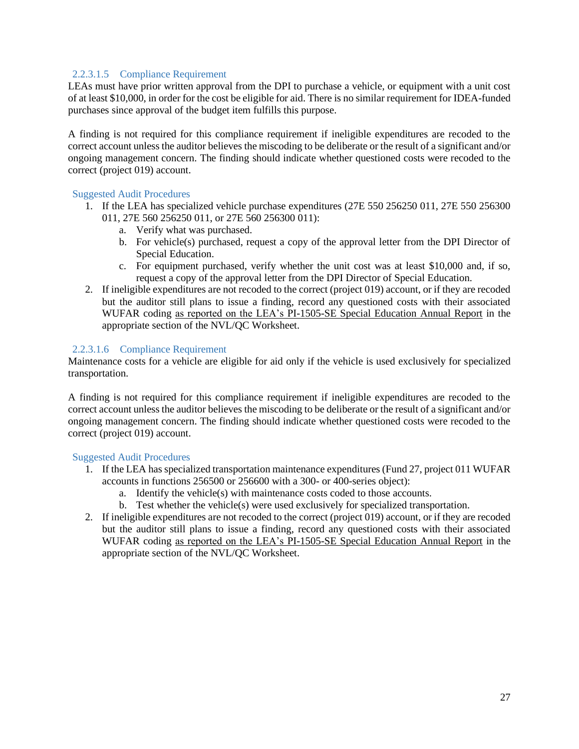#### 2.2.3.1.5 Compliance Requirement

LEAs must have prior written approval from the DPI to purchase a vehicle, or equipment with a unit cost of at least \$10,000, in order for the cost be eligible for aid. There is no similar requirement for IDEA-funded purchases since approval of the budget item fulfills this purpose.

A finding is not required for this compliance requirement if ineligible expenditures are recoded to the correct account unless the auditor believes the miscoding to be deliberate or the result of a significant and/or ongoing management concern. The finding should indicate whether questioned costs were recoded to the correct (project 019) account.

#### Suggested Audit Procedures

- 1. If the LEA has specialized vehicle purchase expenditures (27E 550 256250 011, 27E 550 256300 011, 27E 560 256250 011, or 27E 560 256300 011):
	- a. Verify what was purchased.
	- b. For vehicle(s) purchased, request a copy of the approval letter from the DPI Director of Special Education.
	- c. For equipment purchased, verify whether the unit cost was at least \$10,000 and, if so, request a copy of the approval letter from the DPI Director of Special Education.
- 2. If ineligible expenditures are not recoded to the correct (project 019) account, or if they are recoded but the auditor still plans to issue a finding, record any questioned costs with their associated WUFAR coding as reported on the LEA's PI-1505-SE Special Education Annual Report in the appropriate section of the NVL/QC Worksheet.

#### 2.2.3.1.6 Compliance Requirement

Maintenance costs for a vehicle are eligible for aid only if the vehicle is used exclusively for specialized transportation.

A finding is not required for this compliance requirement if ineligible expenditures are recoded to the correct account unless the auditor believes the miscoding to be deliberate or the result of a significant and/or ongoing management concern. The finding should indicate whether questioned costs were recoded to the correct (project 019) account.

- 1. If the LEA has specialized transportation maintenance expenditures (Fund 27, project 011 WUFAR accounts in functions 256500 or 256600 with a 300- or 400-series object):
	- a. Identify the vehicle(s) with maintenance costs coded to those accounts.
	- b. Test whether the vehicle(s) were used exclusively for specialized transportation.
- 2. If ineligible expenditures are not recoded to the correct (project 019) account, or if they are recoded but the auditor still plans to issue a finding, record any questioned costs with their associated WUFAR coding as reported on the LEA's PI-1505-SE Special Education Annual Report in the appropriate section of the NVL/QC Worksheet.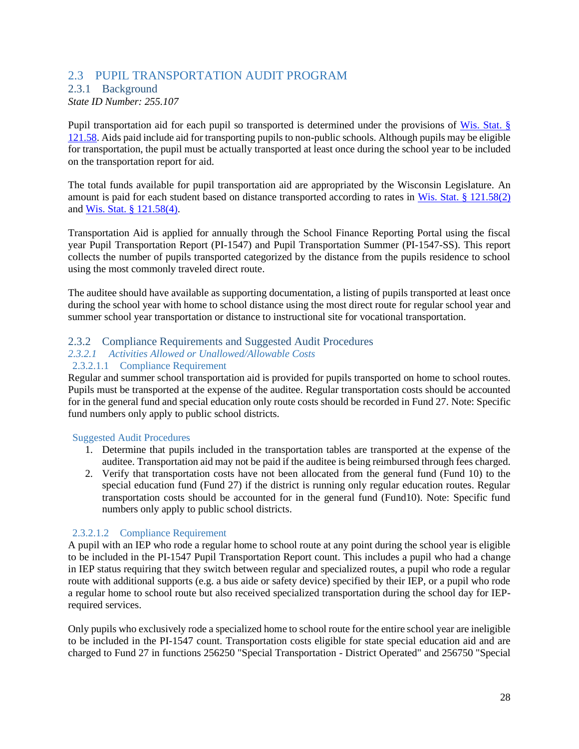# <span id="page-29-0"></span>2.3 PUPIL TRANSPORTATION AUDIT PROGRAM

## <span id="page-29-1"></span>2.3.1 Background

*State ID Number: 255.107*

Pupil transportation aid for each pupil so transported is determined under the provisions of [Wis. Stat. §](https://docs.legis.wisconsin.gov/statutes/statutes/121/iv/58)  [121.58.](https://docs.legis.wisconsin.gov/statutes/statutes/121/iv/58) Aids paid include aid for transporting pupils to non-public schools. Although pupils may be eligible for transportation, the pupil must be actually transported at least once during the school year to be included on the transportation report for aid.

The total funds available for pupil transportation aid are appropriated by the Wisconsin Legislature. An amount is paid for each student based on distance transported according to rates in [Wis. Stat. § 121.58\(2\)](https://docs.legis.wisconsin.gov/statutes/statutes/121/iv/58/2) and [Wis. Stat. § 121.58\(4\).](https://docs.legis.wisconsin.gov/statutes/statutes/121/iv/58/4)

Transportation Aid is applied for annually through the School Finance Reporting Portal using the fiscal year Pupil Transportation Report (PI-1547) and Pupil Transportation Summer (PI-1547-SS). This report collects the number of pupils transported categorized by the distance from the pupils residence to school using the most commonly traveled direct route.

The auditee should have available as supporting documentation, a listing of pupils transported at least once during the school year with home to school distance using the most direct route for regular school year and summer school year transportation or distance to instructional site for vocational transportation.

### <span id="page-29-2"></span>2.3.2 Compliance Requirements and Suggested Audit Procedures

### *2.3.2.1 Activities Allowed or Unallowed/Allowable Costs*

#### 2.3.2.1.1 Compliance Requirement

Regular and summer school transportation aid is provided for pupils transported on home to school routes. Pupils must be transported at the expense of the auditee. Regular transportation costs should be accounted for in the general fund and special education only route costs should be recorded in Fund 27. Note: Specific fund numbers only apply to public school districts.

#### Suggested Audit Procedures

- 1. Determine that pupils included in the transportation tables are transported at the expense of the auditee. Transportation aid may not be paid if the auditee is being reimbursed through fees charged.
- 2. Verify that transportation costs have not been allocated from the general fund (Fund 10) to the special education fund (Fund 27) if the district is running only regular education routes. Regular transportation costs should be accounted for in the general fund (Fund10). Note: Specific fund numbers only apply to public school districts.

#### 2.3.2.1.2 Compliance Requirement

A pupil with an IEP who rode a regular home to school route at any point during the school year is eligible to be included in the PI-1547 Pupil Transportation Report count. This includes a pupil who had a change in IEP status requiring that they switch between regular and specialized routes, a pupil who rode a regular route with additional supports (e.g. a bus aide or safety device) specified by their IEP, or a pupil who rode a regular home to school route but also received specialized transportation during the school day for IEPrequired services.

Only pupils who exclusively rode a specialized home to school route for the entire school year are ineligible to be included in the PI-1547 count. Transportation costs eligible for state special education aid and are charged to Fund 27 in functions 256250 "Special Transportation - District Operated" and 256750 "Special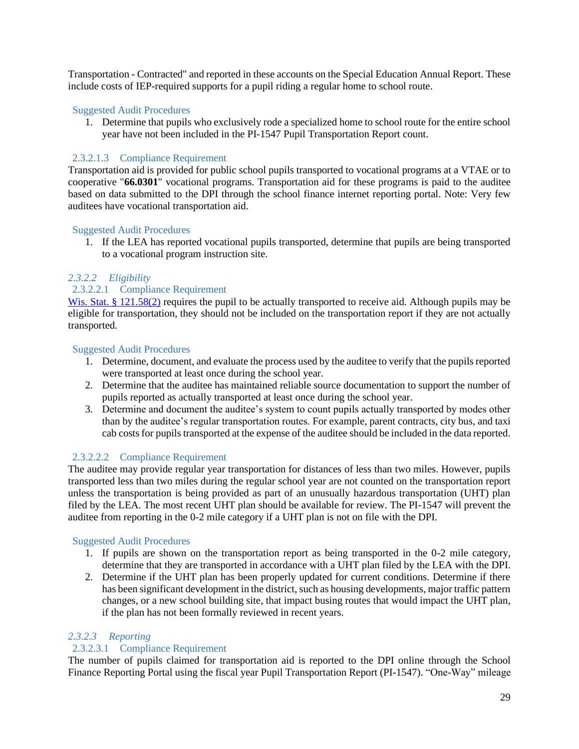Transportation - Contracted" and reported in these accounts on the Special Education Annual Report. These include costs of IEP-required supports for a pupil riding a regular home to school route.

#### Suggested Audit Procedures

1. Determine that pupils who exclusively rode a specialized home to school route for the entire school year have not been included in the PI-1547 Pupil Transportation Report count.

#### 2.3.2.1.3 Compliance Requirement

Transportation aid is provided for public school pupils transported to vocational programs at a VTAE or to cooperative "**66.0301**" vocational programs. Transportation aid for these programs is paid to the auditee based on data submitted to the DPI through the school finance internet reporting portal. Note: Very few auditees have vocational transportation aid.

#### Suggested Audit Procedures

1. If the LEA has reported vocational pupils transported, determine that pupils are being transported to a vocational program instruction site.

#### *2.3.2.2 Eligibility*

#### 2.3.2.2.1 Compliance Requirement

[Wis. Stat. § 121.58\(2\)](https://docs.legis.wisconsin.gov/statutes/statutes/121/iv/58/2) requires the pupil to be actually transported to receive aid. Although pupils may be eligible for transportation, they should not be included on the transportation report if they are not actually transported.

#### Suggested Audit Procedures

- 1. Determine, document, and evaluate the process used by the auditee to verify that the pupils reported were transported at least once during the school year.
- 2. Determine that the auditee has maintained reliable source documentation to support the number of pupils reported as actually transported at least once during the school year.
- 3. Determine and document the auditee's system to count pupils actually transported by modes other than by the auditee's regular transportation routes. For example, parent contracts, city bus, and taxi cab costs for pupils transported at the expense of the auditee should be included in the data reported.

#### 2.3.2.2.2 Compliance Requirement

The auditee may provide regular year transportation for distances of less than two miles. However, pupils transported less than two miles during the regular school year are not counted on the transportation report unless the transportation is being provided as part of an unusually hazardous transportation (UHT) plan filed by the LEA. The most recent UHT plan should be available for review. The PI-1547 will prevent the auditee from reporting in the 0-2 mile category if a UHT plan is not on file with the DPI.

#### Suggested Audit Procedures

- 1. If pupils are shown on the transportation report as being transported in the 0-2 mile category, determine that they are transported in accordance with a UHT plan filed by the LEA with the DPI.
- 2. Determine if the UHT plan has been properly updated for current conditions. Determine if there has been significant development in the district, such as housing developments, major traffic pattern changes, or a new school building site, that impact busing routes that would impact the UHT plan, if the plan has not been formally reviewed in recent years.

#### *2.3.2.3 Reporting*

#### 2.3.2.3.1 Compliance Requirement

The number of pupils claimed for transportation aid is reported to the DPI online through the School Finance Reporting Portal using the fiscal year Pupil Transportation Report (PI-1547). "One-Way" mileage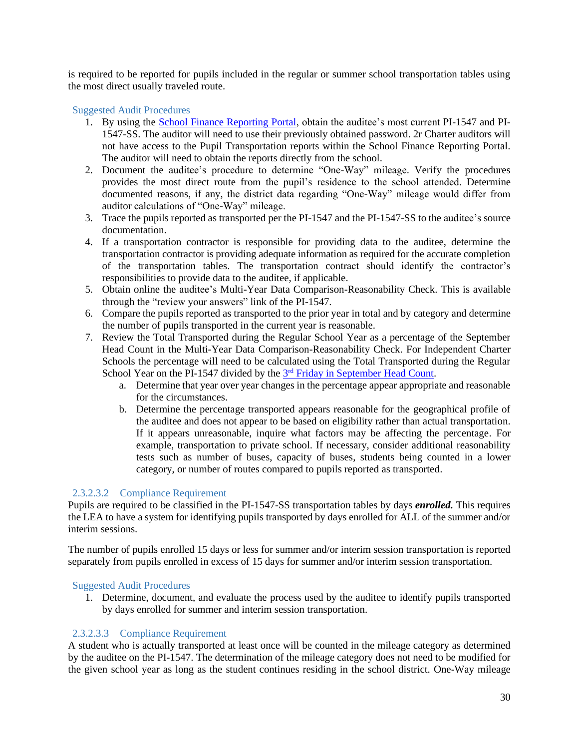is required to be reported for pupils included in the regular or summer school transportation tables using the most direct usually traveled route.

#### Suggested Audit Procedures

- 1. By using the [School Finance Reporting Portal,](https://apps5.dpi.wi.gov/safr_ro/) obtain the auditee's most current PI-1547 and PI-1547-SS. The auditor will need to use their previously obtained password. 2r Charter auditors will not have access to the Pupil Transportation reports within the School Finance Reporting Portal. The auditor will need to obtain the reports directly from the school.
- 2. Document the auditee's procedure to determine "One-Way" mileage. Verify the procedures provides the most direct route from the pupil's residence to the school attended. Determine documented reasons, if any, the district data regarding "One-Way" mileage would differ from auditor calculations of "One-Way" mileage.
- 3. Trace the pupils reported as transported per the PI-1547 and the PI-1547-SS to the auditee's source documentation.
- 4. If a transportation contractor is responsible for providing data to the auditee, determine the transportation contractor is providing adequate information as required for the accurate completion of the transportation tables. The transportation contract should identify the contractor's responsibilities to provide data to the auditee, if applicable.
- 5. Obtain online the auditee's Multi-Year Data Comparison-Reasonability Check. This is available through the "review your answers" link of the PI-1547.
- 6. Compare the pupils reported as transported to the prior year in total and by category and determine the number of pupils transported in the current year is reasonable.
- 7. Review the Total Transported during the Regular School Year as a percentage of the September Head Count in the Multi-Year Data Comparison-Reasonability Check. For Independent Charter Schools the percentage will need to be calculated using the Total Transported during the Regular School Year on the PI-1547 divided by the <sup>3rd</sup> [Friday in September Head Count.](https://dpi.wi.gov/parental-education-options/charter-schools/current/2r-membership)
	- a. Determine that year over year changes in the percentage appear appropriate and reasonable for the circumstances.
	- b. Determine the percentage transported appears reasonable for the geographical profile of the auditee and does not appear to be based on eligibility rather than actual transportation. If it appears unreasonable, inquire what factors may be affecting the percentage. For example, transportation to private school. If necessary, consider additional reasonability tests such as number of buses, capacity of buses, students being counted in a lower category, or number of routes compared to pupils reported as transported.

#### 2.3.2.3.2 Compliance Requirement

Pupils are required to be classified in the PI-1547-SS transportation tables by days *enrolled.* This requires the LEA to have a system for identifying pupils transported by days enrolled for ALL of the summer and/or interim sessions.

The number of pupils enrolled 15 days or less for summer and/or interim session transportation is reported separately from pupils enrolled in excess of 15 days for summer and/or interim session transportation.

#### Suggested Audit Procedures

1. Determine, document, and evaluate the process used by the auditee to identify pupils transported by days enrolled for summer and interim session transportation.

#### 2.3.2.3.3 Compliance Requirement

A student who is actually transported at least once will be counted in the mileage category as determined by the auditee on the PI-1547. The determination of the mileage category does not need to be modified for the given school year as long as the student continues residing in the school district. One-Way mileage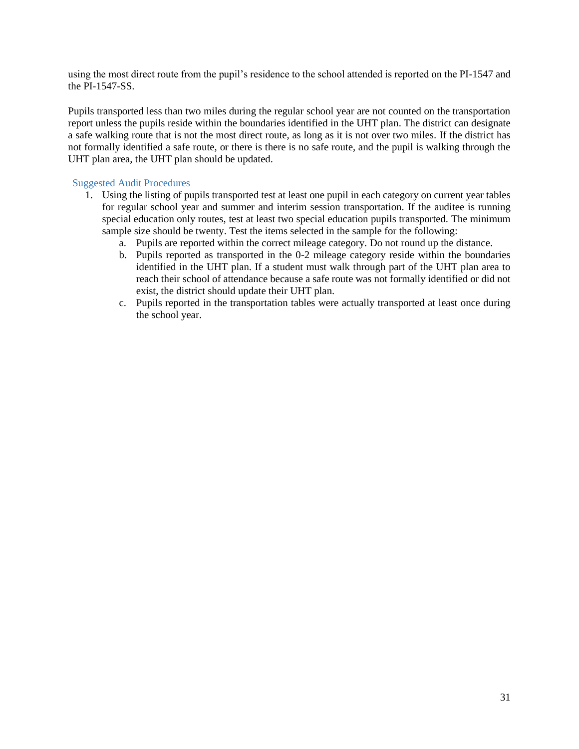using the most direct route from the pupil's residence to the school attended is reported on the PI-1547 and the PI-1547-SS.

Pupils transported less than two miles during the regular school year are not counted on the transportation report unless the pupils reside within the boundaries identified in the UHT plan. The district can designate a safe walking route that is not the most direct route, as long as it is not over two miles. If the district has not formally identified a safe route, or there is there is no safe route, and the pupil is walking through the UHT plan area, the UHT plan should be updated.

- 1. Using the listing of pupils transported test at least one pupil in each category on current year tables for regular school year and summer and interim session transportation. If the auditee is running special education only routes, test at least two special education pupils transported. The minimum sample size should be twenty. Test the items selected in the sample for the following:
	- a. Pupils are reported within the correct mileage category. Do not round up the distance.
	- b. Pupils reported as transported in the 0-2 mileage category reside within the boundaries identified in the UHT plan. If a student must walk through part of the UHT plan area to reach their school of attendance because a safe route was not formally identified or did not exist, the district should update their UHT plan.
	- c. Pupils reported in the transportation tables were actually transported at least once during the school year.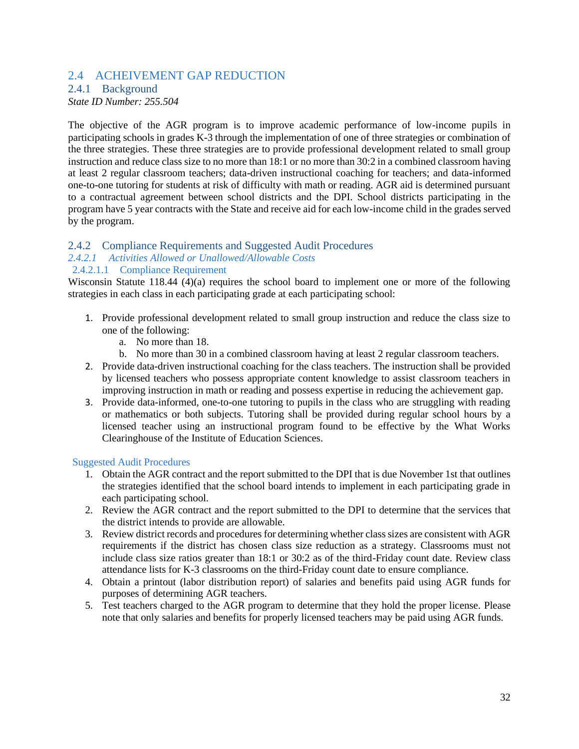### <span id="page-33-0"></span>2.4 ACHEIVEMENT GAP REDUCTION

#### <span id="page-33-1"></span>2.4.1 Background

*State ID Number: 255.504*

The objective of the AGR program is to improve academic performance of low-income pupils in participating schools in grades K-3 through the implementation of one of three strategies or combination of the three strategies. These three strategies are to provide professional development related to small group instruction and reduce class size to no more than 18:1 or no more than 30:2 in a combined classroom having at least 2 regular classroom teachers; data-driven instructional coaching for teachers; and data-informed one-to-one tutoring for students at risk of difficulty with math or reading. AGR aid is determined pursuant to a contractual agreement between school districts and the DPI. School districts participating in the program have 5 year contracts with the State and receive aid for each low-income child in the grades served by the program.

#### <span id="page-33-2"></span>2.4.2 Compliance Requirements and Suggested Audit Procedures

#### *2.4.2.1 Activities Allowed or Unallowed/Allowable Costs*

#### 2.4.2.1.1 Compliance Requirement

Wisconsin Statute 118.44 (4)(a) requires the school board to implement one or more of the following strategies in each class in each participating grade at each participating school:

- 1. Provide professional development related to small group instruction and reduce the class size to one of the following:
	- a. No more than 18.
	- b. No more than 30 in a combined classroom having at least 2 regular classroom teachers.
- 2. Provide data-driven instructional coaching for the class teachers. The instruction shall be provided by licensed teachers who possess appropriate content knowledge to assist classroom teachers in improving instruction in math or reading and possess expertise in reducing the achievement gap.
- 3. Provide data-informed, one-to-one tutoring to pupils in the class who are struggling with reading or mathematics or both subjects. Tutoring shall be provided during regular school hours by a licensed teacher using an instructional program found to be effective by the What Works Clearinghouse of the Institute of Education Sciences.

- 1. Obtain the AGR contract and the report submitted to the DPI that is due November 1st that outlines the strategies identified that the school board intends to implement in each participating grade in each participating school.
- 2. Review the AGR contract and the report submitted to the DPI to determine that the services that the district intends to provide are allowable.
- 3. Review district records and procedures for determining whether class sizes are consistent with AGR requirements if the district has chosen class size reduction as a strategy. Classrooms must not include class size ratios greater than 18:1 or 30:2 as of the third-Friday count date. Review class attendance lists for K-3 classrooms on the third-Friday count date to ensure compliance.
- 4. Obtain a printout (labor distribution report) of salaries and benefits paid using AGR funds for purposes of determining AGR teachers.
- 5. Test teachers charged to the AGR program to determine that they hold the proper license. Please note that only salaries and benefits for properly licensed teachers may be paid using AGR funds.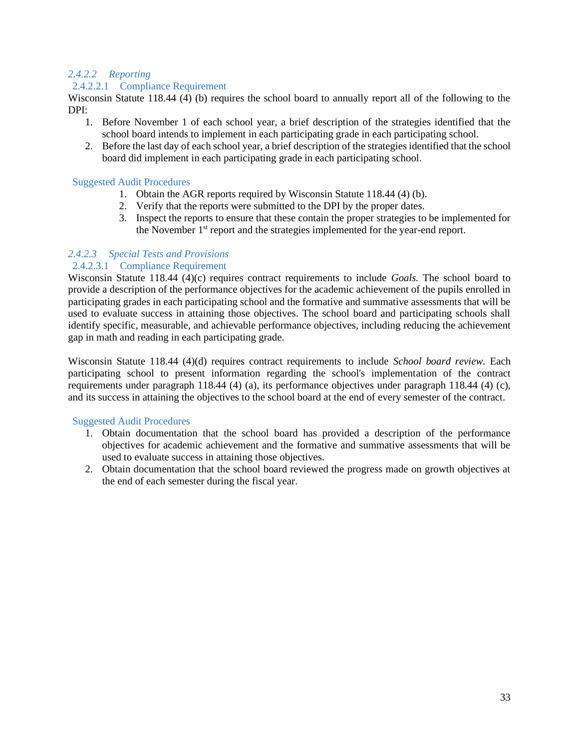### *2.4.2.2 Reporting*

#### 2.4.2.2.1 Compliance Requirement

Wisconsin Statute 118.44 (4) (b) requires the school board to annually report all of the following to the DPI:

- 1. Before November 1 of each school year, a brief description of the strategies identified that the school board intends to implement in each participating grade in each participating school.
- 2. Before the last day of each school year, a brief description of the strategies identified that the school board did implement in each participating grade in each participating school.

#### Suggested Audit Procedures

- 1. Obtain the AGR reports required by Wisconsin Statute 118.44 (4) (b).
- 2. Verify that the reports were submitted to the DPI by the proper dates.
- 3. Inspect the reports to ensure that these contain the proper strategies to be implemented for the November 1<sup>st</sup> report and the strategies implemented for the year-end report.

### *2.4.2.3 Special Tests and Provisions*

#### 2.4.2.3.1 Compliance Requirement

Wisconsin Statute 118.44 (4)(c) requires contract requirements to include *Goals.* The school board to provide a description of the performance objectives for the academic achievement of the pupils enrolled in participating grades in each participating school and the formative and summative assessments that will be used to evaluate success in attaining those objectives. The school board and participating schools shall identify specific, measurable, and achievable performance objectives, including reducing the achievement gap in math and reading in each participating grade.

Wisconsin Statute 118.44 (4)(d) requires contract requirements to include *School board review.* Each participating school to present information regarding the school's implementation of the contract requirements under paragraph 118.44 (4) (a), its performance objectives under paragraph 118.44 (4) (c), and its success in attaining the objectives to the school board at the end of every semester of the contract.

- 1. Obtain documentation that the school board has provided a description of the performance objectives for academic achievement and the formative and summative assessments that will be used to evaluate success in attaining those objectives.
- 2. Obtain documentation that the school board reviewed the progress made on growth objectives at the end of each semester during the fiscal year.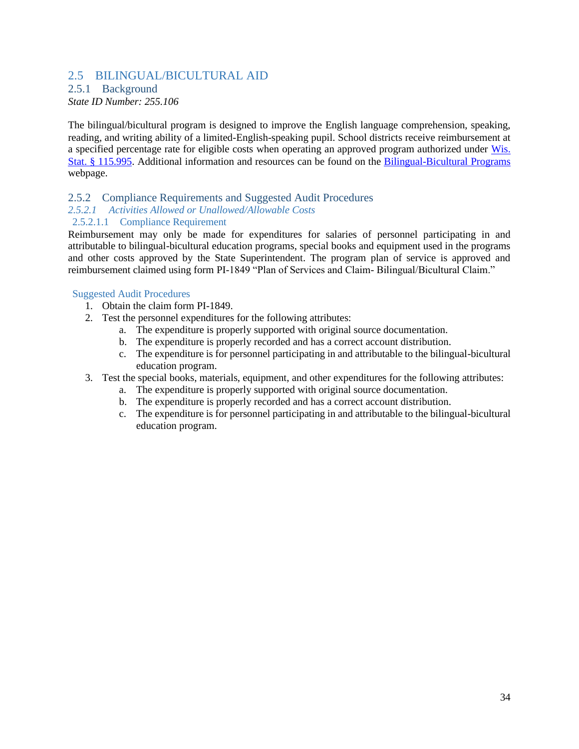### <span id="page-35-0"></span>2.5 BILINGUAL/BICULTURAL AID

# <span id="page-35-1"></span>2.5.1 Background

*State ID Number: 255.106*

The bilingual/bicultural program is designed to improve the English language comprehension, speaking, reading, and writing ability of a limited-English-speaking pupil. School districts receive reimbursement at a specified percentage rate for eligible costs when operating an approved program authorized under [Wis.](https://docs.legis.wisconsin.gov/statutes/statutes/115/vii/995)  [Stat. § 115.995.](https://docs.legis.wisconsin.gov/statutes/statutes/115/vii/995) Additional information and resources can be found on the [Bilingual-Bicultural Programs](https://dpi.wi.gov/english-learners/bilingual-bicultural) webpage.

#### <span id="page-35-2"></span>2.5.2 Compliance Requirements and Suggested Audit Procedures

### *2.5.2.1 Activities Allowed or Unallowed/Allowable Costs*

### 2.5.2.1.1 Compliance Requirement

Reimbursement may only be made for expenditures for salaries of personnel participating in and attributable to bilingual-bicultural education programs, special books and equipment used in the programs and other costs approved by the State Superintendent. The program plan of service is approved and reimbursement claimed using form PI-1849 "Plan of Services and Claim- Bilingual/Bicultural Claim."

#### Suggested Audit Procedures

- 1. Obtain the claim form PI-1849.
- 2. Test the personnel expenditures for the following attributes:
	- a. The expenditure is properly supported with original source documentation.
	- b. The expenditure is properly recorded and has a correct account distribution.
	- c. The expenditure is for personnel participating in and attributable to the bilingual-bicultural education program.

#### 3. Test the special books, materials, equipment, and other expenditures for the following attributes:

- a. The expenditure is properly supported with original source documentation.
- b. The expenditure is properly recorded and has a correct account distribution.
- c. The expenditure is for personnel participating in and attributable to the bilingual-bicultural education program.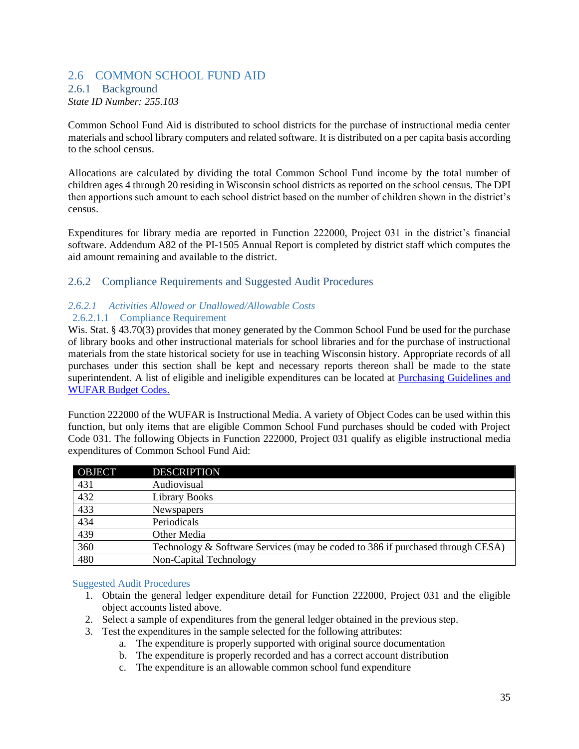### <span id="page-36-0"></span>2.6 COMMON SCHOOL FUND AID

## <span id="page-36-1"></span>2.6.1 Background

*State ID Number: 255.103*

Common School Fund Aid is distributed to school districts for the purchase of instructional media center materials and school library computers and related software. It is distributed on a per capita basis according to the school census.

Allocations are calculated by dividing the total Common School Fund income by the total number of children ages 4 through 20 residing in Wisconsin school districts as reported on the school census. The DPI then apportions such amount to each school district based on the number of children shown in the district's census.

Expenditures for library media are reported in Function 222000, Project 031 in the district's financial software. Addendum A82 of the PI-1505 Annual Report is completed by district staff which computes the aid amount remaining and available to the district.

#### <span id="page-36-2"></span>2.6.2 Compliance Requirements and Suggested Audit Procedures

# *2.6.2.1 Activities Allowed or Unallowed/Allowable Costs*

# 2.6.2.1.1 Compliance Requirement

Wis. Stat. § 43.70(3) provides that money generated by the Common School Fund be used for the purchase of library books and other instructional materials for school libraries and for the purchase of instructional materials from the state historical society for use in teaching Wisconsin history. Appropriate records of all purchases under this section shall be kept and necessary reports thereon shall be made to the state superintendent. A list of eligible and ineligible expenditures can be located at [Purchasing Guidelines and](https://dpi.wi.gov/common-school-fund/wufar-guidance-chart)  [WUFAR Budget Codes.](https://dpi.wi.gov/common-school-fund/wufar-guidance-chart)

Function 222000 of the WUFAR is Instructional Media. A variety of Object Codes can be used within this function, but only items that are eligible Common School Fund purchases should be coded with Project Code 031. The following Objects in Function 222000, Project 031 qualify as eligible instructional media expenditures of Common School Fund Aid:

| <b>OBJECT</b> | <b>DESCRIPTION</b>                                                             |
|---------------|--------------------------------------------------------------------------------|
| 431           | Audiovisual                                                                    |
| 432           | <b>Library Books</b>                                                           |
| 433           | Newspapers                                                                     |
| 434           | Periodicals                                                                    |
| 439           | Other Media                                                                    |
| 360           | Technology & Software Services (may be coded to 386 if purchased through CESA) |
| 480           | Non-Capital Technology                                                         |

- 1. Obtain the general ledger expenditure detail for Function 222000, Project 031 and the eligible object accounts listed above.
- 2. Select a sample of expenditures from the general ledger obtained in the previous step.
- 3. Test the expenditures in the sample selected for the following attributes:
	- a. The expenditure is properly supported with original source documentation
	- b. The expenditure is properly recorded and has a correct account distribution
	- c. The expenditure is an allowable common school fund expenditure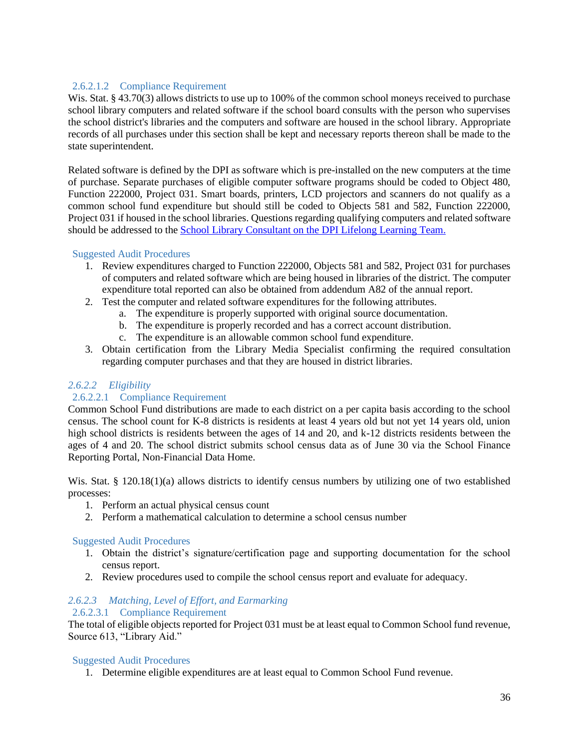### 2.6.2.1.2 Compliance Requirement

Wis. Stat. § 43.70(3) allows districts to use up to 100% of the common school moneys received to purchase school library computers and related software if the school board consults with the person who supervises the school district's libraries and the computers and software are housed in the school library. Appropriate records of all purchases under this section shall be kept and necessary reports thereon shall be made to the state superintendent.

Related software is defined by the DPI as software which is pre-installed on the new computers at the time of purchase. Separate purchases of eligible computer software programs should be coded to Object 480, Function 222000, Project 031. Smart boards, printers, LCD projectors and scanners do not qualify as a common school fund expenditure but should still be coded to Objects 581 and 582, Function 222000, Project 031 if housed in the school libraries. Questions regarding qualifying computers and related software should be addressed to the [School Library Consultant on the DPI Lifelong Learning Team.](https://dpi.wi.gov/common-school-fund/dpi-contacts)

#### Suggested Audit Procedures

- 1. Review expenditures charged to Function 222000, Objects 581 and 582, Project 031 for purchases of computers and related software which are being housed in libraries of the district. The computer expenditure total reported can also be obtained from addendum A82 of the annual report.
- 2. Test the computer and related software expenditures for the following attributes.
	- a. The expenditure is properly supported with original source documentation.
	- b. The expenditure is properly recorded and has a correct account distribution.
	- c. The expenditure is an allowable common school fund expenditure.
- 3. Obtain certification from the Library Media Specialist confirming the required consultation regarding computer purchases and that they are housed in district libraries.

### *2.6.2.2 Eligibility*

#### 2.6.2.2.1 Compliance Requirement

Common School Fund distributions are made to each district on a per capita basis according to the school census. The school count for K-8 districts is residents at least 4 years old but not yet 14 years old, union high school districts is residents between the ages of 14 and 20, and k-12 districts residents between the ages of 4 and 20. The school district submits school census data as of June 30 via the School Finance Reporting Portal, Non-Financial Data Home.

Wis. Stat. § 120.18(1)(a) allows districts to identify census numbers by utilizing one of two established processes:

- 1. Perform an actual physical census count
- 2. Perform a mathematical calculation to determine a school census number

#### Suggested Audit Procedures

- 1. Obtain the district's signature/certification page and supporting documentation for the school census report.
- 2. Review procedures used to compile the school census report and evaluate for adequacy.

#### *2.6.2.3 Matching, Level of Effort, and Earmarking* 2.6.2.3.1 Compliance Requirement

The total of eligible objects reported for Project 031 must be at least equal to Common School fund revenue, Source 613, "Library Aid."

#### Suggested Audit Procedures

1. Determine eligible expenditures are at least equal to Common School Fund revenue.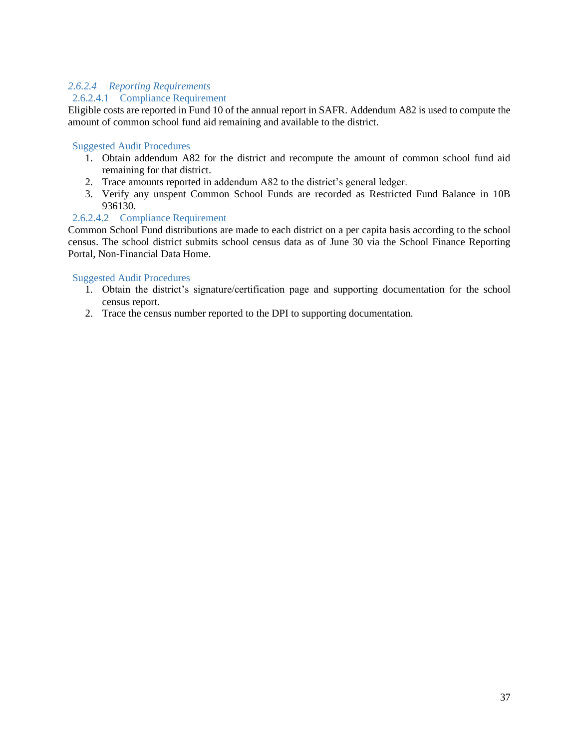### *2.6.2.4 Reporting Requirements*

#### 2.6.2.4.1 Compliance Requirement

Eligible costs are reported in Fund 10 of the annual report in SAFR. Addendum A82 is used to compute the amount of common school fund aid remaining and available to the district.

#### Suggested Audit Procedures

- 1. Obtain addendum A82 for the district and recompute the amount of common school fund aid remaining for that district.
- 2. Trace amounts reported in addendum A82 to the district's general ledger.
- 3. Verify any unspent Common School Funds are recorded as Restricted Fund Balance in 10B 936130.

#### 2.6.2.4.2 Compliance Requirement

Common School Fund distributions are made to each district on a per capita basis according to the school census. The school district submits school census data as of June 30 via the School Finance Reporting Portal, Non-Financial Data Home.

- 1. Obtain the district's signature/certification page and supporting documentation for the school census report.
- 2. Trace the census number reported to the DPI to supporting documentation.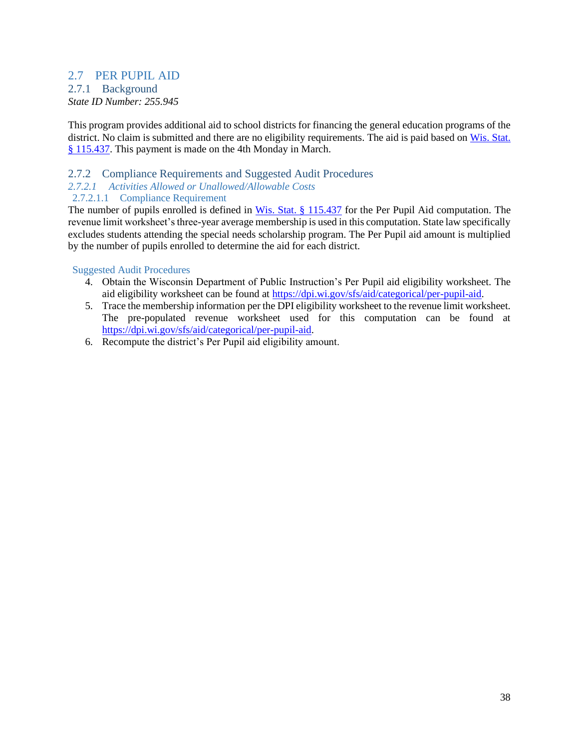### <span id="page-39-1"></span><span id="page-39-0"></span>2.7 PER PUPIL AID 2.7.1 Background

*State ID Number: 255.945*

This program provides additional aid to school districts for financing the general education programs of the district. No claim is submitted and there are no eligibility requirements. The aid is paid based on [Wis. Stat.](https://docs.legis.wisconsin.gov/statutes/statutes/115/ii/437)  [§ 115.437.](https://docs.legis.wisconsin.gov/statutes/statutes/115/ii/437) This payment is made on the 4th Monday in March.

### <span id="page-39-2"></span>2.7.2 Compliance Requirements and Suggested Audit Procedures

#### *2.7.2.1 Activities Allowed or Unallowed/Allowable Costs*

#### 2.7.2.1.1 Compliance Requirement

The number of pupils enrolled is defined in [Wis. Stat. § 115.437](https://docs.legis.wisconsin.gov/statutes/statutes/115/ii/437) for the Per Pupil Aid computation. The revenue limit worksheet's three-year average membership is used in this computation. State law specifically excludes students attending the special needs scholarship program. The Per Pupil aid amount is multiplied by the number of pupils enrolled to determine the aid for each district.

- 4. Obtain the Wisconsin Department of Public Instruction's Per Pupil aid eligibility worksheet. The aid eligibility worksheet can be found at [https://dpi.wi.gov/sfs/aid/categorical/per-pupil-aid.](https://dpi.wi.gov/sfs/aid/categorical/per-pupil-aid)
- 5. Trace the membership information per the DPI eligibility worksheet to the revenue limit worksheet. The pre-populated revenue worksheet used for this computation can be found at [https://dpi.wi.gov/sfs/aid/categorical/per-pupil-aid.](https://dpi.wi.gov/sfs/aid/categorical/per-pupil-aid)
- 6. Recompute the district's Per Pupil aid eligibility amount.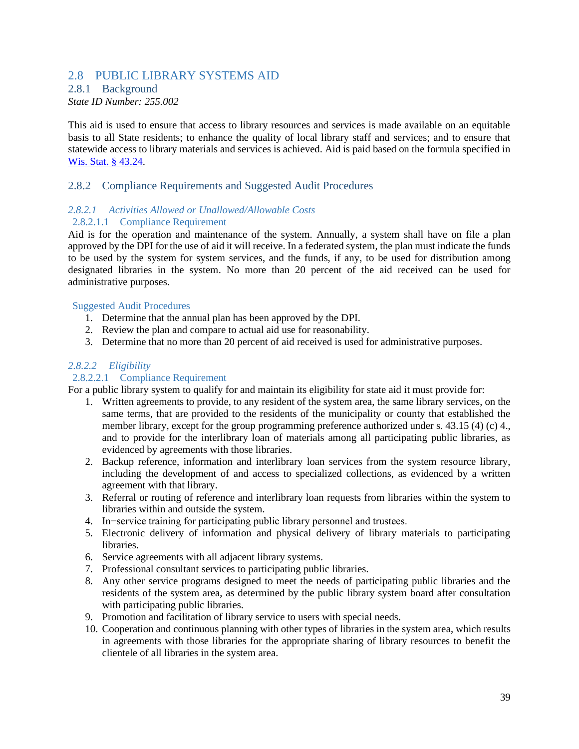### <span id="page-40-0"></span>2.8 PUBLIC LIBRARY SYSTEMS AID

### <span id="page-40-1"></span>2.8.1 Background

*State ID Number: 255.002*

This aid is used to ensure that access to library resources and services is made available on an equitable basis to all State residents; to enhance the quality of local library staff and services; and to ensure that statewide access to library materials and services is achieved. Aid is paid based on the formula specified in [Wis. Stat. § 43.24.](https://docs.legis.wisconsin.gov/statutes/statutes/43/24)

#### <span id="page-40-2"></span>2.8.2 Compliance Requirements and Suggested Audit Procedures

#### *2.8.2.1 Activities Allowed or Unallowed/Allowable Costs* 2.8.2.1.1 Compliance Requirement

Aid is for the operation and maintenance of the system. Annually, a system shall have on file a plan approved by the DPI for the use of aid it will receive. In a federated system, the plan must indicate the funds to be used by the system for system services, and the funds, if any, to be used for distribution among designated libraries in the system. No more than 20 percent of the aid received can be used for administrative purposes.

#### Suggested Audit Procedures

- 1. Determine that the annual plan has been approved by the DPI.
- 2. Review the plan and compare to actual aid use for reasonability.
- 3. Determine that no more than 20 percent of aid received is used for administrative purposes.

#### *2.8.2.2 Eligibility*

#### 2.8.2.2.1 Compliance Requirement

For a public library system to qualify for and maintain its eligibility for state aid it must provide for:

- 1. Written agreements to provide, to any resident of the system area, the same library services, on the same terms, that are provided to the residents of the municipality or county that established the member library, except for the group programming preference authorized under s. 43.15 (4) (c) 4., and to provide for the interlibrary loan of materials among all participating public libraries, as evidenced by agreements with those libraries.
- 2. Backup reference, information and interlibrary loan services from the system resource library, including the development of and access to specialized collections, as evidenced by a written agreement with that library.
- 3. Referral or routing of reference and interlibrary loan requests from libraries within the system to libraries within and outside the system.
- 4. In−service training for participating public library personnel and trustees.
- 5. Electronic delivery of information and physical delivery of library materials to participating libraries.
- 6. Service agreements with all adjacent library systems.
- 7. Professional consultant services to participating public libraries.
- 8. Any other service programs designed to meet the needs of participating public libraries and the residents of the system area, as determined by the public library system board after consultation with participating public libraries.
- 9. Promotion and facilitation of library service to users with special needs.
- 10. Cooperation and continuous planning with other types of libraries in the system area, which results in agreements with those libraries for the appropriate sharing of library resources to benefit the clientele of all libraries in the system area.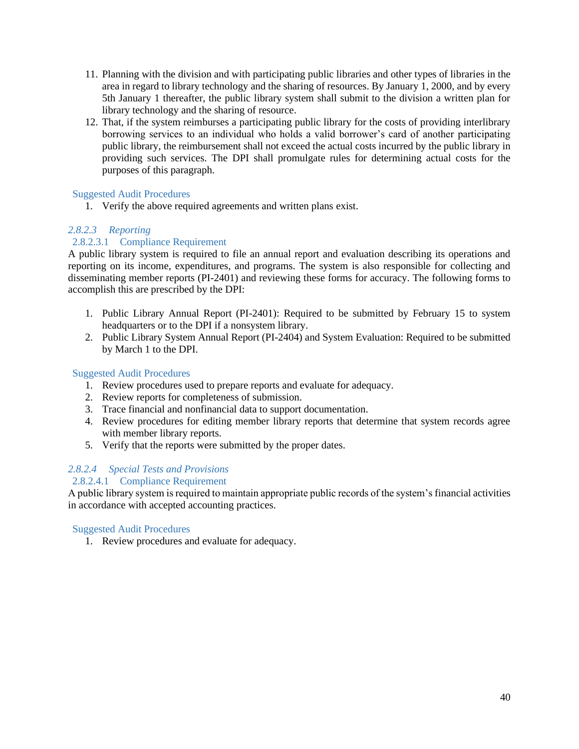- 11. Planning with the division and with participating public libraries and other types of libraries in the area in regard to library technology and the sharing of resources. By January 1, 2000, and by every 5th January 1 thereafter, the public library system shall submit to the division a written plan for library technology and the sharing of resource.
- 12. That, if the system reimburses a participating public library for the costs of providing interlibrary borrowing services to an individual who holds a valid borrower's card of another participating public library, the reimbursement shall not exceed the actual costs incurred by the public library in providing such services. The DPI shall promulgate rules for determining actual costs for the purposes of this paragraph.

#### Suggested Audit Procedures

1. Verify the above required agreements and written plans exist.

### *2.8.2.3 Reporting*

### 2.8.2.3.1 Compliance Requirement

A public library system is required to file an annual report and evaluation describing its operations and reporting on its income, expenditures, and programs. The system is also responsible for collecting and disseminating member reports (PI-2401) and reviewing these forms for accuracy. The following forms to accomplish this are prescribed by the DPI:

- 1. Public Library Annual Report (PI-2401): Required to be submitted by February 15 to system headquarters or to the DPI if a nonsystem library.
- 2. Public Library System Annual Report (PI-2404) and System Evaluation: Required to be submitted by March 1 to the DPI.

#### Suggested Audit Procedures

- 1. Review procedures used to prepare reports and evaluate for adequacy.
- 2. Review reports for completeness of submission.
- 3. Trace financial and nonfinancial data to support documentation.
- 4. Review procedures for editing member library reports that determine that system records agree with member library reports.
- 5. Verify that the reports were submitted by the proper dates.

### *2.8.2.4 Special Tests and Provisions*

#### 2.8.2.4.1 Compliance Requirement

A public library system is required to maintain appropriate public records of the system's financial activities in accordance with accepted accounting practices.

#### Suggested Audit Procedures

1. Review procedures and evaluate for adequacy.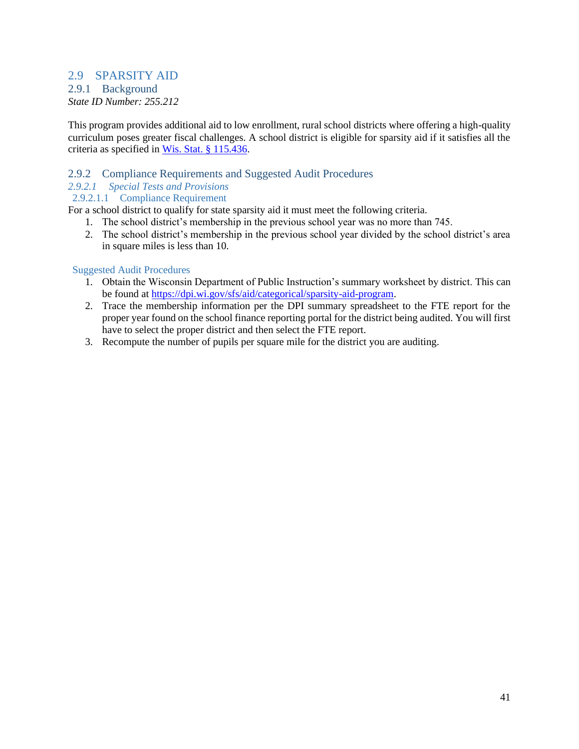### <span id="page-42-0"></span>2.9 SPARSITY AID

# <span id="page-42-1"></span>2.9.1 Background

*State ID Number: 255.212*

This program provides additional aid to low enrollment, rural school districts where offering a high-quality curriculum poses greater fiscal challenges. A school district is eligible for sparsity aid if it satisfies all the criteria as specified in [Wis. Stat. § 115.436.](https://docs.legis.wisconsin.gov/statutes/statutes/115/ii/436)

### <span id="page-42-2"></span>2.9.2 Compliance Requirements and Suggested Audit Procedures

*2.9.2.1 Special Tests and Provisions*

### 2.9.2.1.1 Compliance Requirement

For a school district to qualify for state sparsity aid it must meet the following criteria.

- 1. The school district's membership in the previous school year was no more than 745.
- 2. The school district's membership in the previous school year divided by the school district's area in square miles is less than 10.

- 1. Obtain the Wisconsin Department of Public Instruction's summary worksheet by district. This can be found at [https://dpi.wi.gov/sfs/aid/categorical/sparsity-aid-program.](https://dpi.wi.gov/sfs/aid/categorical/sparsity-aid-program)
- 2. Trace the membership information per the DPI summary spreadsheet to the FTE report for the proper year found on the school finance reporting portal for the district being audited. You will first have to select the proper district and then select the FTE report.
- 3. Recompute the number of pupils per square mile for the district you are auditing.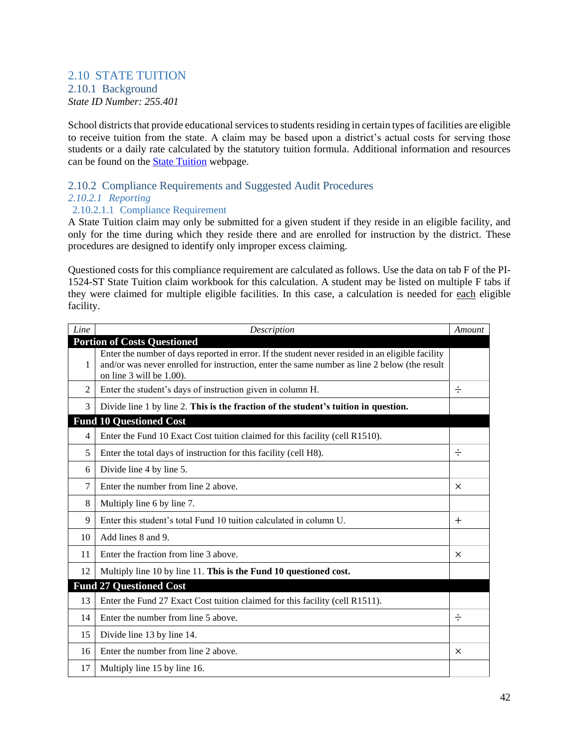#### <span id="page-43-1"></span><span id="page-43-0"></span>2.10 STATE TUITION 2.10.1 Background *State ID Number: 255.401*

School districts that provide educational services to students residing in certain types of facilities are eligible to receive tuition from the state. A claim may be based upon a district's actual costs for serving those students or a daily rate calculated by the statutory tuition formula. Additional information and resources can be found on the [State Tuition](http://dpi.wi.gov/sfs/aid/categorical/state-tuition) webpage.

### <span id="page-43-2"></span>2.10.2 Compliance Requirements and Suggested Audit Procedures

#### *2.10.2.1 Reporting*

### 2.10.2.1.1 Compliance Requirement

A State Tuition claim may only be submitted for a given student if they reside in an eligible facility, and only for the time during which they reside there and are enrolled for instruction by the district. These procedures are designed to identify only improper excess claiming.

Questioned costs for this compliance requirement are calculated as follows. Use the data on tab F of the PI-1524-ST State Tuition claim workbook for this calculation. A student may be listed on multiple F tabs if they were claimed for multiple eligible facilities. In this case, a calculation is needed for each eligible facility.

| Line           | Description                                                                                                                                                                                                                  | Amount   |
|----------------|------------------------------------------------------------------------------------------------------------------------------------------------------------------------------------------------------------------------------|----------|
|                | <b>Portion of Costs Questioned</b>                                                                                                                                                                                           |          |
| 1              | Enter the number of days reported in error. If the student never resided in an eligible facility<br>and/or was never enrolled for instruction, enter the same number as line 2 below (the result<br>on line 3 will be 1.00). |          |
| $\overline{2}$ | Enter the student's days of instruction given in column H.                                                                                                                                                                   | $\div$   |
| 3              | Divide line 1 by line 2. This is the fraction of the student's tuition in question.                                                                                                                                          |          |
|                | <b>Fund 10 Questioned Cost</b>                                                                                                                                                                                               |          |
| 4              | Enter the Fund 10 Exact Cost tuition claimed for this facility (cell R1510).                                                                                                                                                 |          |
| 5              | Enter the total days of instruction for this facility (cell H8).                                                                                                                                                             | $\div$   |
| 6              | Divide line 4 by line 5.                                                                                                                                                                                                     |          |
| 7              | Enter the number from line 2 above.                                                                                                                                                                                          | $\times$ |
| 8              | Multiply line 6 by line 7.                                                                                                                                                                                                   |          |
| 9              | Enter this student's total Fund 10 tuition calculated in column U.                                                                                                                                                           | $^{+}$   |
| 10             | Add lines 8 and 9.                                                                                                                                                                                                           |          |
| 11             | Enter the fraction from line 3 above.                                                                                                                                                                                        | $\times$ |
| 12             | Multiply line 10 by line 11. This is the Fund 10 questioned cost.                                                                                                                                                            |          |
|                | <b>Fund 27 Questioned Cost</b>                                                                                                                                                                                               |          |
| 13             | Enter the Fund 27 Exact Cost tuition claimed for this facility (cell R1511).                                                                                                                                                 |          |
| 14             | Enter the number from line 5 above.                                                                                                                                                                                          | $\div$   |
| 15             | Divide line 13 by line 14.                                                                                                                                                                                                   |          |
| 16             | Enter the number from line 2 above.                                                                                                                                                                                          | $\times$ |
| 17             | Multiply line 15 by line 16.                                                                                                                                                                                                 |          |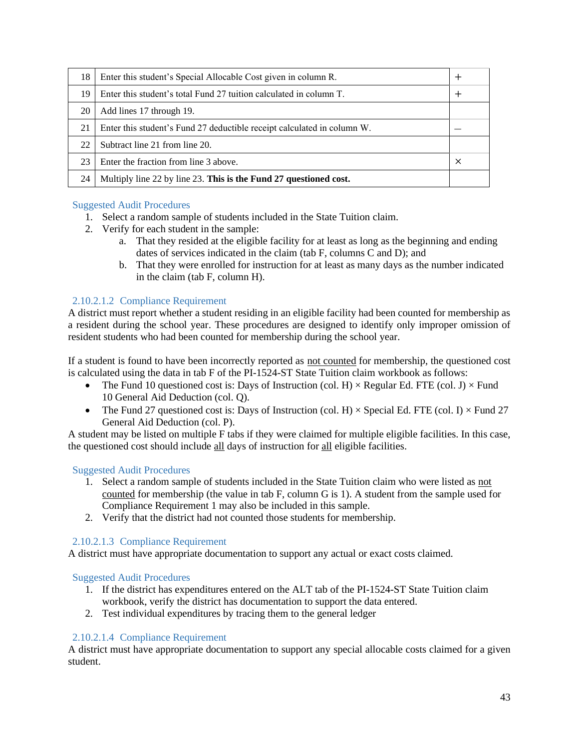| 18 | Enter this student's Special Allocable Cost given in column R.          |  |
|----|-------------------------------------------------------------------------|--|
| 19 | Enter this student's total Fund 27 tuition calculated in column T.      |  |
| 20 | Add lines 17 through 19.                                                |  |
| 21 | Enter this student's Fund 27 deductible receipt calculated in column W. |  |
| 22 | Subtract line 21 from line 20.                                          |  |
| 23 | Enter the fraction from line 3 above.                                   |  |
| 24 | Multiply line 22 by line 23. This is the Fund 27 questioned cost.       |  |

#### Suggested Audit Procedures

- 1. Select a random sample of students included in the State Tuition claim.
- 2. Verify for each student in the sample:
	- a. That they resided at the eligible facility for at least as long as the beginning and ending dates of services indicated in the claim (tab F, columns C and D); and
	- b. That they were enrolled for instruction for at least as many days as the number indicated in the claim (tab F, column H).

#### 2.10.2.1.2 Compliance Requirement

A district must report whether a student residing in an eligible facility had been counted for membership as a resident during the school year. These procedures are designed to identify only improper omission of resident students who had been counted for membership during the school year.

If a student is found to have been incorrectly reported as not counted for membership, the questioned cost is calculated using the data in tab F of the PI-1524-ST State Tuition claim workbook as follows:

- The Fund 10 questioned cost is: Days of Instruction (col. H)  $\times$  Regular Ed. FTE (col. J)  $\times$  Fund 10 General Aid Deduction (col. Q).
- The Fund 27 questioned cost is: Days of Instruction (col. H)  $\times$  Special Ed. FTE (col. I)  $\times$  Fund 27 General Aid Deduction (col. P).

A student may be listed on multiple F tabs if they were claimed for multiple eligible facilities. In this case, the questioned cost should include all days of instruction for all eligible facilities.

#### Suggested Audit Procedures

- 1. Select a random sample of students included in the State Tuition claim who were listed as not counted for membership (the value in tab F, column G is 1). A student from the sample used for Compliance Requirement 1 may also be included in this sample.
- 2. Verify that the district had not counted those students for membership.

#### 2.10.2.1.3 Compliance Requirement

A district must have appropriate documentation to support any actual or exact costs claimed.

#### Suggested Audit Procedures

- 1. If the district has expenditures entered on the ALT tab of the PI-1524-ST State Tuition claim workbook, verify the district has documentation to support the data entered.
- 2. Test individual expenditures by tracing them to the general ledger

#### 2.10.2.1.4 Compliance Requirement

A district must have appropriate documentation to support any special allocable costs claimed for a given student.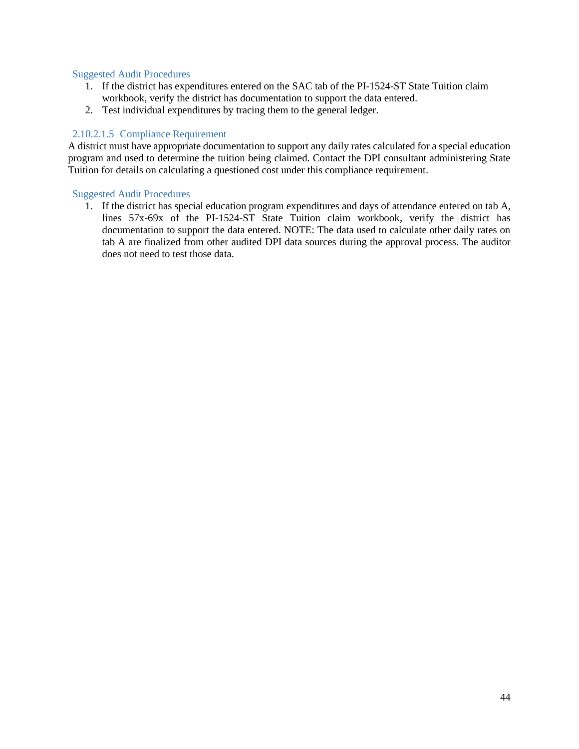#### Suggested Audit Procedures

- 1. If the district has expenditures entered on the SAC tab of the PI-1524-ST State Tuition claim workbook, verify the district has documentation to support the data entered.
- 2. Test individual expenditures by tracing them to the general ledger.

#### 2.10.2.1.5 Compliance Requirement

A district must have appropriate documentation to support any daily rates calculated for a special education program and used to determine the tuition being claimed. Contact the DPI consultant administering State Tuition for details on calculating a questioned cost under this compliance requirement.

#### Suggested Audit Procedures

1. If the district has special education program expenditures and days of attendance entered on tab A, lines 57x-69x of the PI-1524-ST State Tuition claim workbook, verify the district has documentation to support the data entered. NOTE: The data used to calculate other daily rates on tab A are finalized from other audited DPI data sources during the approval process. The auditor does not need to test those data.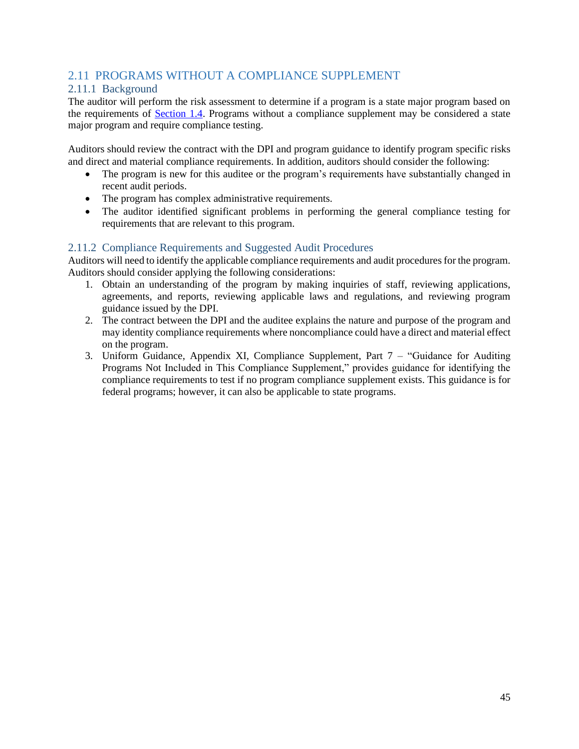### <span id="page-46-0"></span>2.11 PROGRAMS WITHOUT A COMPLIANCE SUPPLEMENT

### <span id="page-46-1"></span>2.11.1 Background

The auditor will perform the risk assessment to determine if a program is a state major program based on the requirements of **Section 1.4**. Programs without a compliance supplement may be considered a state major program and require compliance testing.

Auditors should review the contract with the DPI and program guidance to identify program specific risks and direct and material compliance requirements. In addition, auditors should consider the following:

- The program is new for this auditee or the program's requirements have substantially changed in recent audit periods.
- The program has complex administrative requirements.
- The auditor identified significant problems in performing the general compliance testing for requirements that are relevant to this program.

#### <span id="page-46-2"></span>2.11.2 Compliance Requirements and Suggested Audit Procedures

Auditors will need to identify the applicable compliance requirements and audit procedures for the program. Auditors should consider applying the following considerations:

- 1. Obtain an understanding of the program by making inquiries of staff, reviewing applications, agreements, and reports, reviewing applicable laws and regulations, and reviewing program guidance issued by the DPI.
- 2. The contract between the DPI and the auditee explains the nature and purpose of the program and may identity compliance requirements where noncompliance could have a direct and material effect on the program.
- 3. Uniform Guidance, Appendix XI, Compliance Supplement, Part 7 "Guidance for Auditing Programs Not Included in This Compliance Supplement," provides guidance for identifying the compliance requirements to test if no program compliance supplement exists. This guidance is for federal programs; however, it can also be applicable to state programs.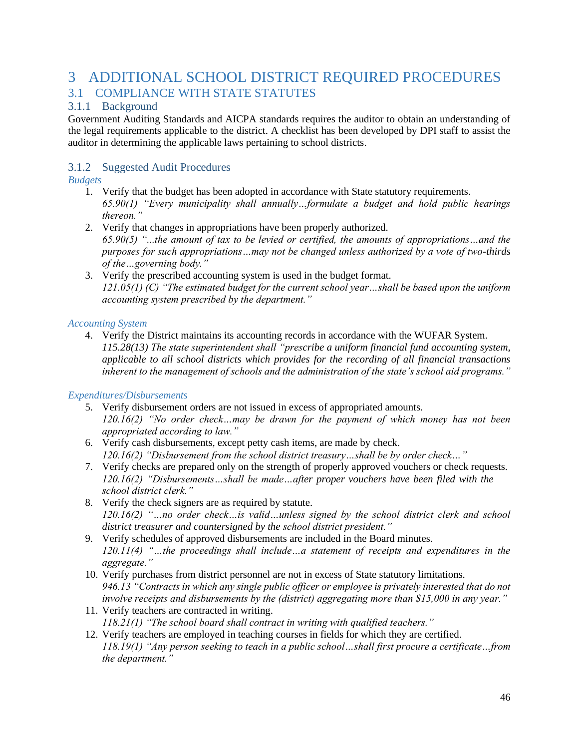# <span id="page-47-0"></span>3 ADDITIONAL SCHOOL DISTRICT REQUIRED PROCEDURES 3.1 COMPLIANCE WITH STATE STATUTES

### <span id="page-47-2"></span><span id="page-47-1"></span>3.1.1 Background

Government Auditing Standards and AICPA standards requires the auditor to obtain an understanding of the legal requirements applicable to the district. A checklist has been developed by DPI staff to assist the auditor in determining the applicable laws pertaining to school districts.

### <span id="page-47-3"></span>3.1.2 Suggested Audit Procedures

### *Budgets*

- 1. Verify that the budget has been adopted in accordance with State statutory requirements. *65.90(1) "Every municipality shall annually…formulate a budget and hold public hearings thereon."*
- 2. Verify that changes in appropriations have been properly authorized. *65.90(5) "...the amount of tax to be levied or certified, the amounts of appropriations…and the purposes for such appropriations…may not be changed unless authorized by a vote of two-thirds of the…governing body."*
- 3. Verify the prescribed accounting system is used in the budget format. *121.05(1) (C) "The estimated budget for the current school year…shall be based upon the uniform accounting system prescribed by the department."*

#### *Accounting System*

4. Verify the District maintains its accounting records in accordance with the WUFAR System. *115.28(13) The state superintendent shall "prescribe a uniform financial fund accounting system, applicable to all school districts which provides for the recording of all financial transactions inherent to the management of schools and the administration of the state's school aid programs."*

### *Expenditures/Disbursements*

- 5. Verify disbursement orders are not issued in excess of appropriated amounts. *120.16(2) "No order check…may be drawn for the payment of which money has not been appropriated according to law."*
- 6. Verify cash disbursements, except petty cash items, are made by check. *120.16(2) "Disbursement from the school district treasury…shall be by order check…"*
- 7. Verify checks are prepared only on the strength of properly approved vouchers or check requests. *120.16(2) "Disbursements…shall be made…after proper vouchers have been filed with the school district clerk."*
- 8. Verify the check signers are as required by statute. *120.16(2) "…no order check…is valid…unless signed by the school district clerk and school district treasurer and countersigned by the school district president."*
- 9. Verify schedules of approved disbursements are included in the Board minutes. *120.11(4) "…the proceedings shall include…a statement of receipts and expenditures in the aggregate."*
- 10. Verify purchases from district personnel are not in excess of State statutory limitations. *946.13 "Contracts in which any single public officer or employee is privately interested that do not involve receipts and disbursements by the (district) aggregating more than \$15,000 in any year."*
- 11. Verify teachers are contracted in writing. *118.21(1) "The school board shall contract in writing with qualified teachers."*
- 12. Verify teachers are employed in teaching courses in fields for which they are certified. *118.19(1) "Any person seeking to teach in a public school…shall first procure a certificate…from the department."*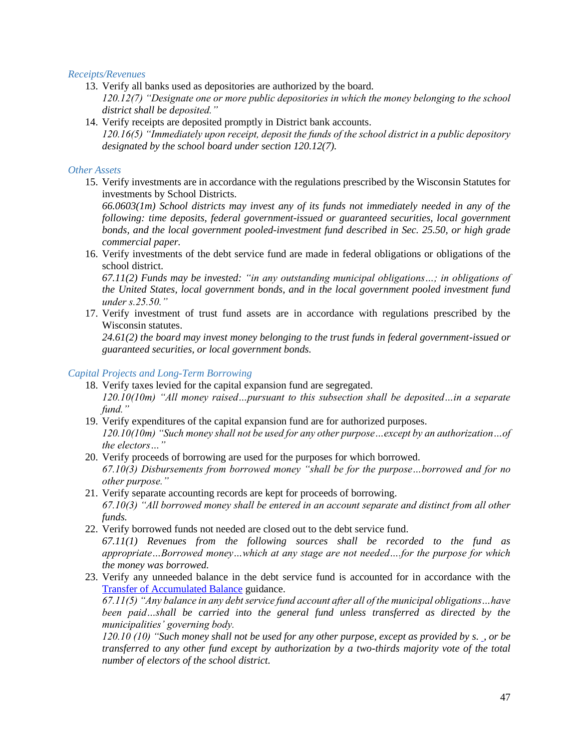#### *Receipts/Revenues*

- 13. Verify all banks used as depositories are authorized by the board. *120.12(7) "Designate one or more public depositories in which the money belonging to the school district shall be deposited."*
- 14. Verify receipts are deposited promptly in District bank accounts. *120.16(5) "Immediately upon receipt, deposit the funds of the school district in a public depository designated by the school board under section 120.12(7).*

#### *Other Assets*

15. Verify investments are in accordance with the regulations prescribed by the Wisconsin Statutes for investments by School Districts.

*66.0603(1m) School districts may invest any of its funds not immediately needed in any of the following: time deposits, federal government-issued or guaranteed securities, local government bonds, and the local government pooled-investment fund described in Sec. 25.50, or high grade commercial paper.*

16. Verify investments of the debt service fund are made in federal obligations or obligations of the school district.

*67.11(2) Funds may be invested: "in any outstanding municipal obligations…; in obligations of the United States, local government bonds, and in the local government pooled investment fund under s.25.50."*

17. Verify investment of trust fund assets are in accordance with regulations prescribed by the Wisconsin statutes.

*24.61(2) the board may invest money belonging to the trust funds in federal government-issued or guaranteed securities, or local government bonds.*

#### *Capital Projects and Long-Term Borrowing*

- 18. Verify taxes levied for the capital expansion fund are segregated. *120.10(10m) "All money raised…pursuant to this subsection shall be deposited…in a separate fund."*
- 19. Verify expenditures of the capital expansion fund are for authorized purposes. *120.10(10m) "Such money shall not be used for any other purpose…except by an authorization…of the electors…"*
- 20. Verify proceeds of borrowing are used for the purposes for which borrowed. *67.10(3) Disbursements from borrowed money "shall be for the purpose…borrowed and for no other purpose."*
- 21. Verify separate accounting records are kept for proceeds of borrowing. *67.10(3) "All borrowed money shall be entered in an account separate and distinct from all other funds.*
- 22. Verify borrowed funds not needed are closed out to the debt service fund. *67.11(1) Revenues from the following sources shall be recorded to the fund as appropriate…Borrowed money…which at any stage are not needed….for the purpose for which the money was borrowed.*
- 23. Verify any unneeded balance in the debt service fund is accounted for in accordance with the [Transfer of Accumulated Balance](https://dpi.wi.gov/sites/default/files/imce/sfs/pdf/Fund-39-Balance-Transfer-Policy.pdf) guidance. *67.11(5) "Any balance in any debt service fund account after all of the municipal obligations…have been paid…shall be carried into the general fund unless transferred as directed by the municipalities' governing body. 120.10 (10) "Such money shall not be used for any other purpose, except as provided by s. , or be*

*transferred to any other fund except by authorization by a two-thirds majority vote of the total number of electors of the school district.*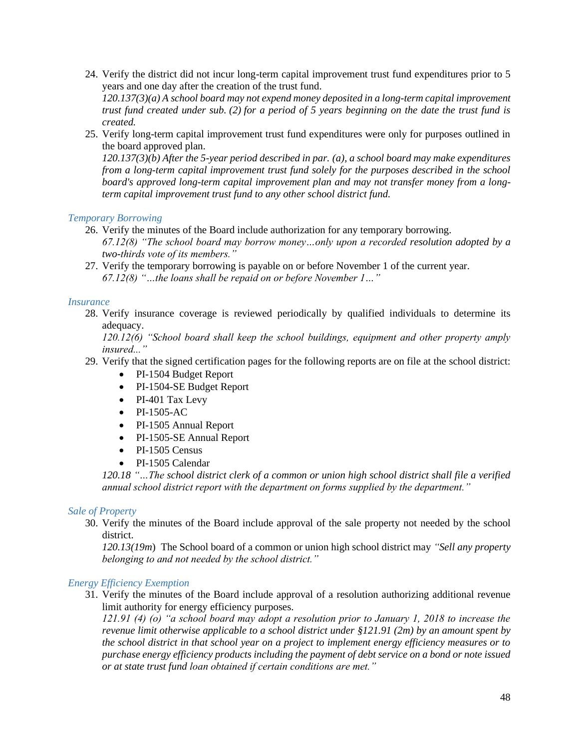24. Verify the district did not incur long-term capital improvement trust fund expenditures prior to 5 years and one day after the creation of the trust fund.

*120.137(3)(a) A school board may not expend money deposited in a long-term capital improvement trust fund created under sub. [\(2\)](http://docs.legis.wisconsin.gov/document/statutes/120.137(2)) for a period of 5 years beginning on the date the trust fund is created.*

25. Verify long-term capital improvement trust fund expenditures were only for purposes outlined in the board approved plan.

*120.137(3)(b) After the 5-year period described in par. [\(a\),](http://docs.legis.wisconsin.gov/document/statutes/120.137(3)(a)) a school board may make expenditures from a long-term capital improvement trust fund solely for the purposes described in the school board's approved long-term capital improvement plan and may not transfer money from a longterm capital improvement trust fund to any other school district fund.*

#### *Temporary Borrowing*

- 26. Verify the minutes of the Board include authorization for any temporary borrowing. *67.12(8) "The school board may borrow money…only upon a recorded resolution adopted by a two-thirds vote of its members."*
- 27. Verify the temporary borrowing is payable on or before November 1 of the current year. *67.12(8) "…the loans shall be repaid on or before November 1…"*

#### *Insurance*

28. Verify insurance coverage is reviewed periodically by qualified individuals to determine its adequacy.

*120.12(6) "School board shall keep the school buildings, equipment and other property amply insured..."*

- 29. Verify that the signed certification pages for the following reports are on file at the school district:
	- PI-1504 Budget Report
	- PI-1504-SE Budget Report
	- PI-401 Tax Levy
	- PI-1505-AC
	- PI-1505 Annual Report
	- PI-1505-SE Annual Report
	- PI-1505 Census
	- PI-1505 Calendar

*120.18 "…The school district clerk of a common or union high school district shall file a verified annual school district report with the department on forms supplied by the department."*

#### *Sale of Property*

30. Verify the minutes of the Board include approval of the sale property not needed by the school district.

*120.13(19m*) The School board of a common or union high school district may *"Sell any property belonging to and not needed by the school district."*

#### *Energy Efficiency Exemption*

31. Verify the minutes of the Board include approval of a resolution authorizing additional revenue limit authority for energy efficiency purposes.

*121.91 (4) (o) "a school board may adopt a resolution prior to January 1, 2018 to increase the revenue limit otherwise applicable to a school district under §121.91 (2m) by an amount spent by the school district in that school year on a project to implement energy efficiency measures or to purchase energy efficiency products including the payment of debt service on a bond or note issued or at state trust fund loan obtained if certain conditions are met."*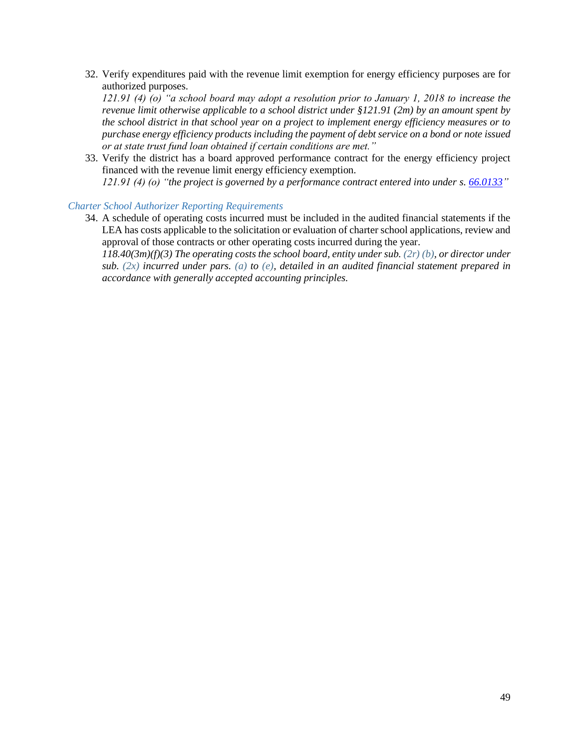32. Verify expenditures paid with the revenue limit exemption for energy efficiency purposes are for authorized purposes.

*121.91 (4) (o) "a school board may adopt a resolution prior to January 1, 2018 to increase the revenue limit otherwise applicable to a school district under §121.91 (2m) by an amount spent by the school district in that school year on a project to implement energy efficiency measures or to purchase energy efficiency products including the payment of debt service on a bond or note issued or at state trust fund loan obtained if certain conditions are met."*

33. Verify the district has a board approved performance contract for the energy efficiency project financed with the revenue limit energy efficiency exemption. *121.91 (4) (o) "the project is governed by a performance contract entered into under s[. 66.0133"](http://docs.legis.wisconsin.gov/document/statutes/66.0133)*

#### *Charter School Authorizer Reporting Requirements*

34. A schedule of operating costs incurred must be included in the audited financial statements if the LEA has costs applicable to the solicitation or evaluation of charter school applications, review and approval of those contracts or other operating costs incurred during the year.

*118.40(3m)(f)(3) The operating costs the school board, entity under sub. [\(2r\) \(b\),](https://docs.legis.wisconsin.gov/document/statutes/118.40(2r)(b)) or director under sub. [\(2x\)](https://docs.legis.wisconsin.gov/document/statutes/118.40(2x)) incurred under pars. [\(a\)](https://docs.legis.wisconsin.gov/document/statutes/118.40(3m)(a)) to [\(e\),](https://docs.legis.wisconsin.gov/document/statutes/118.40(3m)(e)) detailed in an audited financial statement prepared in accordance with generally accepted accounting principles.*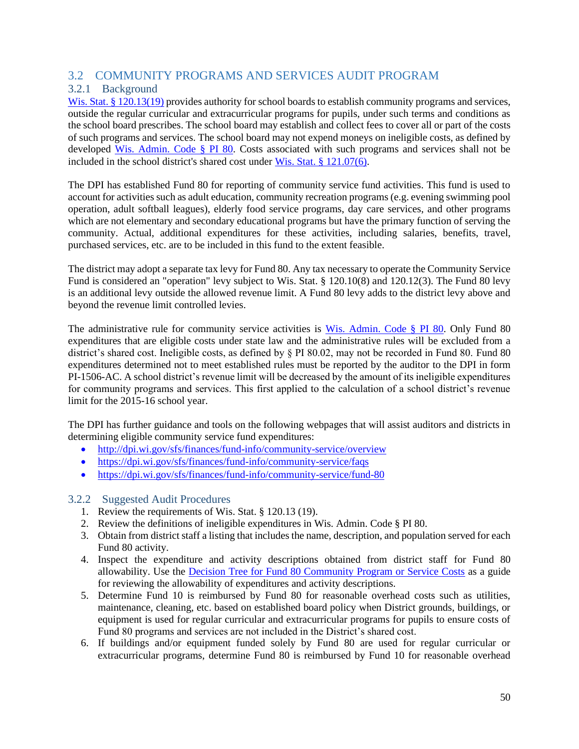### <span id="page-51-0"></span>3.2 COMMUNITY PROGRAMS AND SERVICES AUDIT PROGRAM

### <span id="page-51-1"></span>3.2.1 Background

[Wis. Stat. § 120.13\(19\)](http://docs.legis.wisconsin.gov/statutes/statutes/120/I/13/19) provides authority for school boards to establish community programs and services, outside the regular curricular and extracurricular programs for pupils, under such terms and conditions as the school board prescribes. The school board may establish and collect fees to cover all or part of the costs of such programs and services. The school board may not expend moneys on ineligible costs, as defined by developed [Wis. Admin. Code](https://docs.legis.wisconsin.gov/code/admin_code/pi/80) § PI 80. Costs associated with such programs and services shall not be included in the school district's shared cost under [Wis. Stat. § 121.07\(6\).](http://docs.legis.wisconsin.gov/statutes/statutes/121/II/07/6)

The DPI has established Fund 80 for reporting of community service fund activities. This fund is used to account for activities such as adult education, community recreation programs (e.g. evening swimming pool operation, adult softball leagues), elderly food service programs, day care services, and other programs which are not elementary and secondary educational programs but have the primary function of serving the community. Actual, additional expenditures for these activities, including salaries, benefits, travel, purchased services, etc. are to be included in this fund to the extent feasible.

The district may adopt a separate tax levy for Fund 80. Any tax necessary to operate the Community Service Fund is considered an "operation" levy subject to Wis. Stat. § 120.10(8) and 120.12(3). The Fund 80 levy is an additional levy outside the allowed revenue limit. A Fund 80 levy adds to the district levy above and beyond the revenue limit controlled levies.

The administrative rule for community service activities is [Wis. Admin. Code](https://docs.legis.wisconsin.gov/code/admin_code/pi/80) § PI 80. Only Fund 80 expenditures that are eligible costs under state law and the administrative rules will be excluded from a district's shared cost. Ineligible costs, as defined by § PI 80.02, may not be recorded in Fund 80. Fund 80 expenditures determined not to meet established rules must be reported by the auditor to the DPI in form PI-1506-AC. A school district's revenue limit will be decreased by the amount of its ineligible expenditures for community programs and services. This first applied to the calculation of a school district's revenue limit for the 2015-16 school year.

The DPI has further guidance and tools on the following webpages that will assist auditors and districts in determining eligible community service fund expenditures:

- <http://dpi.wi.gov/sfs/finances/fund-info/community-service/overview>
- <https://dpi.wi.gov/sfs/finances/fund-info/community-service/faqs>
- <https://dpi.wi.gov/sfs/finances/fund-info/community-service/fund-80>

- <span id="page-51-2"></span>1. Review the requirements of Wis. Stat. § 120.13 (19).
- 2. Review the definitions of ineligible expenditures in Wis. Admin. Code § PI 80.
- 3. Obtain from district staff a listing that includes the name, description, and population served for each Fund 80 activity.
- 4. Inspect the expenditure and activity descriptions obtained from district staff for Fund 80 allowability. Use the [Decision Tree for Fund 80 Community Program or Service Costs](https://dpi.wi.gov/sites/default/files/imce/sfs/pdf/Final-Decision-Tree-for-Potential-Fund-80-03-2019.pdf) as a guide for reviewing the allowability of expenditures and activity descriptions.
- 5. Determine Fund 10 is reimbursed by Fund 80 for reasonable overhead costs such as utilities, maintenance, cleaning, etc. based on established board policy when District grounds, buildings, or equipment is used for regular curricular and extracurricular programs for pupils to ensure costs of Fund 80 programs and services are not included in the District's shared cost.
- 6. If buildings and/or equipment funded solely by Fund 80 are used for regular curricular or extracurricular programs, determine Fund 80 is reimbursed by Fund 10 for reasonable overhead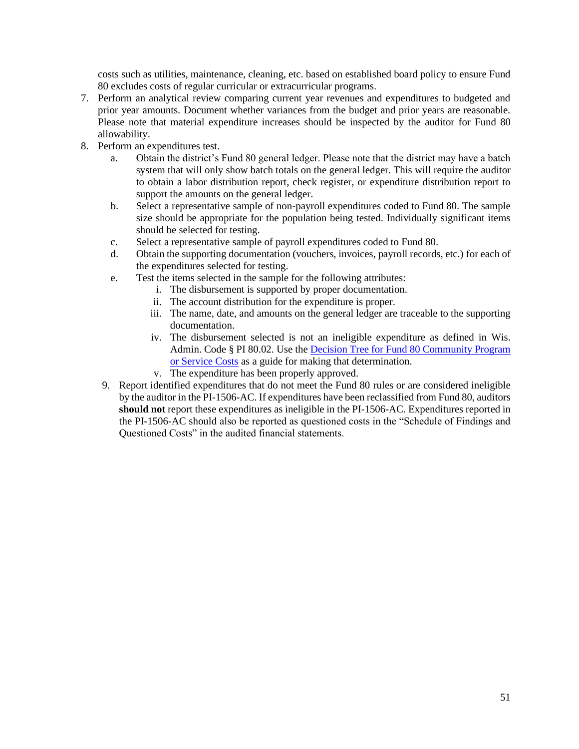costs such as utilities, maintenance, cleaning, etc. based on established board policy to ensure Fund 80 excludes costs of regular curricular or extracurricular programs.

- 7. Perform an analytical review comparing current year revenues and expenditures to budgeted and prior year amounts. Document whether variances from the budget and prior years are reasonable. Please note that material expenditure increases should be inspected by the auditor for Fund 80 allowability.
- 8. Perform an expenditures test.
	- a. Obtain the district's Fund 80 general ledger. Please note that the district may have a batch system that will only show batch totals on the general ledger. This will require the auditor to obtain a labor distribution report, check register, or expenditure distribution report to support the amounts on the general ledger.
	- b. Select a representative sample of non-payroll expenditures coded to Fund 80. The sample size should be appropriate for the population being tested. Individually significant items should be selected for testing.
	- c. Select a representative sample of payroll expenditures coded to Fund 80.
	- d. Obtain the supporting documentation (vouchers, invoices, payroll records, etc.) for each of the expenditures selected for testing.
	- e. Test the items selected in the sample for the following attributes:
		- i. The disbursement is supported by proper documentation.
		- ii. The account distribution for the expenditure is proper.
		- iii. The name, date, and amounts on the general ledger are traceable to the supporting documentation.
		- iv. The disbursement selected is not an ineligible expenditure as defined in Wis. Admin. Code § PI 80.02. Use the [Decision Tree for Fund 80 Community Program](https://dpi.wi.gov/sites/default/files/imce/sfs/pdf/Final-Decision-Tree-for-Potential-Fund-80-03-2019.pdf)  [or Service Costs](https://dpi.wi.gov/sites/default/files/imce/sfs/pdf/Final-Decision-Tree-for-Potential-Fund-80-03-2019.pdf) as a guide for making that determination.
		- v. The expenditure has been properly approved.
	- 9. Report identified expenditures that do not meet the Fund 80 rules or are considered ineligible by the auditor in the PI-1506-AC. If expenditures have been reclassified from Fund 80, auditors **should not** report these expenditures as ineligible in the PI-1506-AC. Expenditures reported in the PI-1506-AC should also be reported as questioned costs in the "Schedule of Findings and Questioned Costs" in the audited financial statements.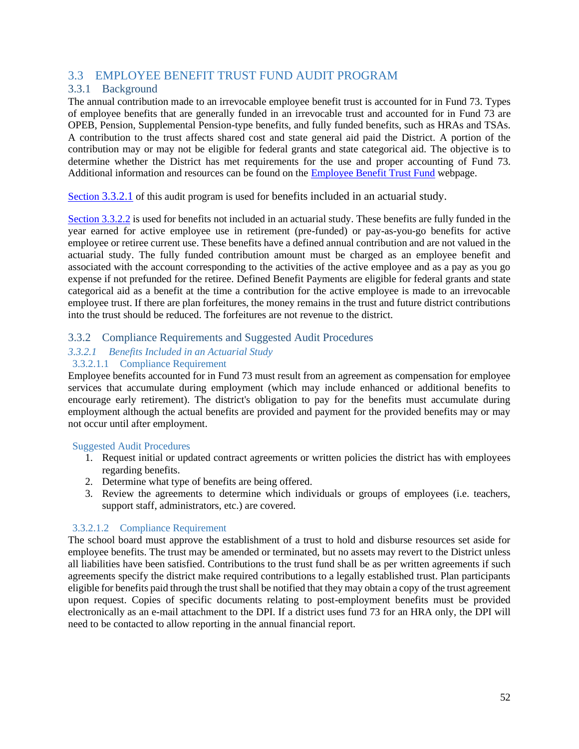### <span id="page-53-0"></span>3.3 EMPLOYEE BENEFIT TRUST FUND AUDIT PROGRAM

### <span id="page-53-1"></span>3.3.1 Background

The annual contribution made to an irrevocable employee benefit trust is accounted for in Fund 73. Types of employee benefits that are generally funded in an irrevocable trust and accounted for in Fund 73 are OPEB, Pension, Supplemental Pension-type benefits, and fully funded benefits, such as HRAs and TSAs. A contribution to the trust affects shared cost and state general aid paid the District. A portion of the contribution may or may not be eligible for federal grants and state categorical aid. The objective is to determine whether the District has met requirements for the use and proper accounting of Fund 73. Additional information and resources can be found on the [Employee Benefit Trust Fund](https://dpi.wi.gov/sfs/finances/fund-info/employee-benefit-trust-fund) webpage.

[Section](#page-53-3) [3.3.2.1](#page-53-3) of this audit program is used for benefits included in an actuarial study.

[Section 3.3.2.2](#page-57-0) is used for benefits not included in an actuarial study. These benefits are fully funded in the year earned for active employee use in retirement (pre-funded) or pay-as-you-go benefits for active employee or retiree current use. These benefits have a defined annual contribution and are not valued in the actuarial study. The fully funded contribution amount must be charged as an employee benefit and associated with the account corresponding to the activities of the active employee and as a pay as you go expense if not prefunded for the retiree. Defined Benefit Payments are eligible for federal grants and state categorical aid as a benefit at the time a contribution for the active employee is made to an irrevocable employee trust. If there are plan forfeitures, the money remains in the trust and future district contributions into the trust should be reduced. The forfeitures are not revenue to the district.

### <span id="page-53-2"></span>3.3.2 Compliance Requirements and Suggested Audit Procedures

#### <span id="page-53-3"></span>*3.3.2.1 Benefits Included in an Actuarial Study*  3.3.2.1.1 Compliance Requirement

Employee benefits accounted for in Fund 73 must result from an agreement as compensation for employee services that accumulate during employment (which may include enhanced or additional benefits to encourage early retirement). The district's obligation to pay for the benefits must accumulate during employment although the actual benefits are provided and payment for the provided benefits may or may not occur until after employment.

#### Suggested Audit Procedures

- 1. Request initial or updated contract agreements or written policies the district has with employees regarding benefits.
- 2. Determine what type of benefits are being offered.
- 3. Review the agreements to determine which individuals or groups of employees (i.e. teachers, support staff, administrators, etc.) are covered.

#### 3.3.2.1.2 Compliance Requirement

The school board must approve the establishment of a trust to hold and disburse resources set aside for employee benefits. The trust may be amended or terminated, but no assets may revert to the District unless all liabilities have been satisfied. Contributions to the trust fund shall be as per written agreements if such agreements specify the district make required contributions to a legally established trust. Plan participants eligible for benefits paid through the trust shall be notified that they may obtain a copy of the trust agreement upon request. Copies of specific documents relating to post-employment benefits must be provided electronically as an e-mail attachment to the DPI. If a district uses fund 73 for an HRA only, the DPI will need to be contacted to allow reporting in the annual financial report.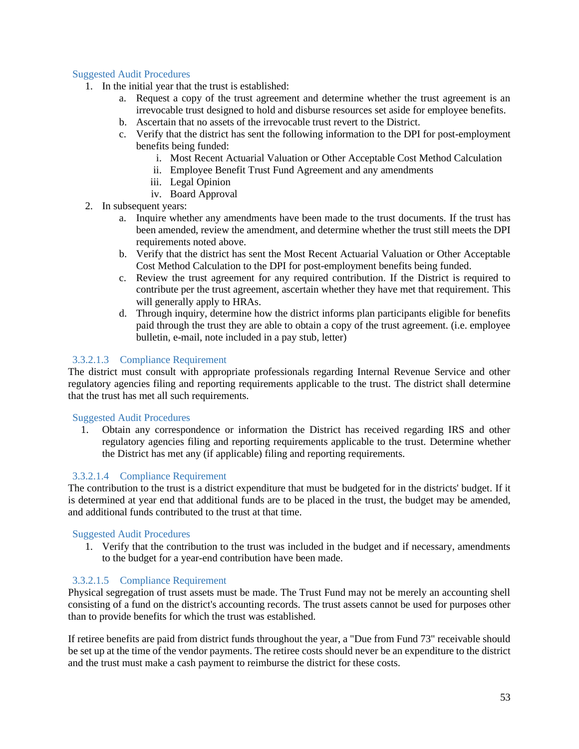#### Suggested Audit Procedures

- 1. In the initial year that the trust is established:
	- a. Request a copy of the trust agreement and determine whether the trust agreement is an irrevocable trust designed to hold and disburse resources set aside for employee benefits.
	- b. Ascertain that no assets of the irrevocable trust revert to the District.
	- c. Verify that the district has sent the following information to the DPI for post-employment benefits being funded:
		- i. Most Recent Actuarial Valuation or Other Acceptable Cost Method Calculation
		- ii. Employee Benefit Trust Fund Agreement and any amendments
		- iii. Legal Opinion
		- iv. Board Approval
- 2. In subsequent years:
	- a. Inquire whether any amendments have been made to the trust documents. If the trust has been amended, review the amendment, and determine whether the trust still meets the DPI requirements noted above.
	- b. Verify that the district has sent the Most Recent Actuarial Valuation or Other Acceptable Cost Method Calculation to the DPI for post-employment benefits being funded.
	- c. Review the trust agreement for any required contribution. If the District is required to contribute per the trust agreement, ascertain whether they have met that requirement. This will generally apply to HRAs.
	- d. Through inquiry, determine how the district informs plan participants eligible for benefits paid through the trust they are able to obtain a copy of the trust agreement. (i.e. employee bulletin, e-mail, note included in a pay stub, letter)

#### 3.3.2.1.3 Compliance Requirement

The district must consult with appropriate professionals regarding Internal Revenue Service and other regulatory agencies filing and reporting requirements applicable to the trust. The district shall determine that the trust has met all such requirements.

#### Suggested Audit Procedures

1. Obtain any correspondence or information the District has received regarding IRS and other regulatory agencies filing and reporting requirements applicable to the trust. Determine whether the District has met any (if applicable) filing and reporting requirements.

#### 3.3.2.1.4 Compliance Requirement

The contribution to the trust is a district expenditure that must be budgeted for in the districts' budget. If it is determined at year end that additional funds are to be placed in the trust, the budget may be amended, and additional funds contributed to the trust at that time.

#### Suggested Audit Procedures

1. Verify that the contribution to the trust was included in the budget and if necessary, amendments to the budget for a year-end contribution have been made.

#### 3.3.2.1.5 Compliance Requirement

Physical segregation of trust assets must be made. The Trust Fund may not be merely an accounting shell consisting of a fund on the district's accounting records. The trust assets cannot be used for purposes other than to provide benefits for which the trust was established.

If retiree benefits are paid from district funds throughout the year, a "Due from Fund 73" receivable should be set up at the time of the vendor payments. The retiree costs should never be an expenditure to the district and the trust must make a cash payment to reimburse the district for these costs.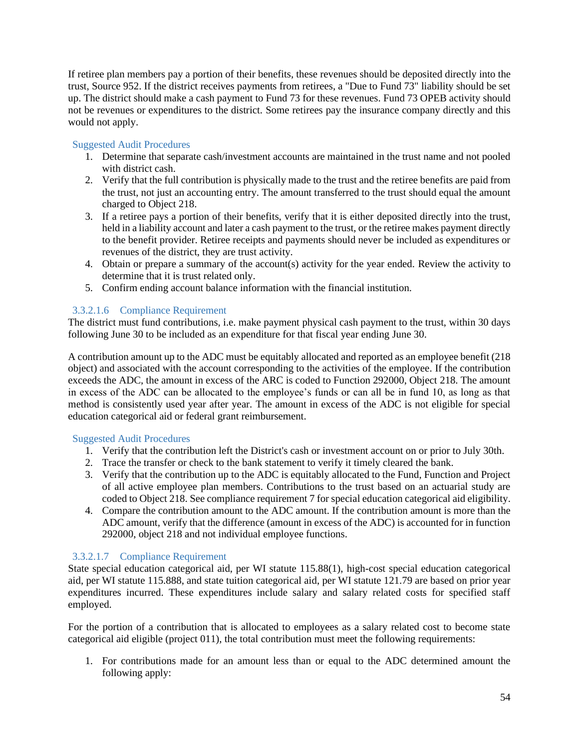If retiree plan members pay a portion of their benefits, these revenues should be deposited directly into the trust, Source 952. If the district receives payments from retirees, a "Due to Fund 73" liability should be set up. The district should make a cash payment to Fund 73 for these revenues. Fund 73 OPEB activity should not be revenues or expenditures to the district. Some retirees pay the insurance company directly and this would not apply.

#### Suggested Audit Procedures

- 1. Determine that separate cash/investment accounts are maintained in the trust name and not pooled with district cash.
- 2. Verify that the full contribution is physically made to the trust and the retiree benefits are paid from the trust, not just an accounting entry. The amount transferred to the trust should equal the amount charged to Object 218.
- 3. If a retiree pays a portion of their benefits, verify that it is either deposited directly into the trust, held in a liability account and later a cash payment to the trust, or the retiree makes payment directly to the benefit provider. Retiree receipts and payments should never be included as expenditures or revenues of the district, they are trust activity.
- 4. Obtain or prepare a summary of the account(s) activity for the year ended. Review the activity to determine that it is trust related only.
- 5. Confirm ending account balance information with the financial institution.

#### 3.3.2.1.6 Compliance Requirement

The district must fund contributions, i.e. make payment physical cash payment to the trust, within 30 days following June 30 to be included as an expenditure for that fiscal year ending June 30.

A contribution amount up to the ADC must be equitably allocated and reported as an employee benefit (218 object) and associated with the account corresponding to the activities of the employee. If the contribution exceeds the ADC, the amount in excess of the ARC is coded to Function 292000, Object 218. The amount in excess of the ADC can be allocated to the employee's funds or can all be in fund 10, as long as that method is consistently used year after year. The amount in excess of the ADC is not eligible for special education categorical aid or federal grant reimbursement.

#### Suggested Audit Procedures

- 1. Verify that the contribution left the District's cash or investment account on or prior to July 30th.
- 2. Trace the transfer or check to the bank statement to verify it timely cleared the bank.
- 3. Verify that the contribution up to the ADC is equitably allocated to the Fund, Function and Project of all active employee plan members. Contributions to the trust based on an actuarial study are coded to Object 218. See compliance requirement 7 for special education categorical aid eligibility.
- 4. Compare the contribution amount to the ADC amount. If the contribution amount is more than the ADC amount, verify that the difference (amount in excess of the ADC) is accounted for in function 292000, object 218 and not individual employee functions.

#### 3.3.2.1.7 Compliance Requirement

State special education categorical aid, per WI statute 115.88(1), high-cost special education categorical aid, per WI statute 115.888, and state tuition categorical aid, per WI statute 121.79 are based on prior year expenditures incurred. These expenditures include salary and salary related costs for specified staff employed.

For the portion of a contribution that is allocated to employees as a salary related cost to become state categorical aid eligible (project 011), the total contribution must meet the following requirements:

1. For contributions made for an amount less than or equal to the ADC determined amount the following apply: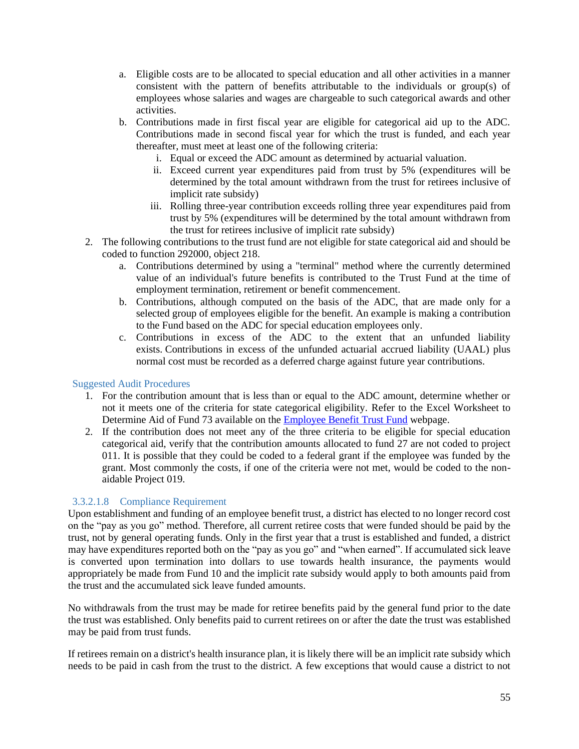- a. Eligible costs are to be allocated to special education and all other activities in a manner consistent with the pattern of benefits attributable to the individuals or group(s) of employees whose salaries and wages are chargeable to such categorical awards and other activities.
- b. Contributions made in first fiscal year are eligible for categorical aid up to the ADC. Contributions made in second fiscal year for which the trust is funded, and each year thereafter, must meet at least one of the following criteria:
	- i. Equal or exceed the ADC amount as determined by actuarial valuation.
	- ii. Exceed current year expenditures paid from trust by 5% (expenditures will be determined by the total amount withdrawn from the trust for retirees inclusive of implicit rate subsidy)
	- iii. Rolling three-year contribution exceeds rolling three year expenditures paid from trust by 5% (expenditures will be determined by the total amount withdrawn from the trust for retirees inclusive of implicit rate subsidy)
- 2. The following contributions to the trust fund are not eligible for state categorical aid and should be coded to function 292000, object 218.
	- a. Contributions determined by using a "terminal" method where the currently determined value of an individual's future benefits is contributed to the Trust Fund at the time of employment termination, retirement or benefit commencement.
	- b. Contributions, although computed on the basis of the ADC, that are made only for a selected group of employees eligible for the benefit. An example is making a contribution to the Fund based on the ADC for special education employees only.
	- c. Contributions in excess of the ADC to the extent that an unfunded liability exists. Contributions in excess of the unfunded actuarial accrued liability (UAAL) plus normal cost must be recorded as a deferred charge against future year contributions.

#### Suggested Audit Procedures

- 1. For the contribution amount that is less than or equal to the ADC amount, determine whether or not it meets one of the criteria for state categorical eligibility. Refer to the Excel Worksheet to Determine Aid of Fund 73 available on the [Employee Benefit Trust Fund](https://dpi.wi.gov/sfs/finances/fund-info/employee-benefit-trust-fund) webpage.
- 2. If the contribution does not meet any of the three criteria to be eligible for special education categorical aid, verify that the contribution amounts allocated to fund 27 are not coded to project 011. It is possible that they could be coded to a federal grant if the employee was funded by the grant. Most commonly the costs, if one of the criteria were not met, would be coded to the nonaidable Project 019.

#### 3.3.2.1.8 Compliance Requirement

Upon establishment and funding of an employee benefit trust, a district has elected to no longer record cost on the "pay as you go" method. Therefore, all current retiree costs that were funded should be paid by the trust, not by general operating funds. Only in the first year that a trust is established and funded, a district may have expenditures reported both on the "pay as you go" and "when earned". If accumulated sick leave is converted upon termination into dollars to use towards health insurance, the payments would appropriately be made from Fund 10 and the implicit rate subsidy would apply to both amounts paid from the trust and the accumulated sick leave funded amounts.

No withdrawals from the trust may be made for retiree benefits paid by the general fund prior to the date the trust was established. Only benefits paid to current retirees on or after the date the trust was established may be paid from trust funds.

If retirees remain on a district's health insurance plan, it is likely there will be an implicit rate subsidy which needs to be paid in cash from the trust to the district. A few exceptions that would cause a district to not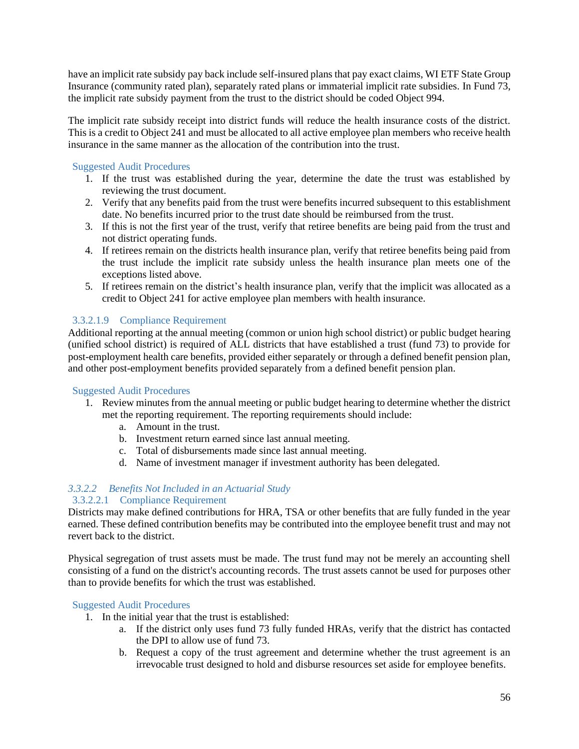have an implicit rate subsidy pay back include self-insured plans that pay exact claims, WI ETF State Group Insurance (community rated plan), separately rated plans or immaterial implicit rate subsidies. In Fund 73, the implicit rate subsidy payment from the trust to the district should be coded Object 994.

The implicit rate subsidy receipt into district funds will reduce the health insurance costs of the district. This is a credit to Object 241 and must be allocated to all active employee plan members who receive health insurance in the same manner as the allocation of the contribution into the trust.

#### Suggested Audit Procedures

- 1. If the trust was established during the year, determine the date the trust was established by reviewing the trust document.
- 2. Verify that any benefits paid from the trust were benefits incurred subsequent to this establishment date. No benefits incurred prior to the trust date should be reimbursed from the trust.
- 3. If this is not the first year of the trust, verify that retiree benefits are being paid from the trust and not district operating funds.
- 4. If retirees remain on the districts health insurance plan, verify that retiree benefits being paid from the trust include the implicit rate subsidy unless the health insurance plan meets one of the exceptions listed above.
- 5. If retirees remain on the district's health insurance plan, verify that the implicit was allocated as a credit to Object 241 for active employee plan members with health insurance.

#### 3.3.2.1.9 Compliance Requirement

Additional reporting at the annual meeting (common or union high school district) or public budget hearing (unified school district) is required of ALL districts that have established a trust (fund 73) to provide for post-employment health care benefits, provided either separately or through a defined benefit pension plan, and other post-employment benefits provided separately from a defined benefit pension plan.

#### Suggested Audit Procedures

- 1. Review minutes from the annual meeting or public budget hearing to determine whether the district met the reporting requirement. The reporting requirements should include:
	- a. Amount in the trust.
	- b. Investment return earned since last annual meeting.
	- c. Total of disbursements made since last annual meeting.
	- d. Name of investment manager if investment authority has been delegated.

### <span id="page-57-0"></span>*3.3.2.2 Benefits Not Included in an Actuarial Study*

#### 3.3.2.2.1 Compliance Requirement

Districts may make defined contributions for HRA, TSA or other benefits that are fully funded in the year earned. These defined contribution benefits may be contributed into the employee benefit trust and may not revert back to the district.

Physical segregation of trust assets must be made. The trust fund may not be merely an accounting shell consisting of a fund on the district's accounting records. The trust assets cannot be used for purposes other than to provide benefits for which the trust was established.

- 1. In the initial year that the trust is established:
	- a. If the district only uses fund 73 fully funded HRAs, verify that the district has contacted the DPI to allow use of fund 73.
	- b. Request a copy of the trust agreement and determine whether the trust agreement is an irrevocable trust designed to hold and disburse resources set aside for employee benefits.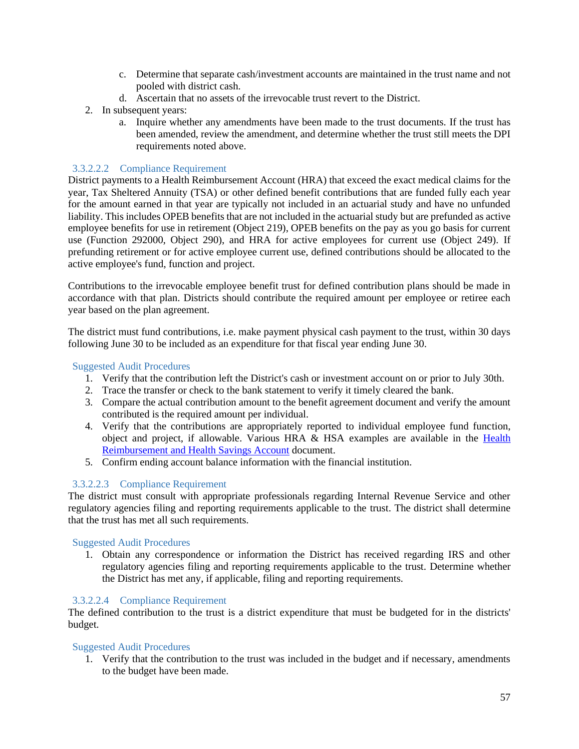- c. Determine that separate cash/investment accounts are maintained in the trust name and not pooled with district cash.
- d. Ascertain that no assets of the irrevocable trust revert to the District.
- 2. In subsequent years:
	- a. Inquire whether any amendments have been made to the trust documents. If the trust has been amended, review the amendment, and determine whether the trust still meets the DPI requirements noted above.

#### 3.3.2.2.2 Compliance Requirement

District payments to a Health Reimbursement Account (HRA) that exceed the exact medical claims for the year, Tax Sheltered Annuity (TSA) or other defined benefit contributions that are funded fully each year for the amount earned in that year are typically not included in an actuarial study and have no unfunded liability. This includes OPEB benefits that are not included in the actuarial study but are prefunded as active employee benefits for use in retirement (Object 219), OPEB benefits on the pay as you go basis for current use (Function 292000, Object 290), and HRA for active employees for current use (Object 249). If prefunding retirement or for active employee current use, defined contributions should be allocated to the active employee's fund, function and project.

Contributions to the irrevocable employee benefit trust for defined contribution plans should be made in accordance with that plan. Districts should contribute the required amount per employee or retiree each year based on the plan agreement.

The district must fund contributions, i.e. make payment physical cash payment to the trust, within 30 days following June 30 to be included as an expenditure for that fiscal year ending June 30.

#### Suggested Audit Procedures

- 1. Verify that the contribution left the District's cash or investment account on or prior to July 30th.
- 2. Trace the transfer or check to the bank statement to verify it timely cleared the bank.
- 3. Compare the actual contribution amount to the benefit agreement document and verify the amount contributed is the required amount per individual.
- 4. Verify that the contributions are appropriately reported to individual employee fund function, object and project, if allowable. Various HRA & HSA examples are available in the [Health](https://dpi.wi.gov/sites/default/files/imce/sfs/pdf/HRA_and_HSA.pdf)  [Reimbursement and Health Savings Account](https://dpi.wi.gov/sites/default/files/imce/sfs/pdf/HRA_and_HSA.pdf) document.
- 5. Confirm ending account balance information with the financial institution.

#### 3.3.2.2.3 Compliance Requirement

The district must consult with appropriate professionals regarding Internal Revenue Service and other regulatory agencies filing and reporting requirements applicable to the trust. The district shall determine that the trust has met all such requirements.

#### Suggested Audit Procedures

1. Obtain any correspondence or information the District has received regarding IRS and other regulatory agencies filing and reporting requirements applicable to the trust. Determine whether the District has met any, if applicable, filing and reporting requirements.

#### 3.3.2.2.4 Compliance Requirement

The defined contribution to the trust is a district expenditure that must be budgeted for in the districts' budget.

#### Suggested Audit Procedures

1. Verify that the contribution to the trust was included in the budget and if necessary, amendments to the budget have been made.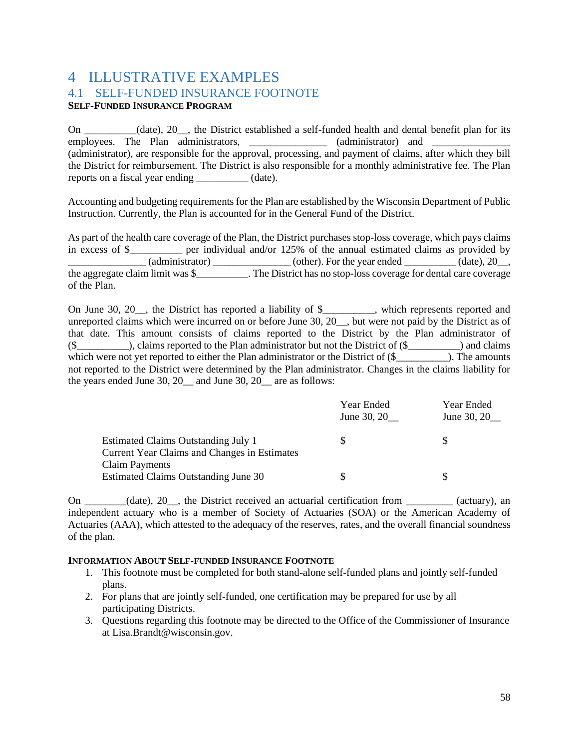### <span id="page-59-1"></span><span id="page-59-0"></span>4 ILLUSTRATIVE EXAMPLES 4.1 SELF-FUNDED INSURANCE FOOTNOTE **SELF-FUNDED INSURANCE PROGRAM**

On \_\_\_\_\_\_\_\_\_\_(date), 20\_\_, the District established a self-funded health and dental benefit plan for its employees. The Plan administrators, \_\_\_\_\_\_\_\_\_\_\_\_\_\_\_\_ (administrator) and (administrator), are responsible for the approval, processing, and payment of claims, after which they bill the District for reimbursement. The District is also responsible for a monthly administrative fee. The Plan reports on a fiscal year ending \_\_\_\_\_\_\_\_\_\_ (date).

Accounting and budgeting requirements for the Plan are established by the Wisconsin Department of Public Instruction. Currently, the Plan is accounted for in the General Fund of the District.

As part of the health care coverage of the Plan, the District purchases stop-loss coverage, which pays claims in excess of \$\_\_\_\_\_\_\_\_\_\_ per individual and/or 125% of the annual estimated claims as provided by  $\frac{1}{2}$  (administrator) \_\_\_\_\_\_\_\_\_\_\_\_\_\_\_ (other). For the year ended \_\_\_\_\_\_\_\_\_ (date), 20\_\_, the aggregate claim limit was \$\_\_\_\_\_\_\_\_\_\_. The District has no stop-loss coverage for dental care coverage of the Plan.

On June 30, 20\_\_, the District has reported a liability of \$\_\_\_\_\_\_\_\_\_\_, which represents reported and unreported claims which were incurred on or before June 30, 20\_\_, but were not paid by the District as of that date. This amount consists of claims reported to the District by the Plan administrator of  $(\$$  (\$\_\_\_\_\_\_\_\_\_\_\_\_\_), claims reported to the Plan administrator but not the District of  $(\$$  \_\_\_\_\_\_\_\_\_\_\_\_\_\_) and claims which were not yet reported to either the Plan administrator or the District of (\$  $\qquad \qquad$  ). The amounts not reported to the District were determined by the Plan administrator. Changes in the claims liability for the years ended June 30, 20\_ and June 30, 20\_ are as follows:

|                                                                                     | Year Ended<br>June 30, 20 | Year Ended<br>June 30, 20 |
|-------------------------------------------------------------------------------------|---------------------------|---------------------------|
| Estimated Claims Outstanding July 1<br>Current Year Claims and Changes in Estimates | S                         | S                         |
| <b>Claim Payments</b><br>Estimated Claims Outstanding June 30                       |                           |                           |

On \_\_\_\_\_\_\_\_(date), 20\_\_, the District received an actuarial certification from \_\_\_\_\_\_\_\_\_ (actuary), an independent actuary who is a member of Society of Actuaries (SOA) or the American Academy of Actuaries (AAA), which attested to the adequacy of the reserves, rates, and the overall financial soundness of the plan.

#### **INFORMATION ABOUT SELF-FUNDED INSURANCE FOOTNOTE**

- 1. This footnote must be completed for both stand-alone self-funded plans and jointly self-funded plans.
- 2. For plans that are jointly self-funded, one certification may be prepared for use by all participating Districts.
- 3. Questions regarding this footnote may be directed to the Office of the Commissioner of Insurance at Lisa.Brandt@wisconsin.gov.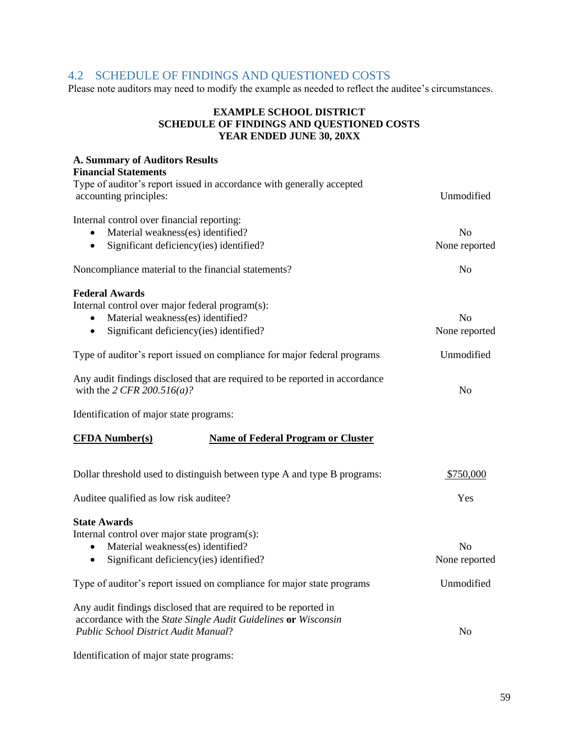### <span id="page-60-0"></span>4.2 SCHEDULE OF FINDINGS AND QUESTIONED COSTS

Please note auditors may need to modify the example as needed to reflect the auditee's circumstances.

#### **EXAMPLE SCHOOL DISTRICT SCHEDULE OF FINDINGS AND QUESTIONED COSTS YEAR ENDED JUNE 30, 20XX**

| <b>A. Summary of Auditors Results</b><br><b>Financial Statements</b>                                                                                                       |                                 |
|----------------------------------------------------------------------------------------------------------------------------------------------------------------------------|---------------------------------|
| Type of auditor's report issued in accordance with generally accepted<br>accounting principles:                                                                            | Unmodified                      |
| Internal control over financial reporting:<br>Material weakness(es) identified?<br>Significant deficiency(ies) identified?<br>$\bullet$                                    | N <sub>o</sub><br>None reported |
| Noncompliance material to the financial statements?                                                                                                                        | N <sub>o</sub>                  |
| <b>Federal Awards</b><br>Internal control over major federal program(s):<br>Material weakness(es) identified?<br>Significant deficiency(ies) identified?<br>٠              | N <sub>o</sub><br>None reported |
| Type of auditor's report issued on compliance for major federal programs                                                                                                   | Unmodified                      |
| Any audit findings disclosed that are required to be reported in accordance<br>with the 2 CFR 200.516( <i>a</i> )?                                                         | N <sub>o</sub>                  |
| Identification of major state programs:                                                                                                                                    |                                 |
| <b>CFDA Number(s)</b><br><b>Name of Federal Program or Cluster</b>                                                                                                         |                                 |
| Dollar threshold used to distinguish between type A and type B programs:                                                                                                   | \$750,000                       |
| Auditee qualified as low risk auditee?                                                                                                                                     | Yes                             |
| <b>State Awards</b><br>Internal control over major state program(s):<br>Material weakness(es) identified?<br>Significant deficiency(ies) identified?<br>$\bullet$          | N <sub>0</sub><br>None reported |
| Type of auditor's report issued on compliance for major state programs                                                                                                     | Unmodified                      |
| Any audit findings disclosed that are required to be reported in<br>accordance with the State Single Audit Guidelines or Wisconsin<br>Public School District Audit Manual? | N <sub>o</sub>                  |
| Identification of major state programs:                                                                                                                                    |                                 |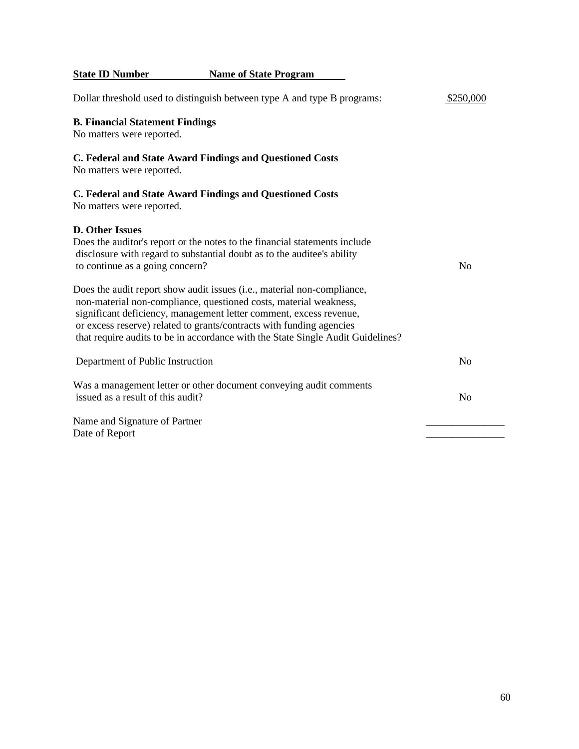**State ID Number Name of State Program** Dollar threshold used to distinguish between type A and type B programs: \$250,000 **B. Financial Statement Findings** No matters were reported. **C. Federal and State Award Findings and Questioned Costs**  No matters were reported. **C. Federal and State Award Findings and Questioned Costs**  No matters were reported. **D. Other Issues**  Does the auditor's report or the notes to the financial statements include disclosure with regard to substantial doubt as to the auditee's ability to continue as a going concern? No Does the audit report show audit issues (i.e., material non-compliance, non-material non-compliance, questioned costs, material weakness, significant deficiency, management letter comment, excess revenue, or excess reserve) related to grants/contracts with funding agencies that require audits to be in accordance with the State Single Audit Guidelines? Department of Public Instruction No Was a management letter or other document conveying audit comments issued as a result of this audit? Name and Signature of Partner Date of Report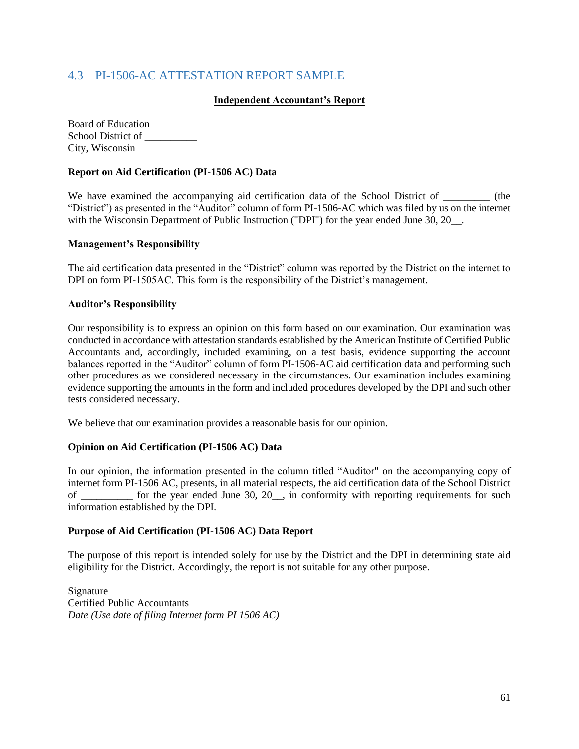### <span id="page-62-0"></span>4.3 PI-1506-AC ATTESTATION REPORT SAMPLE

#### **Independent Accountant's Report**

Board of Education School District of \_\_\_\_\_\_\_\_\_\_ City, Wisconsin

#### **Report on Aid Certification (PI-1506 AC) Data**

We have examined the accompanying aid certification data of the School District of \_\_\_\_\_\_\_\_ (the "District") as presented in the "Auditor" column of form PI-1506-AC which was filed by us on the internet with the Wisconsin Department of Public Instruction ("DPI") for the year ended June 30, 20

#### **Management's Responsibility**

The aid certification data presented in the "District" column was reported by the District on the internet to DPI on form PI-1505AC. This form is the responsibility of the District's management.

#### **Auditor's Responsibility**

Our responsibility is to express an opinion on this form based on our examination. Our examination was conducted in accordance with attestation standards established by the American Institute of Certified Public Accountants and, accordingly, included examining, on a test basis, evidence supporting the account balances reported in the "Auditor" column of form PI-1506-AC aid certification data and performing such other procedures as we considered necessary in the circumstances. Our examination includes examining evidence supporting the amounts in the form and included procedures developed by the DPI and such other tests considered necessary.

We believe that our examination provides a reasonable basis for our opinion.

#### **Opinion on Aid Certification (PI-1506 AC) Data**

In our opinion, the information presented in the column titled "Auditor" on the accompanying copy of internet form PI-1506 AC, presents, in all material respects, the aid certification data of the School District of for the year ended June 30, 20, in conformity with reporting requirements for such information established by the DPI.

#### **Purpose of Aid Certification (PI-1506 AC) Data Report**

The purpose of this report is intended solely for use by the District and the DPI in determining state aid eligibility for the District. Accordingly, the report is not suitable for any other purpose.

Signature Certified Public Accountants *Date (Use date of filing Internet form PI 1506 AC)*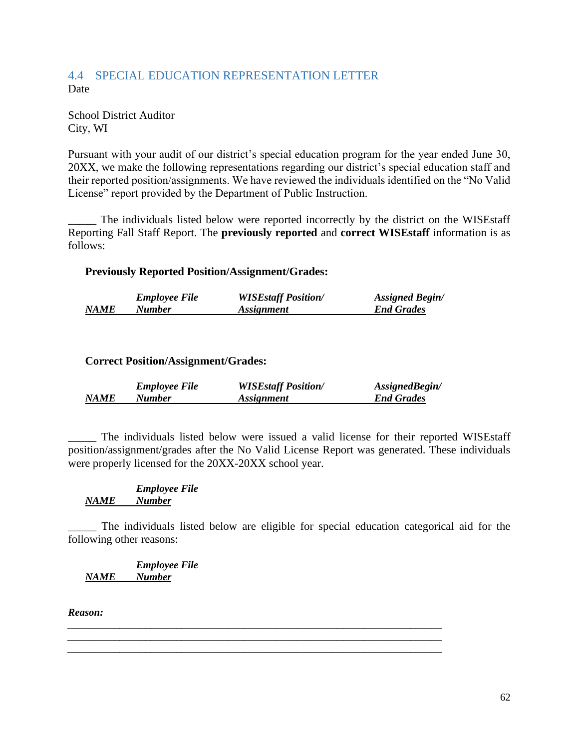### <span id="page-63-0"></span>4.4 SPECIAL EDUCATION REPRESENTATION LETTER Date

School District Auditor City, WI

Pursuant with your audit of our district's special education program for the year ended June 30, 20XX, we make the following representations regarding our district's special education staff and their reported position/assignments. We have reviewed the individuals identified on the "No Valid License" report provided by the Department of Public Instruction.

\_\_\_\_\_ The individuals listed below were reported incorrectly by the district on the WISEstaff Reporting Fall Staff Report. The **previously reported** and **correct WISEstaff** information is as follows:

### **Previously Reported Position/Assignment/Grades:**

|             | <b>Employee File</b> | <b>WISEstaff Position/</b> | <b>Assigned Begin/</b> |
|-------------|----------------------|----------------------------|------------------------|
| <b>NAME</b> | Number               | <i>Assignment</i>          | <b>End Grades</b>      |

### **Correct Position/Assignment/Grades:**

|             | <b>Employee File</b> | <b>WISEstaff Position/</b> | AssignedBegin/    |
|-------------|----------------------|----------------------------|-------------------|
| <b>NAME</b> | Number               | <i>Assignment</i>          | <b>End Grades</b> |

\_\_\_\_\_ The individuals listed below were issued a valid license for their reported WISEstaff position/assignment/grades after the No Valid License Report was generated. These individuals were properly licensed for the 20XX-20XX school year.

#### *Employee File NAME Number*

The individuals listed below are eligible for special education categorical aid for the following other reasons:

*\_\_\_\_\_\_\_\_\_\_\_\_\_\_\_\_\_\_\_\_\_\_\_\_\_\_\_\_\_\_\_\_\_\_\_\_\_\_\_\_\_\_\_\_\_\_\_\_\_\_\_\_\_\_\_\_\_\_\_\_\_\_\_\_\_\_\_\_\_\_\_\_ \_\_\_\_\_\_\_\_\_\_\_\_\_\_\_\_\_\_\_\_\_\_\_\_\_\_\_\_\_\_\_\_\_\_\_\_\_\_\_\_\_\_\_\_\_\_\_\_\_\_\_\_\_\_\_\_\_\_\_\_\_\_\_\_\_\_\_\_\_\_\_\_ \_\_\_\_\_\_\_\_\_\_\_\_\_\_\_\_\_\_\_\_\_\_\_\_\_\_\_\_\_\_\_\_\_\_\_\_\_\_\_\_\_\_\_\_\_\_\_\_\_\_\_\_\_\_\_\_\_\_\_\_\_\_\_\_\_\_\_\_\_\_\_\_*

*Employee File NAME Number*

*Reason:*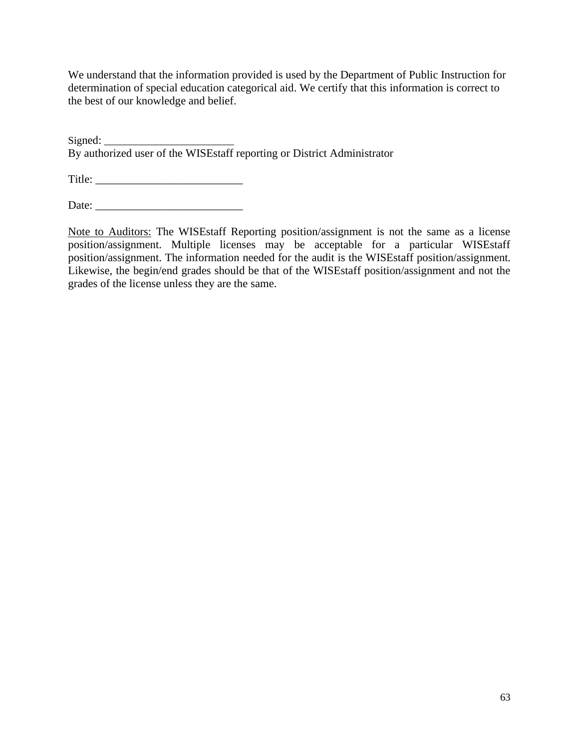We understand that the information provided is used by the Department of Public Instruction for determination of special education categorical aid. We certify that this information is correct to the best of our knowledge and belief.

Signed: By authorized user of the WISEstaff reporting or District Administrator

Title: \_\_\_\_\_\_\_\_\_\_\_\_\_\_\_\_\_\_\_\_\_\_\_\_\_\_

Date: \_\_\_\_\_\_\_\_\_\_\_\_\_\_\_\_\_\_\_\_\_\_\_\_\_\_

Note to Auditors: The WISEstaff Reporting position/assignment is not the same as a license position/assignment. Multiple licenses may be acceptable for a particular WISEstaff position/assignment. The information needed for the audit is the WISEstaff position/assignment. Likewise, the begin/end grades should be that of the WISEstaff position/assignment and not the grades of the license unless they are the same.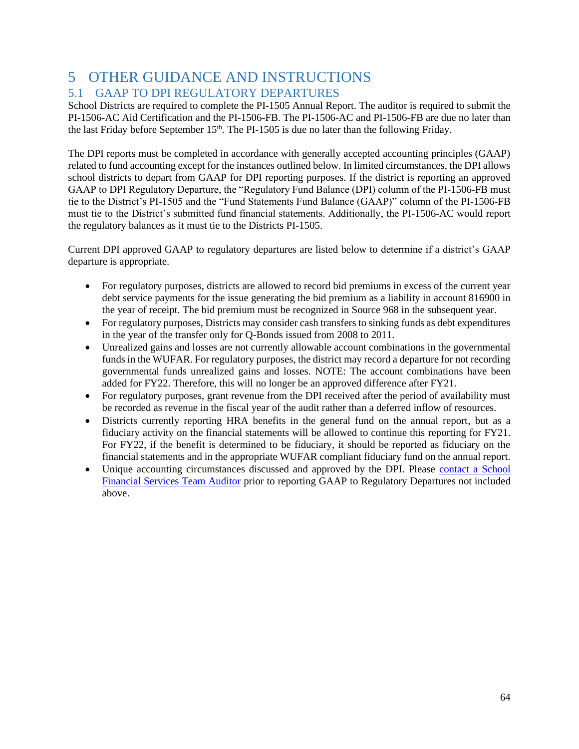# <span id="page-65-0"></span>5 OTHER GUIDANCE AND INSTRUCTIONS 5.1 GAAP TO DPI REGULATORY DEPARTURES

<span id="page-65-1"></span>School Districts are required to complete the PI-1505 Annual Report. The auditor is required to submit the PI-1506-AC Aid Certification and the PI-1506-FB. The PI-1506-AC and PI-1506-FB are due no later than the last Friday before September 15<sup>th</sup>. The PI-1505 is due no later than the following Friday.

The DPI reports must be completed in accordance with generally accepted accounting principles (GAAP) related to fund accounting except for the instances outlined below. In limited circumstances, the DPI allows school districts to depart from GAAP for DPI reporting purposes. If the district is reporting an approved GAAP to DPI Regulatory Departure, the "Regulatory Fund Balance (DPI) column of the PI-1506-FB must tie to the District's PI-1505 and the "Fund Statements Fund Balance (GAAP)" column of the PI-1506-FB must tie to the District's submitted fund financial statements. Additionally, the PI-1506-AC would report the regulatory balances as it must tie to the Districts PI-1505.

Current DPI approved GAAP to regulatory departures are listed below to determine if a district's GAAP departure is appropriate.

- For regulatory purposes, districts are allowed to record bid premiums in excess of the current year debt service payments for the issue generating the bid premium as a liability in account 816900 in the year of receipt. The bid premium must be recognized in Source 968 in the subsequent year.
- For regulatory purposes, Districts may consider cash transfers to sinking funds as debt expenditures in the year of the transfer only for Q-Bonds issued from 2008 to 2011.
- Unrealized gains and losses are not currently allowable account combinations in the governmental funds in the WUFAR. For regulatory purposes, the district may record a departure for not recording governmental funds unrealized gains and losses. NOTE: The account combinations have been added for FY22. Therefore, this will no longer be an approved difference after FY21.
- For regulatory purposes, grant revenue from the DPI received after the period of availability must be recorded as revenue in the fiscal year of the audit rather than a deferred inflow of resources.
- Districts currently reporting HRA benefits in the general fund on the annual report, but as a fiduciary activity on the financial statements will be allowed to continue this reporting for FY21. For FY22, if the benefit is determined to be fiduciary, it should be reported as fiduciary on the financial statements and in the appropriate WUFAR compliant fiduciary fund on the annual report.
- Unique accounting circumstances discussed and approved by the DPI. Please contact a School [Financial Services Team Auditor](https://dpi.wi.gov/sfs/communications/staff-directory) prior to reporting GAAP to Regulatory Departures not included above.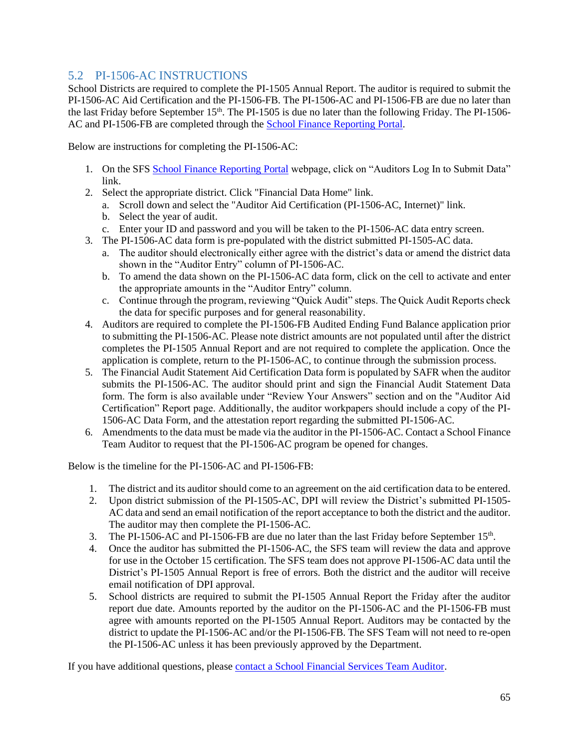### <span id="page-66-0"></span>5.2 PI-1506-AC INSTRUCTIONS

School Districts are required to complete the PI-1505 Annual Report. The auditor is required to submit the PI-1506-AC Aid Certification and the PI-1506-FB. The PI-1506-AC and PI-1506-FB are due no later than the last Friday before September 15th. The PI-1505 is due no later than the following Friday. The PI-1506- AC and PI-1506-FB are completed through the [School Finance Reporting Portal.](https://dpi.wi.gov/sfs/reporting/safr/overview)

Below are instructions for completing the PI-1506-AC:

- 1. On the SFS [School Finance Reporting Portal](https://dpi.wi.gov/sfs/reporting/safr/overview) webpage, click on "Auditors Log In to Submit Data" link.
- 2. Select the appropriate district. Click "Financial Data Home" link.
	- a. Scroll down and select the "Auditor Aid Certification (PI-1506-AC, Internet)" link.
	- b. Select the year of audit.
	- c. Enter your ID and password and you will be taken to the PI-1506-AC data entry screen.
- 3. The PI-1506-AC data form is pre-populated with the district submitted PI-1505-AC data.
	- a. The auditor should electronically either agree with the district's data or amend the district data shown in the "Auditor Entry" column of PI-1506-AC.
	- b. To amend the data shown on the PI-1506-AC data form, click on the cell to activate and enter the appropriate amounts in the "Auditor Entry" column.
	- c. Continue through the program, reviewing "Quick Audit" steps. The Quick Audit Reports check the data for specific purposes and for general reasonability.
- 4. Auditors are required to complete the PI-1506-FB Audited Ending Fund Balance application prior to submitting the PI-1506-AC. Please note district amounts are not populated until after the district completes the PI-1505 Annual Report and are not required to complete the application. Once the application is complete, return to the PI-1506-AC, to continue through the submission process.
- 5. The Financial Audit Statement Aid Certification Data form is populated by SAFR when the auditor submits the PI-1506-AC. The auditor should print and sign the Financial Audit Statement Data form. The form is also available under "Review Your Answers" section and on the "Auditor Aid Certification" Report page. Additionally, the auditor workpapers should include a copy of the PI-1506-AC Data Form, and the attestation report regarding the submitted PI-1506-AC.
- 6. Amendments to the data must be made via the auditor in the PI-1506-AC. Contact a School Finance Team Auditor to request that the PI-1506-AC program be opened for changes.

Below is the timeline for the PI-1506-AC and PI-1506-FB:

- 1. The district and its auditor should come to an agreement on the aid certification data to be entered.
- 2. Upon district submission of the PI-1505-AC, DPI will review the District's submitted PI-1505- AC data and send an email notification of the report acceptance to both the district and the auditor. The auditor may then complete the PI-1506-AC.
- 3. The PI-1506-AC and PI-1506-FB are due no later than the last Friday before September  $15<sup>th</sup>$ .
- 4. Once the auditor has submitted the PI-1506-AC, the SFS team will review the data and approve for use in the October 15 certification. The SFS team does not approve PI-1506-AC data until the District's PI-1505 Annual Report is free of errors. Both the district and the auditor will receive email notification of DPI approval.
- 5. School districts are required to submit the PI-1505 Annual Report the Friday after the auditor report due date. Amounts reported by the auditor on the PI-1506-AC and the PI-1506-FB must agree with amounts reported on the PI-1505 Annual Report. Auditors may be contacted by the district to update the PI-1506-AC and/or the PI-1506-FB. The SFS Team will not need to re-open the PI-1506-AC unless it has been previously approved by the Department.

If you have additional questions, please [contact a School Financial Services Team Auditor.](https://dpi.wi.gov/sfs/communications/staff-directory)